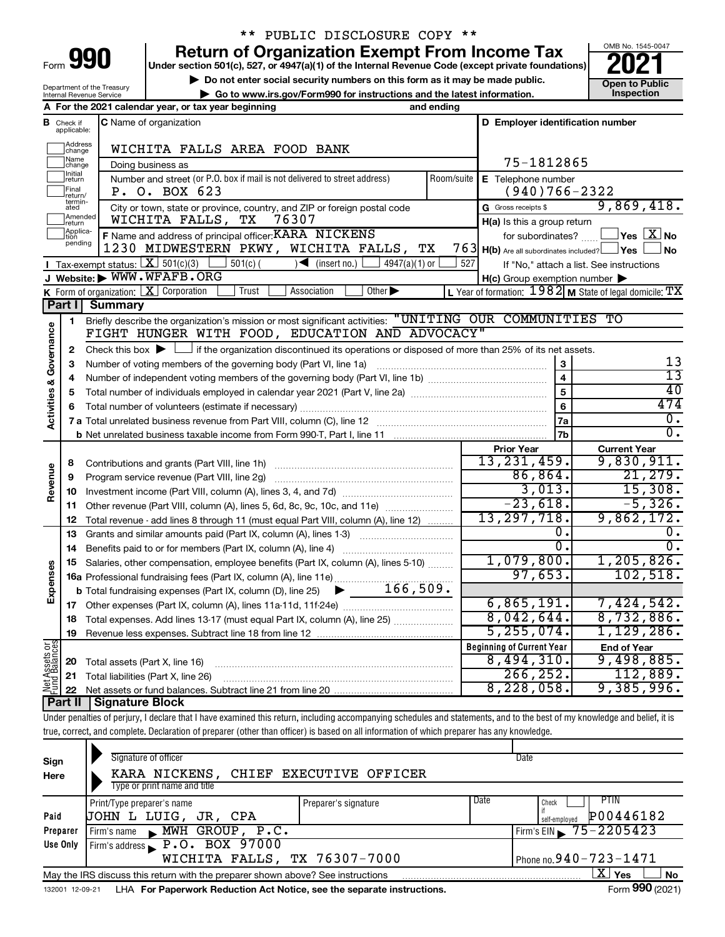| Form |  |  |
|------|--|--|

# \*\* PUBLIC DISCLOSURE COPY \*\*

**990 Return of Organization Exempt From Income Tax Punce 1845-004 2021** 

**▶ Do not enter social security numbers on this form as it may be made public.**  $\begin{array}{|c|c|c|c|c|c|}\n\hline\n\text{Do} & \text{Do} & \text{Do} & \text{Do} & \text{Do} \\
\hline\n\text{Do} & \text{to } & \text{Do} & \text{Do} & \text{Do} & \text{Do} \\
\hline\n\end{array}$  **Open to Public | Go to www.irs.gov/Form990 for instructions and the latest information. Inspection**



Department of the Treasury Internal Revenue Service

|                         |                               | A For the 2021 calendar year, or tax year beginning                                                                                                                        | and ending |                                                     |                                                           |
|-------------------------|-------------------------------|----------------------------------------------------------------------------------------------------------------------------------------------------------------------------|------------|-----------------------------------------------------|-----------------------------------------------------------|
|                         | <b>B</b> Check if applicable: | C Name of organization                                                                                                                                                     |            | D Employer identification number                    |                                                           |
|                         | Address<br>change<br>Name     | WICHITA FALLS AREA FOOD BANK                                                                                                                                               |            |                                                     |                                                           |
|                         | change                        | Doing business as                                                                                                                                                          |            | 75-1812865                                          |                                                           |
|                         | Initial<br>return             | Number and street (or P.O. box if mail is not delivered to street address)                                                                                                 | Room/suite | E Telephone number                                  |                                                           |
|                         | Final<br>return/              | P. O. BOX 623                                                                                                                                                              |            | $(940)766 - 2322$                                   |                                                           |
|                         | termin-<br>ated               | City or town, state or province, country, and ZIP or foreign postal code                                                                                                   |            | G Gross receipts \$                                 | 9,869,418.                                                |
|                         | Amended<br>return             | ТX<br>76307<br>WICHITA FALLS,                                                                                                                                              |            | H(a) Is this a group return                         |                                                           |
|                         | Applica-                      | F Name and address of principal officer: KARA NICKENS                                                                                                                      |            | for subordinates?                                   | $\overline{\ }$ Yes $\overline{\rm X}$ No                 |
|                         | pending                       | 1230 MIDWESTERN PKWY, WICHITA FALLS, TX                                                                                                                                    |            | 763 H(b) Are all subordinates included?             | _lYes     <br>∫No                                         |
|                         |                               | <b>I</b> Tax-exempt status: $X \mid 501(c)(3)$<br>$4947(a)(1)$ or<br>$501(c)$ (<br>$\sqrt{\frac{1}{1}}$ (insert no.)                                                       | 527        |                                                     | If "No," attach a list. See instructions                  |
|                         |                               | J Website: WWW.WFAFB.ORG                                                                                                                                                   |            | $H(c)$ Group exemption number $\blacktriangleright$ |                                                           |
|                         |                               | <b>K</b> Form of organization: $\boxed{\mathbf{X}}$ Corporation<br>Other $\blacktriangleright$<br>Trust<br>Association                                                     |            |                                                     | L Year of formation: $1982$ M State of legal domicile: TX |
|                         |                               | Part I Summary                                                                                                                                                             |            |                                                     |                                                           |
|                         | 1                             | Briefly describe the organization's mission or most significant activities: "UNITING OUR COMMUNITIES TO                                                                    |            |                                                     |                                                           |
|                         |                               | FIGHT HUNGER WITH FOOD, EDUCATION AND ADVOCACY"                                                                                                                            |            |                                                     |                                                           |
| Activities & Governance | 2                             | Check this box $\blacktriangleright$ $\Box$ if the organization discontinued its operations or disposed of more than 25% of its net assets.                                |            |                                                     |                                                           |
|                         | З                             | Number of voting members of the governing body (Part VI, line 1a)                                                                                                          |            | $\mathbf{3}$                                        | 13                                                        |
|                         | 4                             |                                                                                                                                                                            |            | $\overline{4}$                                      | $\overline{13}$                                           |
|                         | 5                             |                                                                                                                                                                            |            | 5                                                   | 40                                                        |
|                         | 6                             |                                                                                                                                                                            |            | 6                                                   | 474                                                       |
|                         |                               |                                                                                                                                                                            |            | 7a                                                  | $0$ .                                                     |
|                         |                               |                                                                                                                                                                            |            | 7b                                                  | $\overline{0}$ .                                          |
|                         |                               |                                                                                                                                                                            |            | <b>Prior Year</b>                                   | <b>Current Year</b>                                       |
|                         |                               |                                                                                                                                                                            |            | 13, 231, 459.                                       | 9,830,911.                                                |
| Revenue                 | 8                             |                                                                                                                                                                            |            | 86,864.                                             | 21,279.                                                   |
|                         | 9                             | Program service revenue (Part VIII, line 2g)                                                                                                                               |            | 3,013.                                              | 15,308.                                                   |
|                         | 10                            |                                                                                                                                                                            |            | $-23,618.$                                          | $-5,326.$                                                 |
|                         | 11                            | Other revenue (Part VIII, column (A), lines 5, 6d, 8c, 9c, 10c, and 11e)                                                                                                   |            | 13, 297, 718.                                       | 9,862,172.                                                |
|                         | 12                            | Total revenue - add lines 8 through 11 (must equal Part VIII, column (A), line 12)                                                                                         |            | 0.                                                  |                                                           |
|                         | 13                            | Grants and similar amounts paid (Part IX, column (A), lines 1-3)                                                                                                           |            | $\overline{0}$ .                                    | $\overline{0}$ .                                          |
|                         | 14                            | Benefits paid to or for members (Part IX, column (A), line 4)                                                                                                              |            | 1,079,800.                                          | 1, 205, 826.                                              |
|                         | 15                            | Salaries, other compensation, employee benefits (Part IX, column (A), lines 5-10)                                                                                          |            | 97,653.                                             | 102,518.                                                  |
| Expenses                |                               | 16a Professional fundraising fees (Part IX, column (A), line 11e)                                                                                                          |            |                                                     |                                                           |
|                         |                               | <b>b</b> Total fundraising expenses (Part IX, column (D), line 25) $\bullet$ $\bullet$ $166,509$ .                                                                         |            |                                                     |                                                           |
|                         | 17                            |                                                                                                                                                                            |            | 6,865,191.                                          | 7,424,542.                                                |
|                         | 18                            | Total expenses. Add lines 13-17 (must equal Part IX, column (A), line 25)                                                                                                  |            | 8,042,644.                                          | 8,732,886.                                                |
|                         | 19                            | Revenue less expenses. Subtract line 18 from line 12                                                                                                                       |            | 5,255,074.                                          | 1,129,286.                                                |
| Assets or<br>dBalances  |                               |                                                                                                                                                                            |            | <b>Beginning of Current Year</b>                    | <b>End of Year</b>                                        |
|                         | 20                            | Total assets (Part X, line 16)                                                                                                                                             |            | 8,494,310.                                          | 9,498,885.                                                |
| Aet d<br>Pund           | 21                            | Total liabilities (Part X, line 26)                                                                                                                                        |            | 266, 252.                                           | 112,889.                                                  |
|                         | 22                            |                                                                                                                                                                            |            | 8,228,058.                                          | 9,385,996.                                                |
|                         | Part II                       | <b>Signature Block</b>                                                                                                                                                     |            |                                                     |                                                           |
|                         |                               | Under penalties of perjury, I declare that I have examined this return, including accompanying schedules and statements, and to the best of my knowledge and belief, it is |            |                                                     |                                                           |
|                         |                               | true, correct, and complete. Declaration of preparer (other than officer) is based on all information of which preparer has any knowledge.                                 |            |                                                     |                                                           |
|                         |                               |                                                                                                                                                                            |            |                                                     |                                                           |

| Sign<br>Here    | Signature of officer<br>KARA NICKENS, CHIEF EXECUTIVE OFFICER<br>Type or print name and title |                      | Date                                                |
|-----------------|-----------------------------------------------------------------------------------------------|----------------------|-----------------------------------------------------|
| Paid            | Print/Type preparer's name<br>UOHN L LUIG, JR, CPA                                            | Preparer's signature | Date<br>PTIN<br>Check<br>P00446182<br>self-emploved |
| Preparer        | Firm's name MWH GROUP, P.C.                                                                   |                      | Firm's EIN $\sqrt{75-2205423}$                      |
| Use Only        | Firm's address P.O. BOX 97000                                                                 |                      |                                                     |
|                 | WICHITA FALLS, TX 76307-7000                                                                  |                      | Phone no. $940 - 723 - 1471$                        |
|                 | May the IRS discuss this return with the preparer shown above? See instructions               |                      | ΧI<br>Yes<br><b>No</b>                              |
| 132001 12-09-21 | LHA For Paperwork Reduction Act Notice, see the separate instructions.                        |                      | Form 990 (2021)                                     |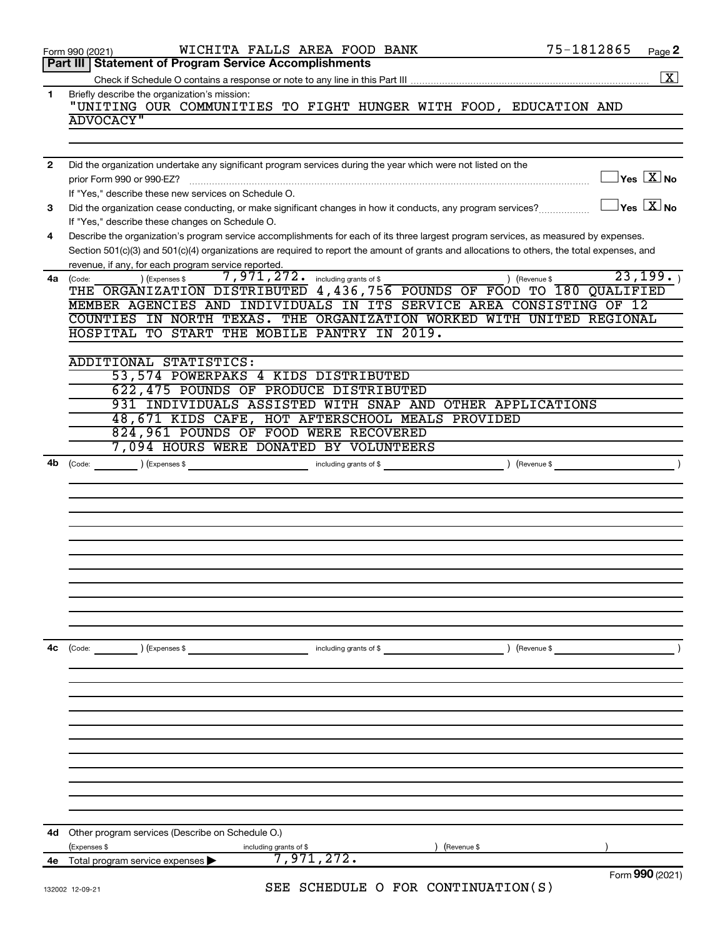|                | WICHITA FALLS AREA FOOD BANK<br>Form 990 (2021)                                                                                                                 | 75-1812865<br>Page 2                    |
|----------------|-----------------------------------------------------------------------------------------------------------------------------------------------------------------|-----------------------------------------|
|                | Part III   Statement of Program Service Accomplishments                                                                                                         |                                         |
|                |                                                                                                                                                                 | $\boxed{\text{X}}$                      |
| $\mathbf{1}$   | Briefly describe the organization's mission:<br>"UNITING OUR COMMUNITIES TO FIGHT HUNGER WITH FOOD, EDUCATION AND                                               |                                         |
|                | <b>ADVOCACY"</b>                                                                                                                                                |                                         |
|                |                                                                                                                                                                 |                                         |
|                |                                                                                                                                                                 |                                         |
| $\overline{2}$ | Did the organization undertake any significant program services during the year which were not listed on the<br>prior Form 990 or 990-EZ?                       | $\Box$ Yes $[\overline{\mathrm{X}}]$ No |
|                | If "Yes," describe these new services on Schedule O.                                                                                                            |                                         |
| 3              | Did the organization cease conducting, or make significant changes in how it conducts, any program services?<br>If "Yes," describe these changes on Schedule O. | $\Box$ Yes $[\overline{\mathrm{X}}]$ No |
| 4              | Describe the organization's program service accomplishments for each of its three largest program services, as measured by expenses.                            |                                         |
|                | Section 501(c)(3) and 501(c)(4) organizations are required to report the amount of grants and allocations to others, the total expenses, and                    |                                         |
|                | revenue, if any, for each program service reported.                                                                                                             | 23, 199.                                |
| 4a             | 7,971,272. including grants of \$<br>) (Expenses \$<br>) (Revenue \$<br>(Code:<br>THE ORGANIZATION DISTRIBUTED 4,436,756 POUNDS OF FOOD TO 180 QUALIFIED        |                                         |
|                | MEMBER AGENCIES AND INDIVIDUALS IN ITS SERVICE AREA CONSISTING OF 12                                                                                            |                                         |
|                | COUNTIES IN NORTH TEXAS. THE ORGANIZATION WORKED WITH UNITED REGIONAL                                                                                           |                                         |
|                | HOSPITAL TO START THE MOBILE PANTRY IN 2019.                                                                                                                    |                                         |
|                |                                                                                                                                                                 |                                         |
|                | ADDITIONAL STATISTICS:                                                                                                                                          |                                         |
|                | 53,574 POWERPAKS 4 KIDS DISTRIBUTED                                                                                                                             |                                         |
|                | 622, 475 POUNDS OF PRODUCE DISTRIBUTED                                                                                                                          |                                         |
|                | 931 INDIVIDUALS ASSISTED WITH SNAP AND OTHER APPLICATIONS                                                                                                       |                                         |
|                | 48,671 KIDS CAFE, HOT AFTERSCHOOL MEALS PROVIDED                                                                                                                |                                         |
|                | 824,961 POUNDS OF FOOD WERE RECOVERED                                                                                                                           |                                         |
|                | 7,094 HOURS WERE DONATED BY VOLUNTEERS                                                                                                                          |                                         |
| 4b             |                                                                                                                                                                 |                                         |
|                |                                                                                                                                                                 |                                         |
|                |                                                                                                                                                                 |                                         |
|                |                                                                                                                                                                 |                                         |
|                |                                                                                                                                                                 |                                         |
|                |                                                                                                                                                                 |                                         |
|                |                                                                                                                                                                 |                                         |
|                |                                                                                                                                                                 |                                         |
|                |                                                                                                                                                                 |                                         |
|                |                                                                                                                                                                 |                                         |
|                |                                                                                                                                                                 |                                         |
|                |                                                                                                                                                                 |                                         |
| 4c             | ) (Expenses \$<br>(Revenue \$<br>(Code:<br>including grants of \$                                                                                               |                                         |
|                |                                                                                                                                                                 |                                         |
|                |                                                                                                                                                                 |                                         |
|                |                                                                                                                                                                 |                                         |
|                |                                                                                                                                                                 |                                         |
|                |                                                                                                                                                                 |                                         |
|                |                                                                                                                                                                 |                                         |
|                |                                                                                                                                                                 |                                         |
|                |                                                                                                                                                                 |                                         |
|                |                                                                                                                                                                 |                                         |
|                |                                                                                                                                                                 |                                         |
|                |                                                                                                                                                                 |                                         |
| 4d             | Other program services (Describe on Schedule O.)                                                                                                                |                                         |
|                | (Revenue \$<br>(Expenses \$<br>including grants of \$                                                                                                           |                                         |
| 4е             | 7,971,272.<br>Total program service expenses                                                                                                                    |                                         |
|                |                                                                                                                                                                 | Form 990 (2021)                         |
|                | SEE SCHEDIILE O FOR CONTINUIATION(S)                                                                                                                            |                                         |

SEE SCHEDULE O FOR CONTINUATION(S)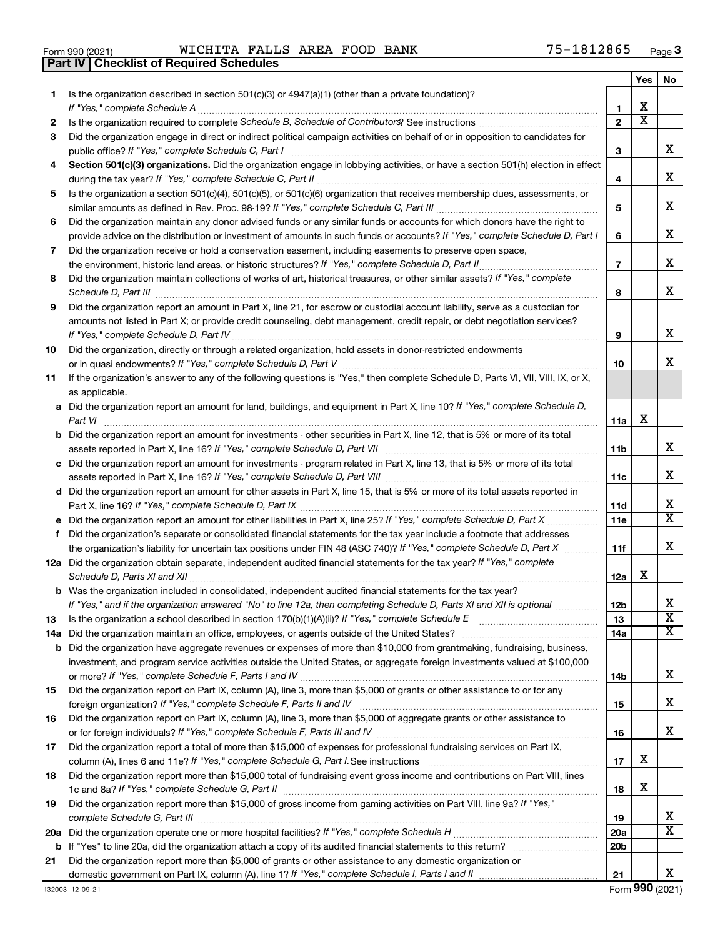|  | Form 990 (2021) |
|--|-----------------|

**Part IV Checklist of Required Schedules**

Form 990 (2021) **Page 1 MICHITA FALLS AREA FOOD BANK** 75-1812865  $_{\text{Page}}$ 

|    |                                                                                                                                                                                                                                                   |                 | Yes | No                           |
|----|---------------------------------------------------------------------------------------------------------------------------------------------------------------------------------------------------------------------------------------------------|-----------------|-----|------------------------------|
| 1  | Is the organization described in section $501(c)(3)$ or $4947(a)(1)$ (other than a private foundation)?                                                                                                                                           |                 |     |                              |
|    | If "Yes," complete Schedule A                                                                                                                                                                                                                     | 1               | x   |                              |
| 2  |                                                                                                                                                                                                                                                   | $\mathbf{2}$    | x   |                              |
| 3  | Did the organization engage in direct or indirect political campaign activities on behalf of or in opposition to candidates for                                                                                                                   |                 |     | x                            |
| 4  | public office? If "Yes," complete Schedule C, Part I<br>Section 501(c)(3) organizations. Did the organization engage in lobbying activities, or have a section 501(h) election in effect                                                          | 3               |     |                              |
|    |                                                                                                                                                                                                                                                   | 4               |     | x                            |
| 5  | Is the organization a section 501(c)(4), 501(c)(5), or 501(c)(6) organization that receives membership dues, assessments, or                                                                                                                      |                 |     |                              |
|    |                                                                                                                                                                                                                                                   | 5               |     | x                            |
| 6  | Did the organization maintain any donor advised funds or any similar funds or accounts for which donors have the right to                                                                                                                         |                 |     |                              |
|    | provide advice on the distribution or investment of amounts in such funds or accounts? If "Yes," complete Schedule D, Part I                                                                                                                      | 6               |     | x.                           |
| 7  | Did the organization receive or hold a conservation easement, including easements to preserve open space,                                                                                                                                         |                 |     |                              |
|    | the environment, historic land areas, or historic structures? If "Yes," complete Schedule D, Part II                                                                                                                                              | $\overline{7}$  |     | x                            |
| 8  | Did the organization maintain collections of works of art, historical treasures, or other similar assets? If "Yes," complete                                                                                                                      |                 |     |                              |
|    | Schedule D, Part III                                                                                                                                                                                                                              | 8               |     | х                            |
| 9  | Did the organization report an amount in Part X, line 21, for escrow or custodial account liability, serve as a custodian for                                                                                                                     |                 |     |                              |
|    | amounts not listed in Part X; or provide credit counseling, debt management, credit repair, or debt negotiation services?                                                                                                                         |                 |     |                              |
|    |                                                                                                                                                                                                                                                   | 9               |     | x                            |
| 10 | Did the organization, directly or through a related organization, hold assets in donor-restricted endowments                                                                                                                                      |                 |     | x.                           |
| 11 | If the organization's answer to any of the following questions is "Yes," then complete Schedule D, Parts VI, VII, VIII, IX, or X,                                                                                                                 | 10              |     |                              |
|    | as applicable.                                                                                                                                                                                                                                    |                 |     |                              |
|    | a Did the organization report an amount for land, buildings, and equipment in Part X, line 10? If "Yes," complete Schedule D,                                                                                                                     |                 |     |                              |
|    | Part VI                                                                                                                                                                                                                                           | 11a             | x   |                              |
|    | <b>b</b> Did the organization report an amount for investments - other securities in Part X, line 12, that is 5% or more of its total                                                                                                             |                 |     |                              |
|    | assets reported in Part X, line 16? If "Yes," complete Schedule D, Part VII                                                                                                                                                                       | 11b             |     | x                            |
|    | c Did the organization report an amount for investments - program related in Part X, line 13, that is 5% or more of its total                                                                                                                     |                 |     |                              |
|    |                                                                                                                                                                                                                                                   | 11c             |     | x                            |
|    | d Did the organization report an amount for other assets in Part X, line 15, that is 5% or more of its total assets reported in                                                                                                                   |                 |     |                              |
|    |                                                                                                                                                                                                                                                   | 11d             |     | x<br>$\overline{\mathtt{x}}$ |
|    | e Did the organization report an amount for other liabilities in Part X, line 25? If "Yes," complete Schedule D, Part X                                                                                                                           | <b>11e</b>      |     |                              |
| f. | Did the organization's separate or consolidated financial statements for the tax year include a footnote that addresses                                                                                                                           |                 |     | x                            |
|    | the organization's liability for uncertain tax positions under FIN 48 (ASC 740)? If "Yes," complete Schedule D, Part X<br>12a Did the organization obtain separate, independent audited financial statements for the tax year? If "Yes," complete | 11f             |     |                              |
|    | Schedule D, Parts XI and XII                                                                                                                                                                                                                      | 12a             | x   |                              |
|    | <b>b</b> Was the organization included in consolidated, independent audited financial statements for the tax year?                                                                                                                                |                 |     |                              |
|    | If "Yes," and if the organization answered "No" to line 12a, then completing Schedule D, Parts XI and XII is optional                                                                                                                             | 12 <sub>b</sub> |     | х                            |
| 13 | Is the organization a school described in section 170(b)(1)(A)(ii)? If "Yes," complete Schedule E [[[[[[[[[[[[                                                                                                                                    | 13              |     | $\overline{\text{x}}$        |
|    | 14a Did the organization maintain an office, employees, or agents outside of the United States?                                                                                                                                                   | 14a             |     | x                            |
|    | <b>b</b> Did the organization have aggregate revenues or expenses of more than \$10,000 from grantmaking, fundraising, business,                                                                                                                  |                 |     |                              |
|    | investment, and program service activities outside the United States, or aggregate foreign investments valued at \$100,000                                                                                                                        |                 |     |                              |
|    |                                                                                                                                                                                                                                                   | 14b             |     | x                            |
| 15 | Did the organization report on Part IX, column (A), line 3, more than \$5,000 of grants or other assistance to or for any                                                                                                                         |                 |     | x                            |
| 16 | Did the organization report on Part IX, column (A), line 3, more than \$5,000 of aggregate grants or other assistance to                                                                                                                          | 15              |     |                              |
|    |                                                                                                                                                                                                                                                   | 16              |     | x                            |
| 17 | Did the organization report a total of more than \$15,000 of expenses for professional fundraising services on Part IX,                                                                                                                           |                 |     |                              |
|    |                                                                                                                                                                                                                                                   | 17              | x   |                              |
| 18 | Did the organization report more than \$15,000 total of fundraising event gross income and contributions on Part VIII, lines                                                                                                                      |                 |     |                              |
|    |                                                                                                                                                                                                                                                   | 18              | x   |                              |
| 19 | Did the organization report more than \$15,000 of gross income from gaming activities on Part VIII, line 9a? If "Yes,"                                                                                                                            |                 |     |                              |
|    |                                                                                                                                                                                                                                                   | 19              |     | x                            |
|    |                                                                                                                                                                                                                                                   | <b>20a</b>      |     | x                            |
|    |                                                                                                                                                                                                                                                   | 20 <sub>b</sub> |     |                              |
| 21 | Did the organization report more than \$5,000 of grants or other assistance to any domestic organization or                                                                                                                                       |                 |     | x                            |
|    |                                                                                                                                                                                                                                                   | 21              |     |                              |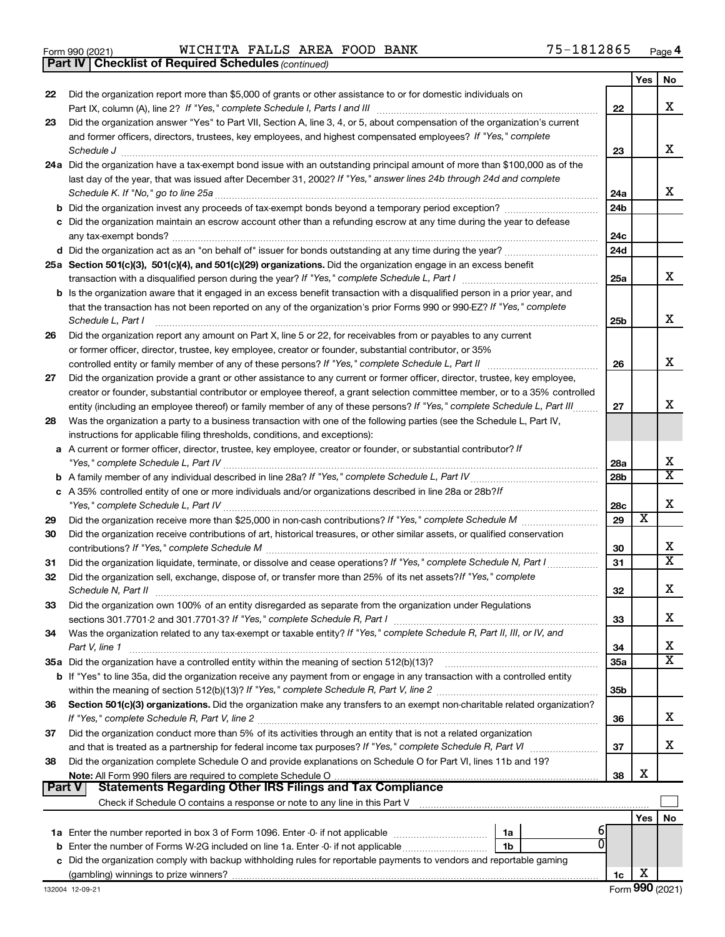*(continued)* **Part IV Checklist of Required Schedules**

| 22            | Did the organization report more than \$5,000 of grants or other assistance to or for domestic individuals on                                                                                                                               |                 | Yes | No                           |
|---------------|---------------------------------------------------------------------------------------------------------------------------------------------------------------------------------------------------------------------------------------------|-----------------|-----|------------------------------|
|               |                                                                                                                                                                                                                                             | 22              |     | x                            |
| 23            | Did the organization answer "Yes" to Part VII, Section A, line 3, 4, or 5, about compensation of the organization's current                                                                                                                 |                 |     |                              |
|               | and former officers, directors, trustees, key employees, and highest compensated employees? If "Yes," complete                                                                                                                              | 23              |     | x                            |
|               | Schedule J <b>Execute Schedule Schedule Schedule Schedule</b> J <b>Execute Schedule J Execute Schedule J</b><br>24a Did the organization have a tax-exempt bond issue with an outstanding principal amount of more than \$100,000 as of the |                 |     |                              |
|               | last day of the year, that was issued after December 31, 2002? If "Yes," answer lines 24b through 24d and complete                                                                                                                          |                 |     |                              |
|               |                                                                                                                                                                                                                                             | 24a             |     | x                            |
|               |                                                                                                                                                                                                                                             | 24 <sub>b</sub> |     |                              |
|               | c Did the organization maintain an escrow account other than a refunding escrow at any time during the year to defease                                                                                                                      |                 |     |                              |
|               |                                                                                                                                                                                                                                             | 24c             |     |                              |
|               |                                                                                                                                                                                                                                             | 24d             |     |                              |
|               | 25a Section 501(c)(3), 501(c)(4), and 501(c)(29) organizations. Did the organization engage in an excess benefit                                                                                                                            |                 |     |                              |
|               |                                                                                                                                                                                                                                             | 25a             |     | x                            |
|               | <b>b</b> Is the organization aware that it engaged in an excess benefit transaction with a disqualified person in a prior year, and                                                                                                         |                 |     |                              |
|               | that the transaction has not been reported on any of the organization's prior Forms 990 or 990-EZ? If "Yes," complete                                                                                                                       |                 |     | x                            |
| 26            | Schedule L, Part I<br>Did the organization report any amount on Part X, line 5 or 22, for receivables from or payables to any current                                                                                                       | 25 <sub>b</sub> |     |                              |
|               | or former officer, director, trustee, key employee, creator or founder, substantial contributor, or 35%                                                                                                                                     |                 |     |                              |
|               | controlled entity or family member of any of these persons? If "Yes," complete Schedule L, Part II [1, [1, [1]                                                                                                                              | 26              |     | x                            |
| 27            | Did the organization provide a grant or other assistance to any current or former officer, director, trustee, key employee,                                                                                                                 |                 |     |                              |
|               | creator or founder, substantial contributor or employee thereof, a grant selection committee member, or to a 35% controlled                                                                                                                 |                 |     |                              |
|               | entity (including an employee thereof) or family member of any of these persons? If "Yes," complete Schedule L, Part III                                                                                                                    | 27              |     | x                            |
| 28            | Was the organization a party to a business transaction with one of the following parties (see the Schedule L, Part IV,                                                                                                                      |                 |     |                              |
|               | instructions for applicable filing thresholds, conditions, and exceptions):                                                                                                                                                                 |                 |     |                              |
| a             | A current or former officer, director, trustee, key employee, creator or founder, or substantial contributor? If                                                                                                                            |                 |     |                              |
|               |                                                                                                                                                                                                                                             | 28a             |     | х<br>$\overline{\texttt{x}}$ |
| b             |                                                                                                                                                                                                                                             | 28 <sub>b</sub> |     |                              |
|               | c A 35% controlled entity of one or more individuals and/or organizations described in line 28a or 28b?/f                                                                                                                                   | 28c             |     | x                            |
| 29            |                                                                                                                                                                                                                                             | 29              | X   |                              |
| 30            | Did the organization receive contributions of art, historical treasures, or other similar assets, or qualified conservation                                                                                                                 |                 |     |                              |
|               |                                                                                                                                                                                                                                             | 30              |     | х                            |
| 31            |                                                                                                                                                                                                                                             | 31              |     | $\overline{\textbf{X}}$      |
| 32            | Did the organization sell, exchange, dispose of, or transfer more than 25% of its net assets? If "Yes," complete                                                                                                                            |                 |     |                              |
|               |                                                                                                                                                                                                                                             | 32              |     | х                            |
| 33            | Did the organization own 100% of an entity disregarded as separate from the organization under Regulations                                                                                                                                  |                 |     |                              |
|               | sections 301.7701-2 and 301.7701-3? If "Yes," complete Schedule R, Part I                                                                                                                                                                   | 33              |     | х                            |
| 34            | Was the organization related to any tax-exempt or taxable entity? If "Yes," complete Schedule R, Part II, III, or IV, and<br>Part V, line 1                                                                                                 | 34              |     | х                            |
|               |                                                                                                                                                                                                                                             | 35a             |     | х                            |
|               | <b>b</b> If "Yes" to line 35a, did the organization receive any payment from or engage in any transaction with a controlled entity                                                                                                          |                 |     |                              |
|               |                                                                                                                                                                                                                                             | 35 <sub>b</sub> |     |                              |
| 36            | Section 501(c)(3) organizations. Did the organization make any transfers to an exempt non-charitable related organization?                                                                                                                  |                 |     |                              |
|               |                                                                                                                                                                                                                                             | 36              |     | х                            |
| 37            | Did the organization conduct more than 5% of its activities through an entity that is not a related organization                                                                                                                            | 37              |     | х                            |
| 38            | Did the organization complete Schedule O and provide explanations on Schedule O for Part VI, lines 11b and 19?                                                                                                                              |                 |     |                              |
|               | Note: All Form 990 filers are required to complete Schedule O                                                                                                                                                                               | 38              | х   |                              |
| <b>Part V</b> | <b>Statements Regarding Other IRS Filings and Tax Compliance</b>                                                                                                                                                                            |                 |     |                              |
|               |                                                                                                                                                                                                                                             |                 |     |                              |
|               |                                                                                                                                                                                                                                             |                 | Yes | No                           |
|               | 1a                                                                                                                                                                                                                                          |                 |     |                              |
| b             | Enter the number of Forms W-2G included on line 1a. Enter -0- if not applicable<br>1 <sub>b</sub>                                                                                                                                           |                 |     |                              |
|               | Did the organization comply with backup withholding rules for reportable payments to vendors and reportable gaming                                                                                                                          |                 | х   |                              |
|               |                                                                                                                                                                                                                                             | 1c              |     |                              |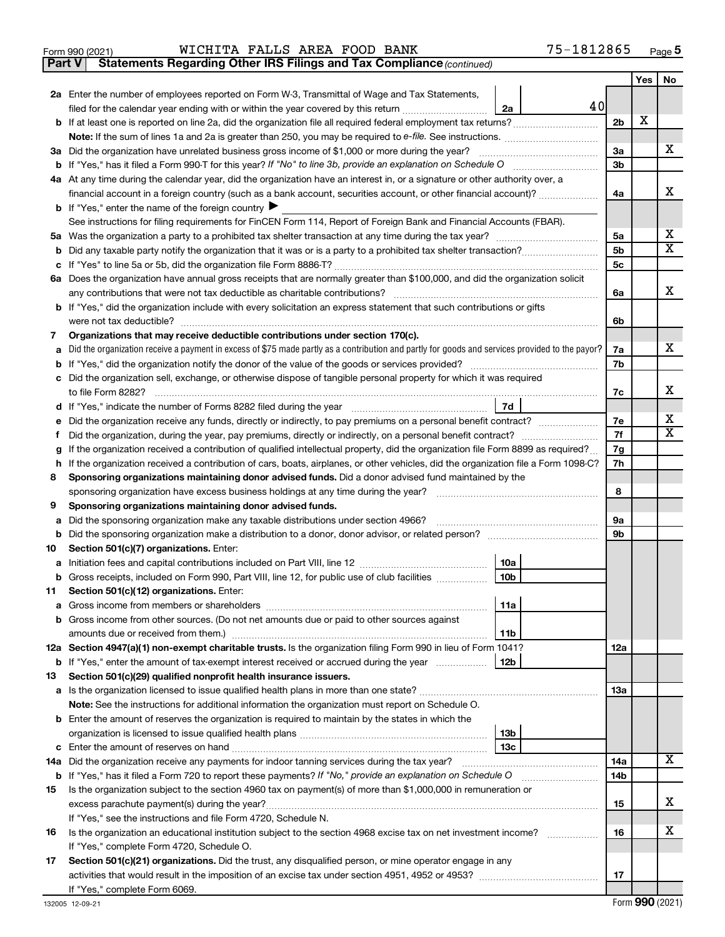|  | Form 990 (2021) |
|--|-----------------|
|  |                 |

**Part V** Statements Regarding Other IRS Filings and Tax Compliance (continued)

|    |                                                                                                                                                                                 |                | Yes | <b>No</b>                   |  |  |  |  |
|----|---------------------------------------------------------------------------------------------------------------------------------------------------------------------------------|----------------|-----|-----------------------------|--|--|--|--|
|    | 2a Enter the number of employees reported on Form W-3, Transmittal of Wage and Tax Statements,                                                                                  |                |     |                             |  |  |  |  |
|    | 40<br>filed for the calendar year ending with or within the year covered by this return <i>manumumumum</i><br>2a                                                                |                |     |                             |  |  |  |  |
|    |                                                                                                                                                                                 | 2 <sub>b</sub> | х   |                             |  |  |  |  |
|    |                                                                                                                                                                                 |                |     |                             |  |  |  |  |
|    | 3a Did the organization have unrelated business gross income of \$1,000 or more during the year?                                                                                | 3a             |     | х                           |  |  |  |  |
|    | <b>b</b> If "Yes," has it filed a Form 990-T for this year? If "No" to line 3b, provide an explanation on Schedule O                                                            | 3b             |     |                             |  |  |  |  |
|    | 4a At any time during the calendar year, did the organization have an interest in, or a signature or other authority over, a                                                    |                |     | х                           |  |  |  |  |
|    | financial account in a foreign country (such as a bank account, securities account, or other financial account)?                                                                | 4a             |     |                             |  |  |  |  |
|    | <b>b</b> If "Yes," enter the name of the foreign country<br>See instructions for filing requirements for FinCEN Form 114, Report of Foreign Bank and Financial Accounts (FBAR). |                |     |                             |  |  |  |  |
|    |                                                                                                                                                                                 | 5a             |     | х                           |  |  |  |  |
| b  |                                                                                                                                                                                 | 5b             |     | $\overline{\mathbf{X}}$     |  |  |  |  |
| с  |                                                                                                                                                                                 | 5с             |     |                             |  |  |  |  |
|    | 6a Does the organization have annual gross receipts that are normally greater than \$100,000, and did the organization solicit                                                  |                |     |                             |  |  |  |  |
|    |                                                                                                                                                                                 | 6a             |     | х                           |  |  |  |  |
|    | <b>b</b> If "Yes," did the organization include with every solicitation an express statement that such contributions or gifts                                                   |                |     |                             |  |  |  |  |
|    |                                                                                                                                                                                 |                |     |                             |  |  |  |  |
| 7  | Organizations that may receive deductible contributions under section 170(c).                                                                                                   | 6b             |     |                             |  |  |  |  |
| а  | Did the organization receive a payment in excess of \$75 made partly as a contribution and partly for goods and services provided to the payor?                                 | 7a             |     | x                           |  |  |  |  |
| b  |                                                                                                                                                                                 | 7b             |     |                             |  |  |  |  |
|    | c Did the organization sell, exchange, or otherwise dispose of tangible personal property for which it was required                                                             |                |     |                             |  |  |  |  |
|    | to file Form 8282?                                                                                                                                                              | 7c             |     | х                           |  |  |  |  |
| d  | 7d                                                                                                                                                                              |                |     |                             |  |  |  |  |
| е  | Did the organization receive any funds, directly or indirectly, to pay premiums on a personal benefit contract?                                                                 | 7e             |     | х                           |  |  |  |  |
| f  |                                                                                                                                                                                 | 7f             |     | $\overline{\textnormal{x}}$ |  |  |  |  |
| g  | If the organization received a contribution of qualified intellectual property, did the organization file Form 8899 as required?                                                |                |     |                             |  |  |  |  |
| h  | If the organization received a contribution of cars, boats, airplanes, or other vehicles, did the organization file a Form 1098-C?                                              | 7h             |     |                             |  |  |  |  |
| 8  | Sponsoring organizations maintaining donor advised funds. Did a donor advised fund maintained by the                                                                            |                |     |                             |  |  |  |  |
|    | sponsoring organization have excess business holdings at any time during the year?                                                                                              | 8              |     |                             |  |  |  |  |
| 9  | Sponsoring organizations maintaining donor advised funds.                                                                                                                       |                |     |                             |  |  |  |  |
| а  | Did the sponsoring organization make any taxable distributions under section 4966?                                                                                              | 9a             |     |                             |  |  |  |  |
| b  |                                                                                                                                                                                 | 9b             |     |                             |  |  |  |  |
| 10 | Section 501(c)(7) organizations. Enter:                                                                                                                                         |                |     |                             |  |  |  |  |
| а  | 10a                                                                                                                                                                             |                |     |                             |  |  |  |  |
|    | 10 <sub>b</sub><br><b>b</b> Gross receipts, included on Form 990, Part VIII, line 12, for public use of club facilities                                                         |                |     |                             |  |  |  |  |
| 11 | Section 501(c)(12) organizations. Enter:                                                                                                                                        |                |     |                             |  |  |  |  |
|    | l 11a<br><b>a</b> Gross income from members or shareholders<br><b>b</b> Gross income from other sources. (Do not net amounts due or paid to other sources against               |                |     |                             |  |  |  |  |
|    |                                                                                                                                                                                 |                |     |                             |  |  |  |  |
|    | 11b<br>12a Section 4947(a)(1) non-exempt charitable trusts. Is the organization filing Form 990 in lieu of Form 1041?                                                           | 12a            |     |                             |  |  |  |  |
|    | 12 <sub>b</sub><br><b>b</b> If "Yes," enter the amount of tax-exempt interest received or accrued during the year                                                               |                |     |                             |  |  |  |  |
| 13 | Section 501(c)(29) qualified nonprofit health insurance issuers.                                                                                                                |                |     |                             |  |  |  |  |
|    | a Is the organization licensed to issue qualified health plans in more than one state?                                                                                          | 13a            |     |                             |  |  |  |  |
|    | Note: See the instructions for additional information the organization must report on Schedule O.                                                                               |                |     |                             |  |  |  |  |
|    | <b>b</b> Enter the amount of reserves the organization is required to maintain by the states in which the                                                                       |                |     |                             |  |  |  |  |
|    | 13 <sub>b</sub>                                                                                                                                                                 |                |     |                             |  |  |  |  |
|    | 13c                                                                                                                                                                             |                |     |                             |  |  |  |  |
|    |                                                                                                                                                                                 | 14a            |     | x                           |  |  |  |  |
|    | <b>b</b> If "Yes," has it filed a Form 720 to report these payments? If "No," provide an explanation on Schedule O                                                              | 14b            |     |                             |  |  |  |  |
| 15 | Is the organization subject to the section 4960 tax on payment(s) of more than \$1,000,000 in remuneration or                                                                   |                |     |                             |  |  |  |  |
|    |                                                                                                                                                                                 | 15             |     | x                           |  |  |  |  |
|    | If "Yes," see the instructions and file Form 4720, Schedule N.                                                                                                                  |                |     |                             |  |  |  |  |
| 16 | Is the organization an educational institution subject to the section 4968 excise tax on net investment income?                                                                 | 16             |     | х                           |  |  |  |  |
|    | If "Yes," complete Form 4720, Schedule O.                                                                                                                                       |                |     |                             |  |  |  |  |
| 17 | Section 501(c)(21) organizations. Did the trust, any disqualified person, or mine operator engage in any                                                                        |                |     |                             |  |  |  |  |
|    |                                                                                                                                                                                 | 17             |     |                             |  |  |  |  |
|    | If "Yes," complete Form 6069.                                                                                                                                                   |                |     |                             |  |  |  |  |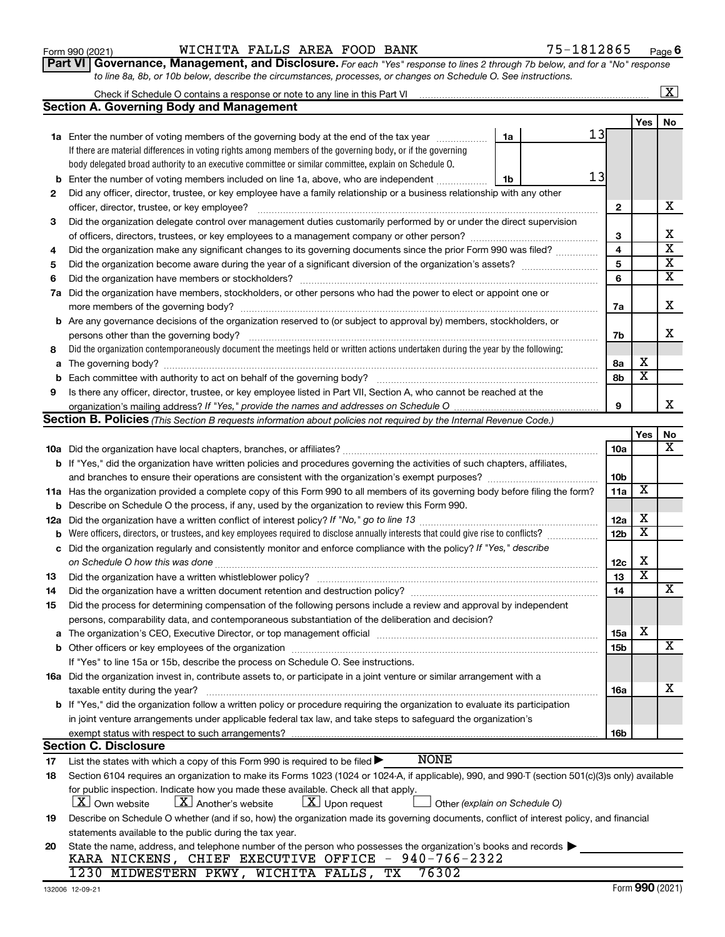|     | body delegated broad authority to an executive committee or similar committee, explain on Schedule O.                                            |                         |                         |                         |  |  |  |
|-----|--------------------------------------------------------------------------------------------------------------------------------------------------|-------------------------|-------------------------|-------------------------|--|--|--|
| b   | 13<br>Enter the number of voting members included on line 1a, above, who are independent<br>1b                                                   |                         |                         |                         |  |  |  |
| 2   | Did any officer, director, trustee, or key employee have a family relationship or a business relationship with any other                         |                         |                         |                         |  |  |  |
|     | officer, director, trustee, or key employee?                                                                                                     | $\mathbf{2}$            |                         | х                       |  |  |  |
| 3   | Did the organization delegate control over management duties customarily performed by or under the direct supervision                            |                         |                         |                         |  |  |  |
|     |                                                                                                                                                  | 3                       |                         | X                       |  |  |  |
| 4   | Did the organization make any significant changes to its governing documents since the prior Form 990 was filed?                                 | $\overline{\mathbf{4}}$ |                         | $\overline{\mathbf{x}}$ |  |  |  |
| 5   |                                                                                                                                                  | 5                       |                         | $\overline{\mathbf{X}}$ |  |  |  |
| 6   |                                                                                                                                                  | 6                       |                         | $\overline{\mathbf{X}}$ |  |  |  |
|     | 7a Did the organization have members, stockholders, or other persons who had the power to elect or appoint one or                                |                         |                         |                         |  |  |  |
|     |                                                                                                                                                  | 7a                      |                         | х                       |  |  |  |
|     | b Are any governance decisions of the organization reserved to (or subject to approval by) members, stockholders, or                             |                         |                         |                         |  |  |  |
|     | persons other than the governing body?                                                                                                           | 7b                      |                         | х                       |  |  |  |
| 8   | Did the organization contemporaneously document the meetings held or written actions undertaken during the year by the following:                |                         |                         |                         |  |  |  |
| а   | 8а                                                                                                                                               |                         |                         |                         |  |  |  |
|     |                                                                                                                                                  | 8b                      | $\overline{\textbf{x}}$ |                         |  |  |  |
| 9   | Is there any officer, director, trustee, or key employee listed in Part VII, Section A, who cannot be reached at the                             |                         |                         |                         |  |  |  |
|     | organization's mailing address? If "Yes," provide the names and addresses on Schedule O.<br>9                                                    |                         |                         |                         |  |  |  |
|     | Section B. Policies (This Section B requests information about policies not required by the Internal Revenue Code.)                              |                         |                         |                         |  |  |  |
|     |                                                                                                                                                  |                         | Yes                     | No                      |  |  |  |
|     |                                                                                                                                                  | 10a                     |                         | х                       |  |  |  |
|     | <b>b</b> If "Yes," did the organization have written policies and procedures governing the activities of such chapters, affiliates,              |                         |                         |                         |  |  |  |
|     | 10 <sub>b</sub>                                                                                                                                  |                         |                         |                         |  |  |  |
|     | 11a Has the organization provided a complete copy of this Form 990 to all members of its governing body before filing the form?                  |                         |                         |                         |  |  |  |
|     | <b>b</b> Describe on Schedule O the process, if any, used by the organization to review this Form 990.                                           |                         |                         |                         |  |  |  |
| 12a |                                                                                                                                                  |                         |                         |                         |  |  |  |
| b   | Were officers, directors, or trustees, and key employees required to disclose annually interests that could give rise to conflicts?              |                         |                         |                         |  |  |  |
| с   | 12 <sub>b</sub><br>Did the organization regularly and consistently monitor and enforce compliance with the policy? If "Yes," describe            |                         |                         |                         |  |  |  |
|     |                                                                                                                                                  | 12 <sub>c</sub>         | х                       |                         |  |  |  |
| 13  |                                                                                                                                                  | 13                      | $\overline{\text{x}}$   |                         |  |  |  |
| 14  |                                                                                                                                                  | 14                      |                         | х                       |  |  |  |
| 15  | Did the process for determining compensation of the following persons include a review and approval by independent                               |                         |                         |                         |  |  |  |
|     | persons, comparability data, and contemporaneous substantiation of the deliberation and decision?                                                |                         |                         |                         |  |  |  |
| а   |                                                                                                                                                  | 15a                     | X                       |                         |  |  |  |
|     |                                                                                                                                                  | 15 <sub>b</sub>         |                         | X                       |  |  |  |
|     | If "Yes" to line 15a or 15b, describe the process on Schedule O. See instructions.                                                               |                         |                         |                         |  |  |  |
|     | 16a Did the organization invest in, contribute assets to, or participate in a joint venture or similar arrangement with a                        |                         |                         |                         |  |  |  |
|     | taxable entity during the year?                                                                                                                  | 16a                     |                         | X                       |  |  |  |
|     | b If "Yes," did the organization follow a written policy or procedure requiring the organization to evaluate its participation                   |                         |                         |                         |  |  |  |
|     | in joint venture arrangements under applicable federal tax law, and take steps to safeguard the organization's                                   |                         |                         |                         |  |  |  |
|     | exempt status with respect to such arrangements?                                                                                                 | 16b                     |                         |                         |  |  |  |
|     | <b>Section C. Disclosure</b>                                                                                                                     |                         |                         |                         |  |  |  |
| 17  | <b>NONE</b><br>List the states with which a copy of this Form 990 is required to be filed >                                                      |                         |                         |                         |  |  |  |
| 18  | Section 6104 requires an organization to make its Forms 1023 (1024 or 1024-A, if applicable), 990, and 990-T (section 501(c)(3)s only) available |                         |                         |                         |  |  |  |
|     | for public inspection. Indicate how you made these available. Check all that apply.                                                              |                         |                         |                         |  |  |  |
|     | $\lfloor \mathbf{X} \rfloor$ Another's website<br>$ \mathbf{X} $ Upon request<br><b>X</b> Own website<br>Other (explain on Schedule O)           |                         |                         |                         |  |  |  |
| 19  | Describe on Schedule O whether (and if so, how) the organization made its governing documents, conflict of interest policy, and financial        |                         |                         |                         |  |  |  |
|     | statements available to the public during the tax year.                                                                                          |                         |                         |                         |  |  |  |
| 20  | State the name, address, and telephone number of the person who possesses the organization's books and records                                   |                         |                         |                         |  |  |  |
|     | KARA NICKENS, CHIEF EXECUTIVE OFFICE - 940-766-2322                                                                                              |                         |                         |                         |  |  |  |
|     | 76302<br>1230 MIDWESTERN PKWY, WICHITA FALLS, TX                                                                                                 |                         |                         |                         |  |  |  |

### Form 990 (2021) **Page 1 MICHITA FALLS AREA FOOD BANK** 75-1812865  $_{\text{Page}}$

**1a** Enter the number of voting members of the governing body at the end of the tax year *www.fronoming* 

Check if Schedule O contains a response or note to any line in this Part VI

**Section A. Governing Body and Management**

If there are material differences in voting rights among members of the governing body, or if the governing

**Part VI** Governance, Management, and Disclosure. For each "Yes" response to lines 2 through 7b below, and for a "No" response *to line 8a, 8b, or 10b below, describe the circumstances, processes, or changes on Schedule O. See instructions.*

13

**1a**

**6**

**Yes No**

 $\boxed{\text{X}}$ 

Form (2021) **990**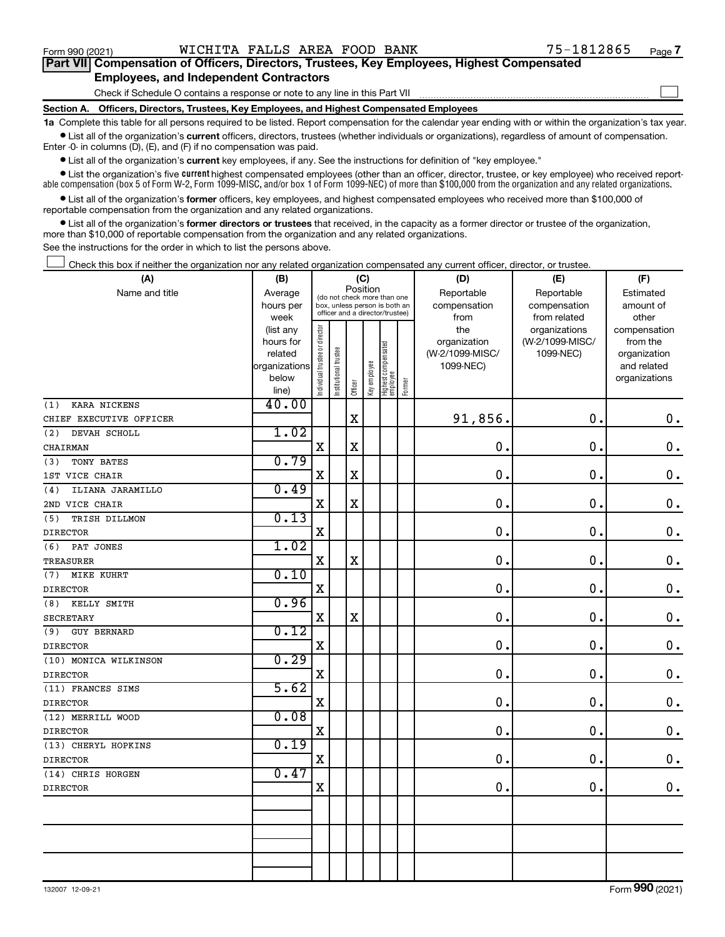$\Box$ 

| Part VII Compensation of Officers, Directors, Trustees, Key Employees, Highest Compensated |  |  |
|--------------------------------------------------------------------------------------------|--|--|
| <b>Employees, and Independent Contractors</b>                                              |  |  |

Check if Schedule O contains a response or note to any line in this Part VII

**Section A. Officers, Directors, Trustees, Key Employees, and Highest Compensated Employees**

**1a**  Complete this table for all persons required to be listed. Report compensation for the calendar year ending with or within the organization's tax year.  $\bullet$  List all of the organization's current officers, directors, trustees (whether individuals or organizations), regardless of amount of compensation.

Enter -0- in columns (D), (E), and (F) if no compensation was paid.

**•** List all of the organization's **current** key employees, if any. See the instructions for definition of "key employee."

• List the organization's five *current* highest compensated employees (other than an officer, director, trustee, or key employee) who received reportable compensation (box 5 of Form W-2, Form 1099-MISC, and/or box 1 of Form 1099-NEC) of more than \$100,000 from the organization and any related organizations.

 $\bullet$  List all of the organization's former officers, key employees, and highest compensated employees who received more than \$100,000 of reportable compensation from the organization and any related organizations.

**•** List all of the organization's former directors or trustees that received, in the capacity as a former director or trustee of the organization, more than \$10,000 of reportable compensation from the organization and any related organizations.

See the instructions for the order in which to list the persons above.

Check this box if neither the organization nor any related organization compensated any current officer, director, or trustee.  $\Box$ 

| (A)                       | (B)                    |                                |                                                                  | (C)                                     |              |                                 |        | (D)             | (E)             | (F)                          |
|---------------------------|------------------------|--------------------------------|------------------------------------------------------------------|-----------------------------------------|--------------|---------------------------------|--------|-----------------|-----------------|------------------------------|
| Name and title            | Average                |                                |                                                                  | Position<br>(do not check more than one |              |                                 |        | Reportable      | Reportable      | Estimated                    |
|                           | hours per              |                                | box, unless person is both an<br>officer and a director/trustee) |                                         |              |                                 |        | compensation    | compensation    | amount of                    |
|                           | week                   |                                |                                                                  |                                         |              |                                 |        | from            | from related    | other                        |
|                           | (list any              |                                |                                                                  |                                         |              |                                 |        | the             | organizations   | compensation                 |
|                           | hours for              |                                |                                                                  |                                         |              |                                 |        | organization    | (W-2/1099-MISC/ | from the                     |
|                           | related                |                                |                                                                  |                                         |              |                                 |        | (W-2/1099-MISC/ | 1099-NEC)       | organization                 |
|                           | organizations<br>below |                                |                                                                  |                                         |              |                                 |        | 1099-NEC)       |                 | and related<br>organizations |
|                           | line)                  | Individual trustee or director | Institutional trustee                                            | Officer                                 | Key employee | Highest compensated<br>employee | Former |                 |                 |                              |
| KARA NICKENS<br>(1)       | 40.00                  |                                |                                                                  |                                         |              |                                 |        |                 |                 |                              |
| CHIEF EXECUTIVE OFFICER   |                        |                                |                                                                  | $\mathbf X$                             |              |                                 |        | 91,856.         | 0.              | $\mathbf 0$ .                |
| (2)<br>DEVAH SCHOLL       | 1.02                   |                                |                                                                  |                                         |              |                                 |        |                 |                 |                              |
| CHAIRMAN                  |                        | $\mathbf X$                    |                                                                  | $\mathbf X$                             |              |                                 |        | 0.              | $\mathbf 0$ .   | $\mathbf 0$ .                |
| TONY BATES<br>(3)         | 0.79                   |                                |                                                                  |                                         |              |                                 |        |                 |                 |                              |
| 1ST VICE CHAIR            |                        | X                              |                                                                  | $\mathbf X$                             |              |                                 |        | $\mathbf{0}$ .  | $\mathbf 0$ .   | $\mathbf 0$ .                |
| ILIANA JARAMILLO<br>(4)   | 0.49                   |                                |                                                                  |                                         |              |                                 |        |                 |                 |                              |
| 2ND VICE CHAIR            |                        | $\rm X$                        |                                                                  | X                                       |              |                                 |        | 0.              | $\mathbf 0$ .   | $\mathbf 0$ .                |
| (5)<br>TRISH DILLMON      | 0.13                   |                                |                                                                  |                                         |              |                                 |        |                 |                 |                              |
| <b>DIRECTOR</b>           |                        | $\mathbf X$                    |                                                                  |                                         |              |                                 |        | 0.              | $\mathbf 0$ .   | $\mathbf 0$ .                |
| PAT JONES<br>(6)          | 1.02                   |                                |                                                                  |                                         |              |                                 |        |                 |                 |                              |
| <b>TREASURER</b>          |                        | X                              |                                                                  | $\mathbf X$                             |              |                                 |        | 0.              | $\mathbf 0$ .   | $\mathbf 0$ .                |
| (7)<br>MIKE KUHRT         | 0.10                   |                                |                                                                  |                                         |              |                                 |        |                 |                 |                              |
| <b>DIRECTOR</b>           |                        | $\mathbf X$                    |                                                                  |                                         |              |                                 |        | $\mathbf{0}$ .  | $\mathbf 0$ .   | $\mathbf 0$ .                |
| KELLY SMITH<br>(8)        | 0.96                   |                                |                                                                  |                                         |              |                                 |        |                 |                 |                              |
| <b>SECRETARY</b>          |                        | $\mathbf X$                    |                                                                  | $\rm X$                                 |              |                                 |        | 0.              | $\mathbf 0$ .   | $\mathbf 0$ .                |
| <b>GUY BERNARD</b><br>(9) | 0.12                   |                                |                                                                  |                                         |              |                                 |        |                 |                 |                              |
| DIRECTOR                  |                        | $\mathbf X$                    |                                                                  |                                         |              |                                 |        | 0.              | $\mathbf 0$ .   | $\mathbf 0$ .                |
| (10) MONICA WILKINSON     | 0.29                   |                                |                                                                  |                                         |              |                                 |        |                 |                 |                              |
| <b>DIRECTOR</b>           |                        | X                              |                                                                  |                                         |              |                                 |        | $\mathbf 0$ .   | $\mathbf 0$ .   | $\mathbf 0$ .                |
| (11) FRANCES SIMS         | 5.62                   |                                |                                                                  |                                         |              |                                 |        |                 |                 |                              |
| <b>DIRECTOR</b>           |                        | X                              |                                                                  |                                         |              |                                 |        | $\mathbf 0$ .   | $\mathbf 0$ .   | $\mathbf 0$ .                |
| (12) MERRILL WOOD         | 0.08                   |                                |                                                                  |                                         |              |                                 |        |                 |                 |                              |
| <b>DIRECTOR</b>           |                        | $\mathbf X$                    |                                                                  |                                         |              |                                 |        | $\mathbf 0$ .   | $\mathbf 0$ .   | $\mathbf 0$ .                |
| (13) CHERYL HOPKINS       | 0.19                   |                                |                                                                  |                                         |              |                                 |        |                 |                 |                              |
| <b>DIRECTOR</b>           |                        | $\mathbf X$                    |                                                                  |                                         |              |                                 |        | $\mathbf 0$ .   | $\mathbf 0$ .   | $0$ .                        |
| (14) CHRIS HORGEN         | 0.47                   |                                |                                                                  |                                         |              |                                 |        |                 |                 |                              |
| <b>DIRECTOR</b>           |                        | X                              |                                                                  |                                         |              |                                 |        | 0.              | $\mathbf 0$ .   | 0.                           |
|                           |                        |                                |                                                                  |                                         |              |                                 |        |                 |                 |                              |
|                           |                        |                                |                                                                  |                                         |              |                                 |        |                 |                 |                              |
|                           |                        |                                |                                                                  |                                         |              |                                 |        |                 |                 |                              |
|                           |                        |                                |                                                                  |                                         |              |                                 |        |                 |                 |                              |
|                           |                        |                                |                                                                  |                                         |              |                                 |        |                 |                 |                              |
|                           |                        |                                |                                                                  |                                         |              |                                 |        |                 |                 |                              |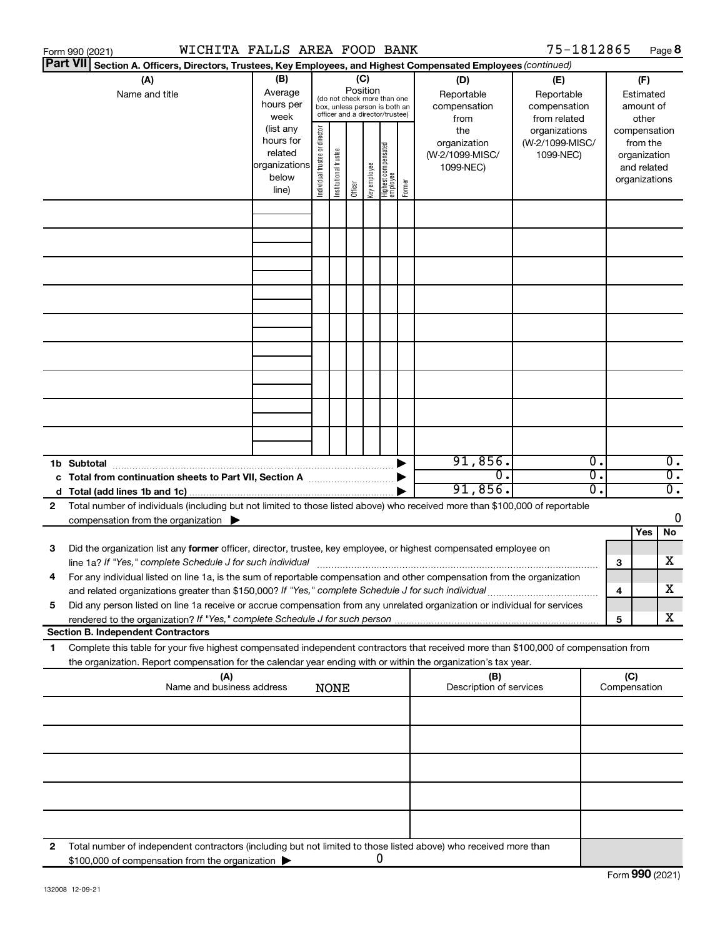|    | WICHITA FALLS AREA FOOD BANK<br>Form 990 (2021)                                                                                                                                                                                                        |                                                                      |                                   |                                                                                                 |         |              |                                  |        |                                                     | 75-1812865                                        |          |                     | Page 8                                                                   |
|----|--------------------------------------------------------------------------------------------------------------------------------------------------------------------------------------------------------------------------------------------------------|----------------------------------------------------------------------|-----------------------------------|-------------------------------------------------------------------------------------------------|---------|--------------|----------------------------------|--------|-----------------------------------------------------|---------------------------------------------------|----------|---------------------|--------------------------------------------------------------------------|
|    | <b>Part VII</b><br>Section A. Officers, Directors, Trustees, Key Employees, and Highest Compensated Employees (continued)                                                                                                                              |                                                                      |                                   |                                                                                                 |         |              |                                  |        |                                                     |                                                   |          |                     |                                                                          |
|    | (A)<br>Name and title                                                                                                                                                                                                                                  | (B)<br>Average<br>hours per<br>week                                  |                                   | (do not check more than one<br>box, unless person is both an<br>officer and a director/trustee) | (C)     | Position     |                                  |        | (D)<br>Reportable<br>compensation<br>from           | (E)<br>Reportable<br>compensation<br>from related |          |                     | (F)<br>Estimated<br>amount of<br>other                                   |
|    |                                                                                                                                                                                                                                                        | (list any<br>hours for<br>related<br>organizations<br>below<br>line) | director<br>Individual trustee or | Institutional trustee                                                                           | Officer | Key employee | Highest compensated<br> employee | Former | the<br>organization<br>(W-2/1099-MISC/<br>1099-NEC) | organizations<br>(W-2/1099-MISC/<br>1099-NEC)     |          |                     | compensation<br>from the<br>organization<br>and related<br>organizations |
|    |                                                                                                                                                                                                                                                        |                                                                      |                                   |                                                                                                 |         |              |                                  |        |                                                     |                                                   |          |                     |                                                                          |
|    |                                                                                                                                                                                                                                                        |                                                                      |                                   |                                                                                                 |         |              |                                  |        |                                                     |                                                   |          |                     |                                                                          |
|    |                                                                                                                                                                                                                                                        |                                                                      |                                   |                                                                                                 |         |              |                                  |        |                                                     |                                                   |          |                     |                                                                          |
|    |                                                                                                                                                                                                                                                        |                                                                      |                                   |                                                                                                 |         |              |                                  |        |                                                     |                                                   |          |                     |                                                                          |
|    |                                                                                                                                                                                                                                                        |                                                                      |                                   |                                                                                                 |         |              |                                  |        |                                                     |                                                   |          |                     |                                                                          |
|    |                                                                                                                                                                                                                                                        |                                                                      |                                   |                                                                                                 |         |              |                                  |        |                                                     |                                                   |          |                     |                                                                          |
|    |                                                                                                                                                                                                                                                        |                                                                      |                                   |                                                                                                 |         |              |                                  |        |                                                     |                                                   |          |                     |                                                                          |
|    |                                                                                                                                                                                                                                                        |                                                                      |                                   |                                                                                                 |         |              |                                  |        |                                                     |                                                   |          |                     |                                                                          |
|    | 1b Subtotal                                                                                                                                                                                                                                            |                                                                      |                                   |                                                                                                 |         |              |                                  |        | 91,856.                                             |                                                   | σ.       |                     | $\overline{0}$ .                                                         |
|    | c Total from continuation sheets to Part VII, Section A manuscription of                                                                                                                                                                               |                                                                      |                                   |                                                                                                 |         |              |                                  |        | σ.<br>91,856.                                       |                                                   | σ.<br>σ. |                     | $\overline{0}$ .<br>$\overline{0}$ .                                     |
| 2  | Total number of individuals (including but not limited to those listed above) who received more than \$100,000 of reportable<br>compensation from the organization $\blacktriangleright$                                                               |                                                                      |                                   |                                                                                                 |         |              |                                  |        |                                                     |                                                   |          |                     | 0                                                                        |
|    |                                                                                                                                                                                                                                                        |                                                                      |                                   |                                                                                                 |         |              |                                  |        |                                                     |                                                   |          |                     | No<br>Yes                                                                |
| 3  | Did the organization list any former officer, director, trustee, key employee, or highest compensated employee on                                                                                                                                      |                                                                      |                                   |                                                                                                 |         |              |                                  |        |                                                     |                                                   |          | 3                   | X                                                                        |
|    | For any individual listed on line 1a, is the sum of reportable compensation and other compensation from the organization<br>and related organizations greater than \$150,000? If "Yes," complete Schedule J for such individual                        |                                                                      |                                   |                                                                                                 |         |              |                                  |        |                                                     |                                                   |          | 4                   | X                                                                        |
| 5  | Did any person listed on line 1a receive or accrue compensation from any unrelated organization or individual for services                                                                                                                             |                                                                      |                                   |                                                                                                 |         |              |                                  |        |                                                     |                                                   |          | 5                   | x                                                                        |
|    | <b>Section B. Independent Contractors</b>                                                                                                                                                                                                              |                                                                      |                                   |                                                                                                 |         |              |                                  |        |                                                     |                                                   |          |                     |                                                                          |
| 1. | Complete this table for your five highest compensated independent contractors that received more than \$100,000 of compensation from<br>the organization. Report compensation for the calendar year ending with or within the organization's tax year. |                                                                      |                                   |                                                                                                 |         |              |                                  |        |                                                     |                                                   |          |                     |                                                                          |
|    | (A)<br>Name and business address                                                                                                                                                                                                                       |                                                                      |                                   | <b>NONE</b>                                                                                     |         |              |                                  |        | (B)<br>Description of services                      |                                                   |          | (C)<br>Compensation |                                                                          |
|    |                                                                                                                                                                                                                                                        |                                                                      |                                   |                                                                                                 |         |              |                                  |        |                                                     |                                                   |          |                     |                                                                          |
|    |                                                                                                                                                                                                                                                        |                                                                      |                                   |                                                                                                 |         |              |                                  |        |                                                     |                                                   |          |                     |                                                                          |
|    |                                                                                                                                                                                                                                                        |                                                                      |                                   |                                                                                                 |         |              |                                  |        |                                                     |                                                   |          |                     |                                                                          |
|    |                                                                                                                                                                                                                                                        |                                                                      |                                   |                                                                                                 |         |              |                                  |        |                                                     |                                                   |          |                     |                                                                          |
| 2  | Total number of independent contractors (including but not limited to those listed above) who received more than<br>\$100,000 of compensation from the organization                                                                                    |                                                                      |                                   |                                                                                                 |         |              | 0                                |        |                                                     |                                                   |          |                     |                                                                          |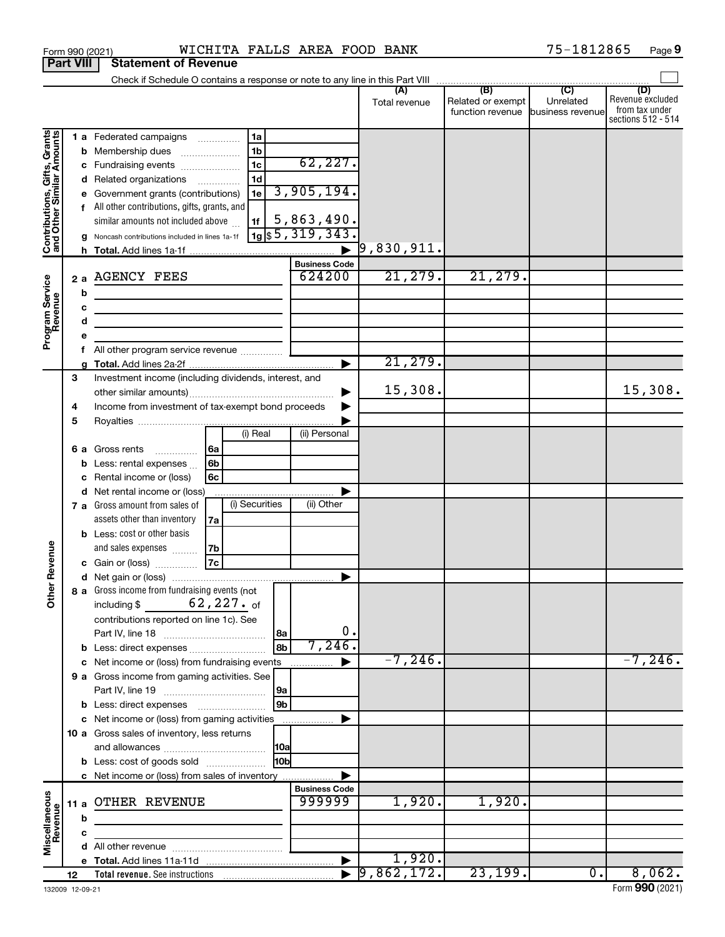|                                                           |                  |                                                                                                                                                                                                                                                                                                |                                                 | Total revenue       | (B)<br>Related or exempt<br>function revenue | (C)<br>Unrelated<br>business revenue | (D)<br>Revenue excluded<br>from tax under<br>sections 512 - 514 |
|-----------------------------------------------------------|------------------|------------------------------------------------------------------------------------------------------------------------------------------------------------------------------------------------------------------------------------------------------------------------------------------------|-------------------------------------------------|---------------------|----------------------------------------------|--------------------------------------|-----------------------------------------------------------------|
| Gifts, Grants<br>Contributions, Gift<br>and Other Similar | е                | 1 a Federated campaigns<br>1a<br>1 <sub>b</sub><br><b>b</b> Membership dues<br>1 <sub>c</sub><br>c Fundraising events<br>1d<br>d Related organizations<br>Government grants (contributions)<br>1e<br>f All other contributions, gifts, grants, and<br>similar amounts not included above<br>1f | 62, 227.<br>3,905,194.<br>5,863,490.            |                     |                                              |                                      |                                                                 |
|                                                           | g                | Noncash contributions included in lines 1a-1f                                                                                                                                                                                                                                                  | $\eta$ <sub>1g</sub> $\frac{1}{3}$ 5, 319, 343. |                     |                                              |                                      |                                                                 |
|                                                           |                  |                                                                                                                                                                                                                                                                                                | <b>Business Code</b>                            | $\vert 9$ ,830,911. |                                              |                                      |                                                                 |
|                                                           |                  | 2 a AGENCY FEES                                                                                                                                                                                                                                                                                | 624200                                          | 21,279.             | 21,279.                                      |                                      |                                                                 |
| Program Service<br>Revenue                                | b<br>c<br>d<br>е |                                                                                                                                                                                                                                                                                                |                                                 |                     |                                              |                                      |                                                                 |
|                                                           | f                |                                                                                                                                                                                                                                                                                                |                                                 |                     |                                              |                                      |                                                                 |
|                                                           | g                |                                                                                                                                                                                                                                                                                                |                                                 | 21,279.             |                                              |                                      |                                                                 |
|                                                           | 3<br>4<br>5      | Investment income (including dividends, interest, and<br>Income from investment of tax-exempt bond proceeds                                                                                                                                                                                    |                                                 | 15,308.             |                                              |                                      | 15,308.                                                         |
|                                                           |                  | (i) Real                                                                                                                                                                                                                                                                                       | (ii) Personal                                   |                     |                                              |                                      |                                                                 |
|                                                           | b<br>с           | 6a<br>6 a Gross rents<br>6 <sub>b</sub><br>Less: rental expenses<br>6c<br>Rental income or (loss)                                                                                                                                                                                              |                                                 |                     |                                              |                                      |                                                                 |
|                                                           |                  | d Net rental income or (loss)<br>(i) Securities<br>7 a Gross amount from sales of                                                                                                                                                                                                              | (ii) Other                                      |                     |                                              |                                      |                                                                 |
| ther Revenue                                              |                  | assets other than inventory<br>7a<br><b>b</b> Less: cost or other basis<br>and sales expenses<br>7b<br>7c<br>c Gain or (loss)                                                                                                                                                                  |                                                 |                     |                                              |                                      |                                                                 |
|                                                           |                  |                                                                                                                                                                                                                                                                                                |                                                 |                     |                                              |                                      |                                                                 |
| Ò                                                         |                  | 8 a Gross income from fundraising events (not<br>$62,227$ .of<br>including \$<br>contributions reported on line 1c). See<br> 8a<br>8b<br>b Less: direct expenses                                                                                                                               | 0.<br>7,246.                                    |                     |                                              |                                      |                                                                 |
|                                                           |                  | c Net income or (loss) from fundraising events                                                                                                                                                                                                                                                 |                                                 | $-7, 246$ .         |                                              |                                      | $-7, 246.$                                                      |
|                                                           |                  | 9 a Gross income from gaming activities. See<br>9a<br>9b                                                                                                                                                                                                                                       |                                                 |                     |                                              |                                      |                                                                 |
|                                                           |                  | <b>b</b> Less: direct expenses <b>manually</b><br>c Net income or (loss) from gaming activities                                                                                                                                                                                                |                                                 |                     |                                              |                                      |                                                                 |
|                                                           |                  | 10 a Gross sales of inventory, less returns<br> 10a<br>10bl<br><b>b</b> Less: cost of goods sold<br>c Net income or (loss) from sales of inventory                                                                                                                                             |                                                 |                     |                                              |                                      |                                                                 |
|                                                           |                  |                                                                                                                                                                                                                                                                                                | <b>Business Code</b>                            |                     |                                              |                                      |                                                                 |
| Miscellaneous<br>Revenue                                  | 11 a<br>b        | <b>OTHER REVENUE</b>                                                                                                                                                                                                                                                                           | 999999                                          | 1,920.              | 1,920.                                       |                                      |                                                                 |
|                                                           | с                |                                                                                                                                                                                                                                                                                                |                                                 |                     |                                              |                                      |                                                                 |
|                                                           |                  |                                                                                                                                                                                                                                                                                                |                                                 |                     |                                              |                                      |                                                                 |
|                                                           |                  |                                                                                                                                                                                                                                                                                                |                                                 | 1,920.              |                                              |                                      |                                                                 |
|                                                           | 12               |                                                                                                                                                                                                                                                                                                |                                                 | 9,862,172.          | 23,199.                                      | $\overline{\mathbf{0}}$ .            | 8,062.                                                          |

Form 990 (2021) **WICHITA FALLS AREA FOOD BANK** 75-1812865 Page **Part VIII** Statement of Revenue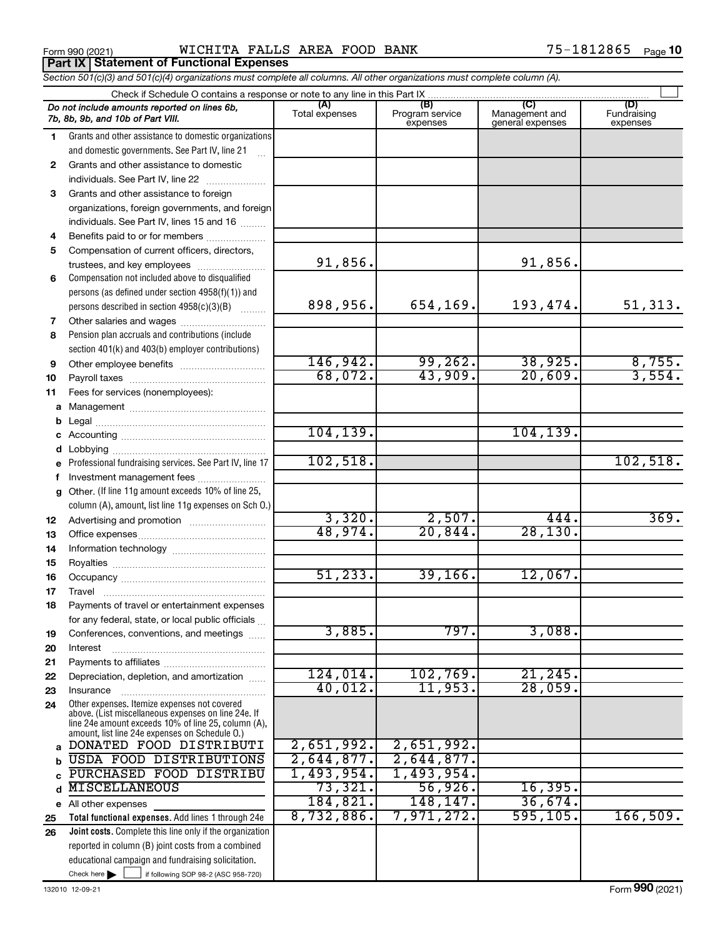Form 990 (2021) Page WICHITA FALLS AREA FOOD BANK 75-1812865 **Porm 990 (2021)**<br>**Part IX | Statement of Functional Expenses** 

*Section 501(c)(3) and 501(c)(4) organizations must complete all columns. All other organizations must complete column (A).*

|    | Check if Schedule O contains a response or note to any line in this Part IX                                                                                                                                  |                       |                                    |                                           |                                |  |  |  |  |  |  |
|----|--------------------------------------------------------------------------------------------------------------------------------------------------------------------------------------------------------------|-----------------------|------------------------------------|-------------------------------------------|--------------------------------|--|--|--|--|--|--|
|    | Do not include amounts reported on lines 6b,<br>7b, 8b, 9b, and 10b of Part VIII.                                                                                                                            | (A)<br>Total expenses | (B)<br>Program service<br>expenses | (C)<br>Management and<br>general expenses | (D)<br>Fundraising<br>expenses |  |  |  |  |  |  |
| 1  | Grants and other assistance to domestic organizations                                                                                                                                                        |                       |                                    |                                           |                                |  |  |  |  |  |  |
|    | and domestic governments. See Part IV, line 21                                                                                                                                                               |                       |                                    |                                           |                                |  |  |  |  |  |  |
| 2  | Grants and other assistance to domestic                                                                                                                                                                      |                       |                                    |                                           |                                |  |  |  |  |  |  |
|    | individuals. See Part IV, line 22                                                                                                                                                                            |                       |                                    |                                           |                                |  |  |  |  |  |  |
| 3  | Grants and other assistance to foreign                                                                                                                                                                       |                       |                                    |                                           |                                |  |  |  |  |  |  |
|    | organizations, foreign governments, and foreign                                                                                                                                                              |                       |                                    |                                           |                                |  |  |  |  |  |  |
|    | individuals. See Part IV, lines 15 and 16                                                                                                                                                                    |                       |                                    |                                           |                                |  |  |  |  |  |  |
| 4  | Benefits paid to or for members                                                                                                                                                                              |                       |                                    |                                           |                                |  |  |  |  |  |  |
| 5  | Compensation of current officers, directors,                                                                                                                                                                 |                       |                                    |                                           |                                |  |  |  |  |  |  |
|    | trustees, and key employees                                                                                                                                                                                  | 91,856.               |                                    | 91,856.                                   |                                |  |  |  |  |  |  |
| 6  | Compensation not included above to disqualified                                                                                                                                                              |                       |                                    |                                           |                                |  |  |  |  |  |  |
|    | persons (as defined under section 4958(f)(1)) and                                                                                                                                                            |                       |                                    |                                           |                                |  |  |  |  |  |  |
|    | persons described in section 4958(c)(3)(B)                                                                                                                                                                   | 898,956.              | 654,169.                           | 193,474.                                  | 51,313.                        |  |  |  |  |  |  |
| 7  |                                                                                                                                                                                                              |                       |                                    |                                           |                                |  |  |  |  |  |  |
| 8  | Pension plan accruals and contributions (include                                                                                                                                                             |                       |                                    |                                           |                                |  |  |  |  |  |  |
|    | section 401(k) and 403(b) employer contributions)                                                                                                                                                            |                       |                                    |                                           |                                |  |  |  |  |  |  |
| 9  |                                                                                                                                                                                                              | 146,942.              | 99,262.                            | 38,925.                                   | $\frac{8,755}{3,554}$          |  |  |  |  |  |  |
| 10 |                                                                                                                                                                                                              | 68,072.               | 43,909.                            | 20,609.                                   |                                |  |  |  |  |  |  |
| 11 | Fees for services (nonemployees):                                                                                                                                                                            |                       |                                    |                                           |                                |  |  |  |  |  |  |
|    |                                                                                                                                                                                                              |                       |                                    |                                           |                                |  |  |  |  |  |  |
| b  |                                                                                                                                                                                                              |                       |                                    |                                           |                                |  |  |  |  |  |  |
|    |                                                                                                                                                                                                              | 104, 139.             |                                    | 104, 139.                                 |                                |  |  |  |  |  |  |
|    |                                                                                                                                                                                                              |                       |                                    |                                           |                                |  |  |  |  |  |  |
|    | Professional fundraising services. See Part IV, line 17                                                                                                                                                      | 102,518.              |                                    |                                           | 102,518.                       |  |  |  |  |  |  |
|    | Investment management fees                                                                                                                                                                                   |                       |                                    |                                           |                                |  |  |  |  |  |  |
| a  | Other. (If line 11g amount exceeds 10% of line 25,                                                                                                                                                           |                       |                                    |                                           |                                |  |  |  |  |  |  |
|    | column (A), amount, list line 11g expenses on Sch O.)                                                                                                                                                        |                       |                                    |                                           |                                |  |  |  |  |  |  |
| 12 |                                                                                                                                                                                                              | 3,320.                | 2,507.                             | 444.                                      | 369.                           |  |  |  |  |  |  |
| 13 |                                                                                                                                                                                                              | 48,974.               | 20,844.                            | 28, 130.                                  |                                |  |  |  |  |  |  |
| 14 |                                                                                                                                                                                                              |                       |                                    |                                           |                                |  |  |  |  |  |  |
| 15 |                                                                                                                                                                                                              |                       |                                    |                                           |                                |  |  |  |  |  |  |
| 16 |                                                                                                                                                                                                              | 51, 233.              | 39, 166.                           | 12,067.                                   |                                |  |  |  |  |  |  |
| 17 | Travel                                                                                                                                                                                                       |                       |                                    |                                           |                                |  |  |  |  |  |  |
| 18 | Payments of travel or entertainment expenses                                                                                                                                                                 |                       |                                    |                                           |                                |  |  |  |  |  |  |
|    | for any federal, state, or local public officials                                                                                                                                                            |                       |                                    |                                           |                                |  |  |  |  |  |  |
| 19 | Conferences, conventions, and meetings                                                                                                                                                                       | 3,885.                | 797.                               | 3,088.                                    |                                |  |  |  |  |  |  |
| 20 | Interest                                                                                                                                                                                                     |                       |                                    |                                           |                                |  |  |  |  |  |  |
| 21 |                                                                                                                                                                                                              |                       |                                    |                                           |                                |  |  |  |  |  |  |
| 22 | Depreciation, depletion, and amortization                                                                                                                                                                    | 124,014.              | 102, 769.                          | 21,245.                                   |                                |  |  |  |  |  |  |
| 23 | Insurance                                                                                                                                                                                                    | 40,012.               | 11,953.                            | 28,059.                                   |                                |  |  |  |  |  |  |
| 24 | Other expenses. Itemize expenses not covered<br>above. (List miscellaneous expenses on line 24e. If<br>line 24e amount exceeds 10% of line 25, column (A),<br>amount, list line 24e expenses on Schedule O.) |                       |                                    |                                           |                                |  |  |  |  |  |  |
| a  | DONATED FOOD DISTRIBUTI                                                                                                                                                                                      | 2,651,992.            | 2,651,992.                         |                                           |                                |  |  |  |  |  |  |
|    | <b>USDA FOOD DISTRIBUTIONS</b>                                                                                                                                                                               | 2,644,877.            | 2,644,877.                         |                                           |                                |  |  |  |  |  |  |
|    | PURCHASED FOOD DISTRIBU                                                                                                                                                                                      | 1,493,954.            | 1,493,954.                         |                                           |                                |  |  |  |  |  |  |
| d  | <b>MISCELLANEOUS</b>                                                                                                                                                                                         | 73,321.               | 56,926.                            | 16,395.                                   |                                |  |  |  |  |  |  |
|    | e All other expenses                                                                                                                                                                                         | 184, 821.             | 148,147.                           | 36,674.                                   |                                |  |  |  |  |  |  |
| 25 | Total functional expenses. Add lines 1 through 24e                                                                                                                                                           | 8,732,886.            | 7,971,272.                         | 595,105.                                  | 166,509.                       |  |  |  |  |  |  |
| 26 | Joint costs. Complete this line only if the organization                                                                                                                                                     |                       |                                    |                                           |                                |  |  |  |  |  |  |
|    | reported in column (B) joint costs from a combined                                                                                                                                                           |                       |                                    |                                           |                                |  |  |  |  |  |  |
|    | educational campaign and fundraising solicitation.                                                                                                                                                           |                       |                                    |                                           |                                |  |  |  |  |  |  |
|    | Check here $\blacktriangleright$<br>if following SOP 98-2 (ASC 958-720)                                                                                                                                      |                       |                                    |                                           |                                |  |  |  |  |  |  |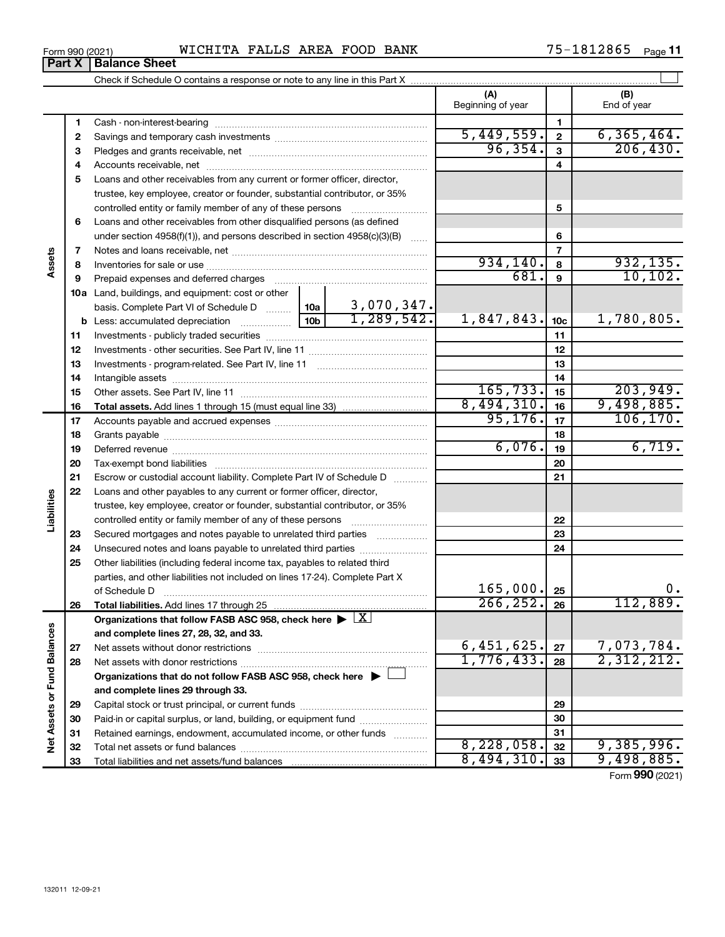| Form 990 (2021) | WICHITA FALLS AREA FOOD BANK | $75 - 1812865$ Page 11 |
|-----------------|------------------------------|------------------------|
|-----------------|------------------------------|------------------------|

Total liabilities and net assets/fund balances ...

|                             | Part X | <b>Balance Sheet</b>                                                                                   |            |                |                               |                 |                            |
|-----------------------------|--------|--------------------------------------------------------------------------------------------------------|------------|----------------|-------------------------------|-----------------|----------------------------|
|                             |        |                                                                                                        |            |                |                               |                 |                            |
|                             |        |                                                                                                        |            |                | (A)<br>Beginning of year      |                 | (B)<br>End of year         |
|                             | 1      |                                                                                                        |            |                |                               | 1               |                            |
|                             | 2      |                                                                                                        | 5,449,559. | $\overline{2}$ | 6, 365, 464.                  |                 |                            |
|                             | З      |                                                                                                        | 96, 354.   | 3              | 206, 430.                     |                 |                            |
|                             | 4      |                                                                                                        |            | 4              |                               |                 |                            |
|                             | 5      | Loans and other receivables from any current or former officer, director,                              |            |                |                               |                 |                            |
|                             |        | trustee, key employee, creator or founder, substantial contributor, or 35%                             |            |                |                               |                 |                            |
|                             |        | controlled entity or family member of any of these persons                                             |            |                |                               | 5               |                            |
|                             | 6      | Loans and other receivables from other disqualified persons (as defined                                |            |                |                               |                 |                            |
|                             |        | under section $4958(f)(1)$ , and persons described in section $4958(c)(3)(B)$                          |            | $\ldots$       |                               | 6               |                            |
|                             | 7      |                                                                                                        |            |                |                               | $\overline{7}$  |                            |
| Assets                      | 8      |                                                                                                        |            |                | 934,140.                      | 8               | 932,135.                   |
|                             | 9      | Prepaid expenses and deferred charges                                                                  |            |                | 681.                          | 9               | 10, 102.                   |
|                             |        | <b>10a</b> Land, buildings, and equipment: cost or other                                               |            |                |                               |                 |                            |
|                             |        |                                                                                                        |            |                |                               |                 |                            |
|                             |        |                                                                                                        |            |                | 1,847,843.                    | 10 <sub>c</sub> | 1,780,805.                 |
|                             | 11     |                                                                                                        |            | 11             |                               |                 |                            |
|                             | 12     |                                                                                                        |            |                |                               | 12              |                            |
|                             | 13     |                                                                                                        |            | 13             |                               |                 |                            |
|                             | 14     |                                                                                                        |            | 14             |                               |                 |                            |
|                             | 15     |                                                                                                        | 165, 733.  | 15             | 203,949.                      |                 |                            |
|                             | 16     |                                                                                                        |            |                | 8,494,310.                    | 16              | 9,498,885.                 |
|                             | 17     |                                                                                                        |            | 95, 176.       | 17                            | 106, 170.       |                            |
|                             | 18     |                                                                                                        |            |                |                               | 18              |                            |
|                             | 19     |                                                                                                        |            |                | 6,076.                        | 19              | 6,719.                     |
|                             | 20     |                                                                                                        |            |                |                               | 20              |                            |
|                             | 21     | Escrow or custodial account liability. Complete Part IV of Schedule D                                  |            |                |                               | 21              |                            |
|                             | 22     | Loans and other payables to any current or former officer, director,                                   |            |                |                               |                 |                            |
| Liabilities                 |        | trustee, key employee, creator or founder, substantial contributor, or 35%                             |            |                |                               |                 |                            |
|                             |        |                                                                                                        |            |                |                               | 22              |                            |
|                             | 23     | Secured mortgages and notes payable to unrelated third parties                                         |            |                |                               | 23              |                            |
|                             | 24     | Unsecured notes and loans payable to unrelated third parties                                           |            |                |                               | 24              |                            |
|                             | 25     | Other liabilities (including federal income tax, payables to related third                             |            |                |                               |                 |                            |
|                             |        | parties, and other liabilities not included on lines 17-24). Complete Part X                           |            |                |                               |                 |                            |
|                             |        | of Schedule D                                                                                          |            |                | 165,000.                      | 25              | 0.                         |
|                             | 26     | Total liabilities. Add lines 17 through 25                                                             |            |                | 266, 252.                     | 26              | 112,889.                   |
|                             |        | Organizations that follow FASB ASC 958, check here $\blacktriangleright \lfloor \underline{X} \rfloor$ |            |                |                               |                 |                            |
|                             |        | and complete lines 27, 28, 32, and 33.                                                                 |            |                |                               |                 |                            |
|                             | 27     |                                                                                                        |            |                | $\frac{6,451,625}{1,776,433}$ | 27              | $7,073,784.$<br>2,312,212. |
|                             | 28     |                                                                                                        |            |                |                               | 28              |                            |
| Net Assets or Fund Balances |        | Organizations that do not follow FASB ASC 958, check here $\blacktriangleright$                        |            |                |                               |                 |                            |
|                             |        | and complete lines 29 through 33.                                                                      |            |                |                               |                 |                            |
|                             | 29     |                                                                                                        |            |                |                               | 29              |                            |
|                             | 30     | Paid-in or capital surplus, or land, building, or equipment fund                                       |            |                |                               | 30              |                            |
|                             | 31     | Retained earnings, endowment, accumulated income, or other funds                                       |            |                |                               | 31              |                            |
|                             | 32     |                                                                                                        |            |                | 8,228,058.                    | 32              | 9,385,996.                 |

Form (2021) **990**

8,228,058. 9,385,996.  $8,494,310.$   $33$  9,498,885.

| Form 990 (2021) |  |
|-----------------|--|
|-----------------|--|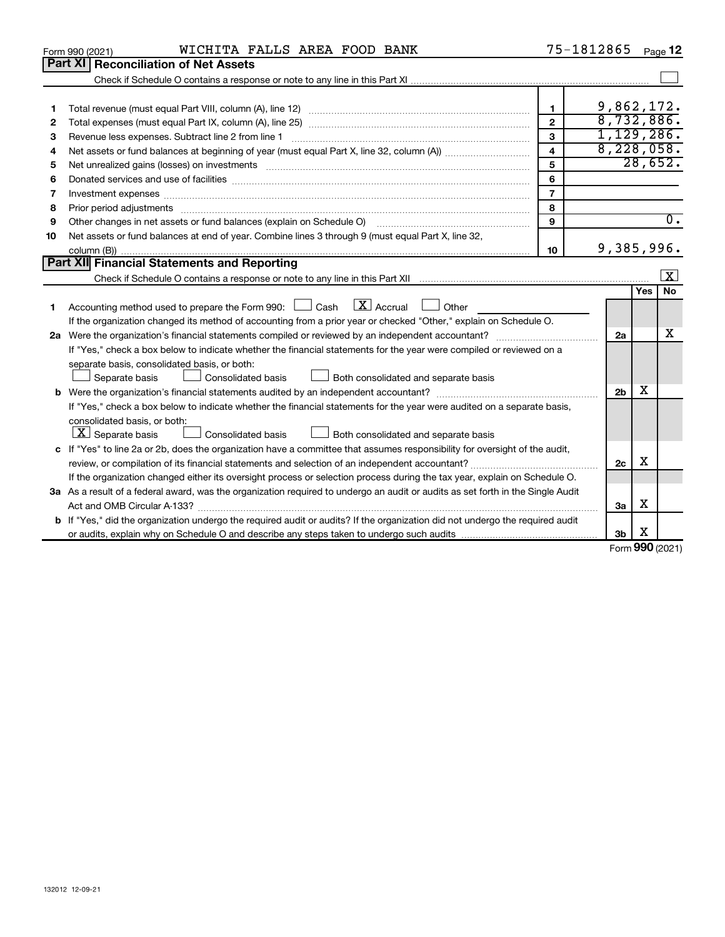|    | WICHITA FALLS AREA FOOD BANK<br>Form 990 (2021)                                                                                                                                                                                |                         | 75-1812865     |     | Page 12                 |
|----|--------------------------------------------------------------------------------------------------------------------------------------------------------------------------------------------------------------------------------|-------------------------|----------------|-----|-------------------------|
|    | Part XI<br><b>Reconciliation of Net Assets</b>                                                                                                                                                                                 |                         |                |     |                         |
|    |                                                                                                                                                                                                                                |                         |                |     |                         |
|    |                                                                                                                                                                                                                                |                         |                |     |                         |
| 1  |                                                                                                                                                                                                                                | 1                       | 9,862,172.     |     |                         |
| 2  |                                                                                                                                                                                                                                | $\overline{2}$          | 8,732,886.     |     |                         |
| 3  | Revenue less expenses. Subtract line 2 from line 1                                                                                                                                                                             | 3                       | 1,129,286.     |     |                         |
| 4  |                                                                                                                                                                                                                                | $\overline{\mathbf{4}}$ | 8,228,058.     |     |                         |
| 5  |                                                                                                                                                                                                                                | 5                       |                |     | 28,652.                 |
| 6  |                                                                                                                                                                                                                                | 6                       |                |     |                         |
| 7  | Investment expenses www.communication.com/www.communication.com/www.communication.com/www.com                                                                                                                                  | $\overline{7}$          |                |     |                         |
| 8  | Prior period adjustments material contents and content and content and content and content and content and content and content and content and content and content and content and content and content and content and content | 8                       |                |     |                         |
| 9  | Other changes in net assets or fund balances (explain on Schedule O)                                                                                                                                                           | 9                       |                |     | $\overline{0}$ .        |
| 10 | Net assets or fund balances at end of year. Combine lines 3 through 9 (must equal Part X, line 32,                                                                                                                             |                         |                |     |                         |
|    |                                                                                                                                                                                                                                | 10                      | 9,385,996.     |     |                         |
|    | Part XII Financial Statements and Reporting                                                                                                                                                                                    |                         |                |     |                         |
|    |                                                                                                                                                                                                                                |                         |                |     | $\overline{\mathbf{X}}$ |
|    |                                                                                                                                                                                                                                |                         |                | Yes | No.                     |
| 1  | Accounting method used to prepare the Form 990: $\Box$ Cash $\Box X$ Accrual $\Box$<br>Other                                                                                                                                   |                         |                |     |                         |
|    | If the organization changed its method of accounting from a prior year or checked "Other," explain on Schedule O.                                                                                                              |                         |                |     |                         |
|    |                                                                                                                                                                                                                                |                         | 2a             |     | x                       |
|    | If "Yes," check a box below to indicate whether the financial statements for the year were compiled or reviewed on a                                                                                                           |                         |                |     |                         |
|    | separate basis, consolidated basis, or both:                                                                                                                                                                                   |                         |                |     |                         |
|    | Both consolidated and separate basis<br>Separate basis<br>Consolidated basis                                                                                                                                                   |                         |                |     |                         |
|    |                                                                                                                                                                                                                                |                         | 2 <sub>b</sub> | x   |                         |
|    | If "Yes," check a box below to indicate whether the financial statements for the year were audited on a separate basis,                                                                                                        |                         |                |     |                         |
|    | consolidated basis, or both:                                                                                                                                                                                                   |                         |                |     |                         |
|    | $\lfloor x \rfloor$ Separate basis<br>Consolidated basis<br>Both consolidated and separate basis                                                                                                                               |                         |                |     |                         |
|    | c If "Yes" to line 2a or 2b, does the organization have a committee that assumes responsibility for oversight of the audit,                                                                                                    |                         |                |     |                         |
|    |                                                                                                                                                                                                                                |                         | 2c             | х   |                         |
|    | If the organization changed either its oversight process or selection process during the tax year, explain on Schedule O.                                                                                                      |                         |                |     |                         |
|    | 3a As a result of a federal award, was the organization required to undergo an audit or audits as set forth in the Single Audit                                                                                                |                         |                |     |                         |
|    | Act and OMB Circular A-133?                                                                                                                                                                                                    |                         | 3a             | х   |                         |
|    | <b>b</b> If "Yes," did the organization undergo the required audit or audits? If the organization did not undergo the required audit                                                                                           |                         |                |     |                         |
|    |                                                                                                                                                                                                                                |                         | 3b             | X   |                         |
|    |                                                                                                                                                                                                                                |                         |                |     | $000 \text{ hours}$     |

Form (2021) **990**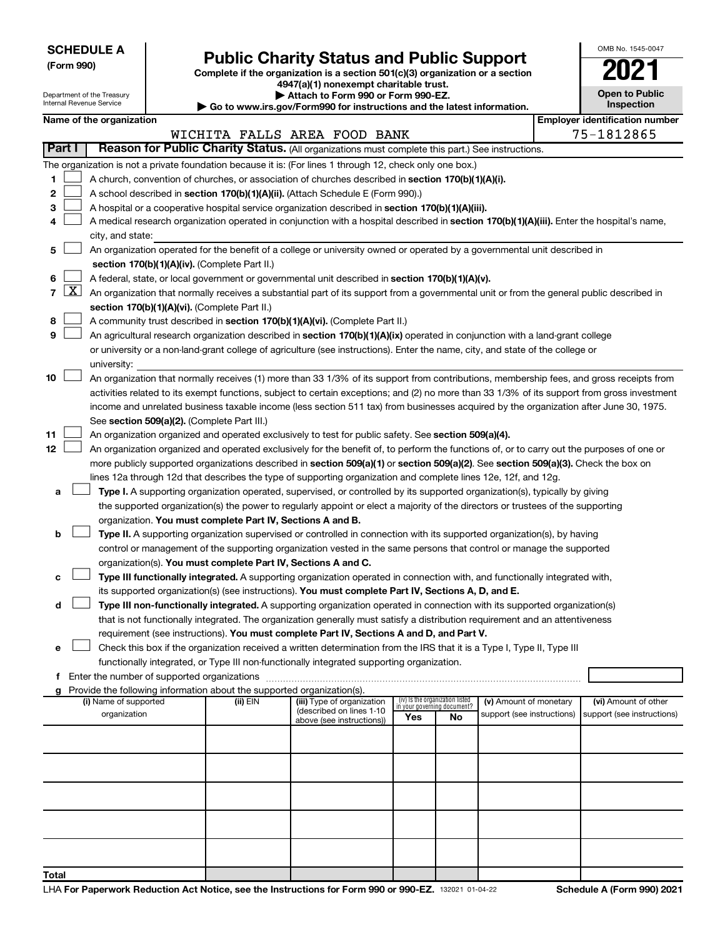Department of the Treasury Internal Revenue Service

# Form 990)<br> **Complete if the organization is a section 501(c)(3) organization or a section**<br> **Public Charity Status and Public Support**

**4947(a)(1) nonexempt charitable trust. | Attach to Form 990 or Form 990-EZ.** 

**| Go to www.irs.gov/Form990 for instructions and the latest information.**

| OMB No. 1545-0047                   |
|-------------------------------------|
| $\mathsf{U}2$                       |
| <b>Open to Public</b><br>Inspection |
|                                     |

|  |  |  | Name of the organization |  |
|--|--|--|--------------------------|--|
|--|--|--|--------------------------|--|

|              |               | Name of the organization                                                                                                                                                                                                                                                                 |          |                                                        |                                 |    |                                                      |  | <b>Employer identification number</b>              |  |  |  |  |
|--------------|---------------|------------------------------------------------------------------------------------------------------------------------------------------------------------------------------------------------------------------------------------------------------------------------------------------|----------|--------------------------------------------------------|---------------------------------|----|------------------------------------------------------|--|----------------------------------------------------|--|--|--|--|
|              |               |                                                                                                                                                                                                                                                                                          |          | WICHITA FALLS AREA FOOD BANK                           |                                 |    |                                                      |  | 75-1812865                                         |  |  |  |  |
|              | <b>Part I</b> | Reason for Public Charity Status. (All organizations must complete this part.) See instructions.                                                                                                                                                                                         |          |                                                        |                                 |    |                                                      |  |                                                    |  |  |  |  |
|              |               | The organization is not a private foundation because it is: (For lines 1 through 12, check only one box.)                                                                                                                                                                                |          |                                                        |                                 |    |                                                      |  |                                                    |  |  |  |  |
| 1.           |               | A church, convention of churches, or association of churches described in section 170(b)(1)(A)(i).<br>A school described in section 170(b)(1)(A)(ii). (Attach Schedule E (Form 990).)                                                                                                    |          |                                                        |                                 |    |                                                      |  |                                                    |  |  |  |  |
| 2            |               |                                                                                                                                                                                                                                                                                          |          |                                                        |                                 |    |                                                      |  |                                                    |  |  |  |  |
| з            |               | A hospital or a cooperative hospital service organization described in section 170(b)(1)(A)(iii).                                                                                                                                                                                        |          |                                                        |                                 |    |                                                      |  |                                                    |  |  |  |  |
| 4            |               | A medical research organization operated in conjunction with a hospital described in section 170(b)(1)(A)(iii). Enter the hospital's name,                                                                                                                                               |          |                                                        |                                 |    |                                                      |  |                                                    |  |  |  |  |
|              |               | city, and state:                                                                                                                                                                                                                                                                         |          |                                                        |                                 |    |                                                      |  |                                                    |  |  |  |  |
| 5            |               | An organization operated for the benefit of a college or university owned or operated by a governmental unit described in                                                                                                                                                                |          |                                                        |                                 |    |                                                      |  |                                                    |  |  |  |  |
|              |               | section 170(b)(1)(A)(iv). (Complete Part II.)                                                                                                                                                                                                                                            |          |                                                        |                                 |    |                                                      |  |                                                    |  |  |  |  |
| 6            |               | A federal, state, or local government or governmental unit described in section 170(b)(1)(A)(v).                                                                                                                                                                                         |          |                                                        |                                 |    |                                                      |  |                                                    |  |  |  |  |
|              |               | 7 $ X $ An organization that normally receives a substantial part of its support from a governmental unit or from the general public described in                                                                                                                                        |          |                                                        |                                 |    |                                                      |  |                                                    |  |  |  |  |
|              |               | section 170(b)(1)(A)(vi). (Complete Part II.)                                                                                                                                                                                                                                            |          |                                                        |                                 |    |                                                      |  |                                                    |  |  |  |  |
| 8            |               | A community trust described in section 170(b)(1)(A)(vi). (Complete Part II.)                                                                                                                                                                                                             |          |                                                        |                                 |    |                                                      |  |                                                    |  |  |  |  |
| 9            |               | An agricultural research organization described in section 170(b)(1)(A)(ix) operated in conjunction with a land-grant college                                                                                                                                                            |          |                                                        |                                 |    |                                                      |  |                                                    |  |  |  |  |
|              |               | or university or a non-land-grant college of agriculture (see instructions). Enter the name, city, and state of the college or                                                                                                                                                           |          |                                                        |                                 |    |                                                      |  |                                                    |  |  |  |  |
| 10           |               | university:                                                                                                                                                                                                                                                                              |          |                                                        |                                 |    |                                                      |  |                                                    |  |  |  |  |
|              |               | An organization that normally receives (1) more than 33 1/3% of its support from contributions, membership fees, and gross receipts from<br>activities related to its exempt functions, subject to certain exceptions; and (2) no more than 33 1/3% of its support from gross investment |          |                                                        |                                 |    |                                                      |  |                                                    |  |  |  |  |
|              |               | income and unrelated business taxable income (less section 511 tax) from businesses acquired by the organization after June 30, 1975.                                                                                                                                                    |          |                                                        |                                 |    |                                                      |  |                                                    |  |  |  |  |
|              |               | See section 509(a)(2). (Complete Part III.)                                                                                                                                                                                                                                              |          |                                                        |                                 |    |                                                      |  |                                                    |  |  |  |  |
| 11           |               | An organization organized and operated exclusively to test for public safety. See section 509(a)(4).                                                                                                                                                                                     |          |                                                        |                                 |    |                                                      |  |                                                    |  |  |  |  |
| 12           |               | An organization organized and operated exclusively for the benefit of, to perform the functions of, or to carry out the purposes of one or                                                                                                                                               |          |                                                        |                                 |    |                                                      |  |                                                    |  |  |  |  |
|              |               | more publicly supported organizations described in section 509(a)(1) or section 509(a)(2). See section 509(a)(3). Check the box on                                                                                                                                                       |          |                                                        |                                 |    |                                                      |  |                                                    |  |  |  |  |
|              |               | lines 12a through 12d that describes the type of supporting organization and complete lines 12e, 12f, and 12g.                                                                                                                                                                           |          |                                                        |                                 |    |                                                      |  |                                                    |  |  |  |  |
| a            |               | Type I. A supporting organization operated, supervised, or controlled by its supported organization(s), typically by giving                                                                                                                                                              |          |                                                        |                                 |    |                                                      |  |                                                    |  |  |  |  |
|              |               | the supported organization(s) the power to regularly appoint or elect a majority of the directors or trustees of the supporting                                                                                                                                                          |          |                                                        |                                 |    |                                                      |  |                                                    |  |  |  |  |
|              |               | organization. You must complete Part IV, Sections A and B.                                                                                                                                                                                                                               |          |                                                        |                                 |    |                                                      |  |                                                    |  |  |  |  |
| b            |               | Type II. A supporting organization supervised or controlled in connection with its supported organization(s), by having                                                                                                                                                                  |          |                                                        |                                 |    |                                                      |  |                                                    |  |  |  |  |
|              |               | control or management of the supporting organization vested in the same persons that control or manage the supported                                                                                                                                                                     |          |                                                        |                                 |    |                                                      |  |                                                    |  |  |  |  |
|              |               | organization(s). You must complete Part IV, Sections A and C.                                                                                                                                                                                                                            |          |                                                        |                                 |    |                                                      |  |                                                    |  |  |  |  |
| с            |               | Type III functionally integrated. A supporting organization operated in connection with, and functionally integrated with,                                                                                                                                                               |          |                                                        |                                 |    |                                                      |  |                                                    |  |  |  |  |
|              |               | its supported organization(s) (see instructions). You must complete Part IV, Sections A, D, and E.                                                                                                                                                                                       |          |                                                        |                                 |    |                                                      |  |                                                    |  |  |  |  |
| d            |               | Type III non-functionally integrated. A supporting organization operated in connection with its supported organization(s)                                                                                                                                                                |          |                                                        |                                 |    |                                                      |  |                                                    |  |  |  |  |
|              |               | that is not functionally integrated. The organization generally must satisfy a distribution requirement and an attentiveness                                                                                                                                                             |          |                                                        |                                 |    |                                                      |  |                                                    |  |  |  |  |
|              |               | requirement (see instructions). You must complete Part IV, Sections A and D, and Part V.                                                                                                                                                                                                 |          |                                                        |                                 |    |                                                      |  |                                                    |  |  |  |  |
|              |               | Check this box if the organization received a written determination from the IRS that it is a Type I, Type II, Type III                                                                                                                                                                  |          |                                                        |                                 |    |                                                      |  |                                                    |  |  |  |  |
|              |               | functionally integrated, or Type III non-functionally integrated supporting organization.                                                                                                                                                                                                |          |                                                        |                                 |    |                                                      |  |                                                    |  |  |  |  |
|              |               | f Enter the number of supported organizations                                                                                                                                                                                                                                            |          |                                                        |                                 |    |                                                      |  |                                                    |  |  |  |  |
|              |               | g Provide the following information about the supported organization(s).                                                                                                                                                                                                                 |          |                                                        | (iv) Is the organization listed |    |                                                      |  |                                                    |  |  |  |  |
|              |               | (i) Name of supported<br>organization                                                                                                                                                                                                                                                    | (ii) EIN | (iii) Type of organization<br>(described on lines 1-10 | in your governing document?     |    | (v) Amount of monetary<br>support (see instructions) |  | (vi) Amount of other<br>support (see instructions) |  |  |  |  |
|              |               |                                                                                                                                                                                                                                                                                          |          | above (see instructions))                              | Yes                             | No |                                                      |  |                                                    |  |  |  |  |
|              |               |                                                                                                                                                                                                                                                                                          |          |                                                        |                                 |    |                                                      |  |                                                    |  |  |  |  |
|              |               |                                                                                                                                                                                                                                                                                          |          |                                                        |                                 |    |                                                      |  |                                                    |  |  |  |  |
|              |               |                                                                                                                                                                                                                                                                                          |          |                                                        |                                 |    |                                                      |  |                                                    |  |  |  |  |
|              |               |                                                                                                                                                                                                                                                                                          |          |                                                        |                                 |    |                                                      |  |                                                    |  |  |  |  |
|              |               |                                                                                                                                                                                                                                                                                          |          |                                                        |                                 |    |                                                      |  |                                                    |  |  |  |  |
|              |               |                                                                                                                                                                                                                                                                                          |          |                                                        |                                 |    |                                                      |  |                                                    |  |  |  |  |
|              |               |                                                                                                                                                                                                                                                                                          |          |                                                        |                                 |    |                                                      |  |                                                    |  |  |  |  |
|              |               |                                                                                                                                                                                                                                                                                          |          |                                                        |                                 |    |                                                      |  |                                                    |  |  |  |  |
|              |               |                                                                                                                                                                                                                                                                                          |          |                                                        |                                 |    |                                                      |  |                                                    |  |  |  |  |
| <b>Total</b> |               |                                                                                                                                                                                                                                                                                          |          |                                                        |                                 |    |                                                      |  |                                                    |  |  |  |  |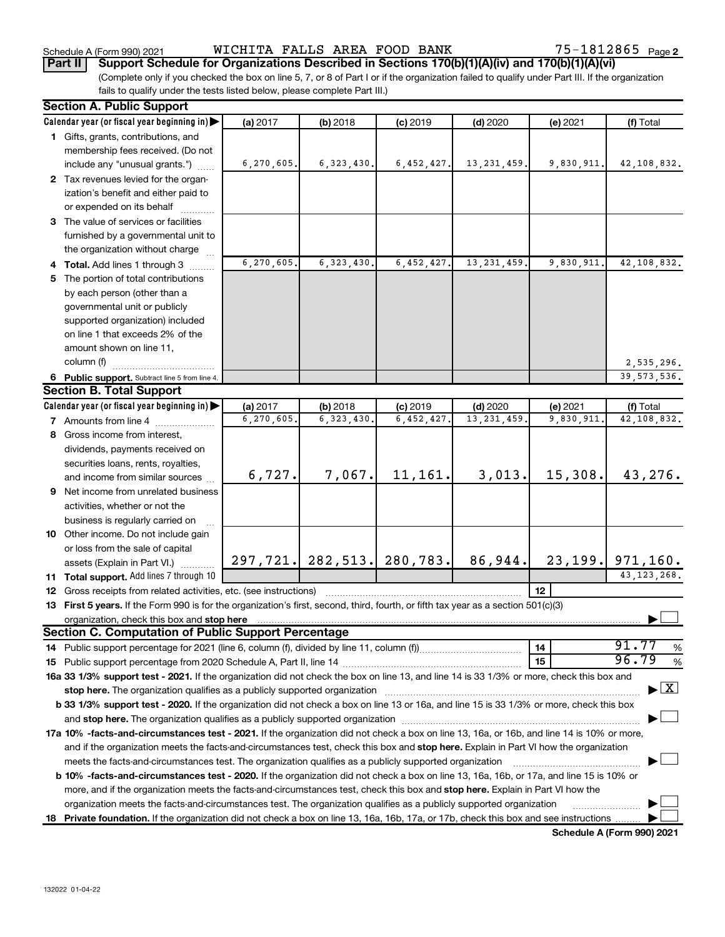Schedule A (Form 990) 2021 Page WICHITA FALLS AREA FOOD BANK 75-1812865

|  |  | Part II   Support Schedule for Organizations Described in Sections 170(b)(1)(A)(iv) and 170(b)(1)(A)(vi) |  |
|--|--|----------------------------------------------------------------------------------------------------------|--|

(Complete only if you checked the box on line 5, 7, or 8 of Part I or if the organization failed to qualify under Part III. If the organization fails to qualify under the tests listed below, please complete Part III.)

| <b>Section A. Public Support</b>                                                                                                                                                                                               |            |                          |                               |                            |                       |                                          |
|--------------------------------------------------------------------------------------------------------------------------------------------------------------------------------------------------------------------------------|------------|--------------------------|-------------------------------|----------------------------|-----------------------|------------------------------------------|
| Calendar year (or fiscal year beginning in)                                                                                                                                                                                    | (a) 2017   | (b) 2018                 | $(c)$ 2019                    | $(d)$ 2020                 | (e) 2021              | (f) Total                                |
| 1 Gifts, grants, contributions, and                                                                                                                                                                                            |            |                          |                               |                            |                       |                                          |
| membership fees received. (Do not                                                                                                                                                                                              |            |                          |                               |                            |                       |                                          |
| include any "unusual grants.")                                                                                                                                                                                                 | 6,270,605. | 6, 323, 430.             | 6,452,427.                    | 13, 231, 459.              | 9,830,911.            | 42,108,832.                              |
| 2 Tax revenues levied for the organ-                                                                                                                                                                                           |            |                          |                               |                            |                       |                                          |
| ization's benefit and either paid to                                                                                                                                                                                           |            |                          |                               |                            |                       |                                          |
| or expended on its behalf                                                                                                                                                                                                      |            |                          |                               |                            |                       |                                          |
| 3 The value of services or facilities                                                                                                                                                                                          |            |                          |                               |                            |                       |                                          |
| furnished by a governmental unit to                                                                                                                                                                                            |            |                          |                               |                            |                       |                                          |
| the organization without charge                                                                                                                                                                                                |            |                          |                               |                            |                       |                                          |
| 4 Total. Add lines 1 through 3                                                                                                                                                                                                 | 6,270,605. | 6, 323, 430.             | 6,452,427                     | 13, 231, 459.              | 9,830,911.            | 42,108,832.                              |
| 5 The portion of total contributions                                                                                                                                                                                           |            |                          |                               |                            |                       |                                          |
| by each person (other than a                                                                                                                                                                                                   |            |                          |                               |                            |                       |                                          |
| governmental unit or publicly                                                                                                                                                                                                  |            |                          |                               |                            |                       |                                          |
| supported organization) included                                                                                                                                                                                               |            |                          |                               |                            |                       |                                          |
| on line 1 that exceeds 2% of the                                                                                                                                                                                               |            |                          |                               |                            |                       |                                          |
| amount shown on line 11,                                                                                                                                                                                                       |            |                          |                               |                            |                       |                                          |
| column (f)                                                                                                                                                                                                                     |            |                          |                               |                            |                       | 2,535,296.                               |
| 6 Public support. Subtract line 5 from line 4.<br><b>Section B. Total Support</b>                                                                                                                                              |            |                          |                               |                            |                       | 39, 573, 536.                            |
| Calendar year (or fiscal year beginning in)                                                                                                                                                                                    | (a) 2017   |                          |                               |                            |                       |                                          |
| <b>7</b> Amounts from line 4                                                                                                                                                                                                   | 6,270,605  | (b) 2018<br>6, 323, 430. | $(c)$ 2019<br>6,452,427       | $(d)$ 2020<br>13, 231, 459 | (e) 2021<br>9,830,911 | (f) Total<br>42,108,832.                 |
| 8 Gross income from interest,                                                                                                                                                                                                  |            |                          |                               |                            |                       |                                          |
|                                                                                                                                                                                                                                |            |                          |                               |                            |                       |                                          |
| dividends, payments received on                                                                                                                                                                                                |            |                          |                               |                            |                       |                                          |
| securities loans, rents, royalties,<br>and income from similar sources                                                                                                                                                         | 6,727.     | 7,067.                   | 11, 161.                      | 3,013.                     | 15,308.               | 43,276.                                  |
| 9 Net income from unrelated business                                                                                                                                                                                           |            |                          |                               |                            |                       |                                          |
| activities, whether or not the                                                                                                                                                                                                 |            |                          |                               |                            |                       |                                          |
| business is regularly carried on                                                                                                                                                                                               |            |                          |                               |                            |                       |                                          |
| 10 Other income. Do not include gain                                                                                                                                                                                           |            |                          |                               |                            |                       |                                          |
| or loss from the sale of capital                                                                                                                                                                                               |            |                          |                               |                            |                       |                                          |
| assets (Explain in Part VI.)                                                                                                                                                                                                   |            |                          | 297, 721. 282, 513. 280, 783. | 86,944.                    |                       | $23, 199.$ 971, 160.                     |
| 11 Total support. Add lines 7 through 10                                                                                                                                                                                       |            |                          |                               |                            |                       | 43, 123, 268.                            |
| <b>12</b> Gross receipts from related activities, etc. (see instructions)                                                                                                                                                      |            |                          |                               |                            | 12                    |                                          |
| 13 First 5 years. If the Form 990 is for the organization's first, second, third, fourth, or fifth tax year as a section 501(c)(3)                                                                                             |            |                          |                               |                            |                       |                                          |
| organization, check this box and stop here international content to the content of the state of the content of the content of the content of the content of the content of the content of the content of the content of the co |            |                          |                               |                            |                       |                                          |
| <b>Section C. Computation of Public Support Percentage</b>                                                                                                                                                                     |            |                          |                               |                            |                       |                                          |
|                                                                                                                                                                                                                                |            |                          |                               |                            | 14                    | 91.77<br>%                               |
|                                                                                                                                                                                                                                |            |                          |                               |                            | 15                    | 96.79<br>$\%$                            |
| 16a 33 1/3% support test - 2021. If the organization did not check the box on line 13, and line 14 is 33 1/3% or more, check this box and                                                                                      |            |                          |                               |                            |                       |                                          |
|                                                                                                                                                                                                                                |            |                          |                               |                            |                       | $\blacktriangleright$ $\boxed{\text{X}}$ |
| b 33 1/3% support test - 2020. If the organization did not check a box on line 13 or 16a, and line 15 is 33 1/3% or more, check this box                                                                                       |            |                          |                               |                            |                       |                                          |
|                                                                                                                                                                                                                                |            |                          |                               |                            |                       |                                          |
| 17a 10% -facts-and-circumstances test - 2021. If the organization did not check a box on line 13, 16a, or 16b, and line 14 is 10% or more,                                                                                     |            |                          |                               |                            |                       |                                          |
| and if the organization meets the facts-and-circumstances test, check this box and stop here. Explain in Part VI how the organization                                                                                          |            |                          |                               |                            |                       |                                          |
| meets the facts-and-circumstances test. The organization qualifies as a publicly supported organization                                                                                                                        |            |                          |                               |                            |                       |                                          |
| <b>b 10%</b> -facts-and-circumstances test - 2020. If the organization did not check a box on line 13, 16a, 16b, or 17a, and line 15 is 10% or                                                                                 |            |                          |                               |                            |                       |                                          |
| more, and if the organization meets the facts-and-circumstances test, check this box and <b>stop here.</b> Explain in Part VI how the                                                                                          |            |                          |                               |                            |                       |                                          |
| organization meets the facts-and-circumstances test. The organization qualifies as a publicly supported organization                                                                                                           |            |                          |                               |                            |                       |                                          |
| 18 Private foundation. If the organization did not check a box on line 13, 16a, 16b, 17a, or 17b, check this box and see instructions                                                                                          |            |                          |                               |                            |                       |                                          |
|                                                                                                                                                                                                                                |            |                          |                               |                            |                       | Schedule A (Form 990) 2021               |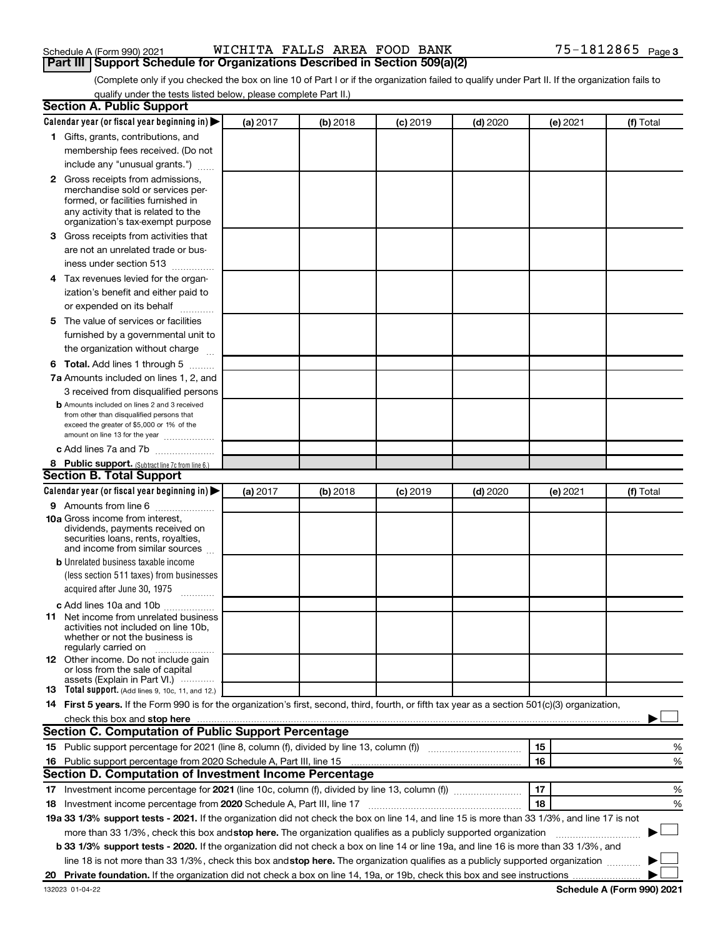| Schedule A (Form 990) 2021 |  | WICHITA FALLS AREA FOOD BANK                                               |  |  |
|----------------------------|--|----------------------------------------------------------------------------|--|--|
|                            |  | Part III Support Schedule for Organizations Described in Section 509(a)(2) |  |  |

# Schedule A (Form 990) 2021 Page WICHITA FALLS AREA FOOD BANK 75-1812865

(Complete only if you checked the box on line 10 of Part I or if the organization failed to qualify under Part II. If the organization fails to qualify under the tests listed below, please complete Part II.)

| <b>Section A. Public Support</b>                                                                                                                                                                                               |          |          |            |            |          |                            |
|--------------------------------------------------------------------------------------------------------------------------------------------------------------------------------------------------------------------------------|----------|----------|------------|------------|----------|----------------------------|
| Calendar year (or fiscal year beginning in)                                                                                                                                                                                    | (a) 2017 | (b) 2018 | $(c)$ 2019 | $(d)$ 2020 | (e) 2021 | (f) Total                  |
| 1 Gifts, grants, contributions, and                                                                                                                                                                                            |          |          |            |            |          |                            |
| membership fees received. (Do not                                                                                                                                                                                              |          |          |            |            |          |                            |
| include any "unusual grants.")                                                                                                                                                                                                 |          |          |            |            |          |                            |
| <b>2</b> Gross receipts from admissions,<br>merchandise sold or services per-<br>formed, or facilities furnished in<br>any activity that is related to the<br>organization's tax-exempt purpose                                |          |          |            |            |          |                            |
| 3 Gross receipts from activities that                                                                                                                                                                                          |          |          |            |            |          |                            |
| are not an unrelated trade or bus-                                                                                                                                                                                             |          |          |            |            |          |                            |
| iness under section 513                                                                                                                                                                                                        |          |          |            |            |          |                            |
| 4 Tax revenues levied for the organ-                                                                                                                                                                                           |          |          |            |            |          |                            |
| ization's benefit and either paid to                                                                                                                                                                                           |          |          |            |            |          |                            |
| or expended on its behalf                                                                                                                                                                                                      |          |          |            |            |          |                            |
| 5 The value of services or facilities                                                                                                                                                                                          |          |          |            |            |          |                            |
| furnished by a governmental unit to                                                                                                                                                                                            |          |          |            |            |          |                            |
| the organization without charge                                                                                                                                                                                                |          |          |            |            |          |                            |
| 6 Total. Add lines 1 through 5                                                                                                                                                                                                 |          |          |            |            |          |                            |
| 7a Amounts included on lines 1, 2, and                                                                                                                                                                                         |          |          |            |            |          |                            |
| 3 received from disqualified persons                                                                                                                                                                                           |          |          |            |            |          |                            |
| <b>b</b> Amounts included on lines 2 and 3 received<br>from other than disqualified persons that<br>exceed the greater of \$5,000 or 1% of the<br>amount on line 13 for the year                                               |          |          |            |            |          |                            |
| c Add lines 7a and 7b                                                                                                                                                                                                          |          |          |            |            |          |                            |
| 8 Public support. (Subtract line 7c from line 6.)                                                                                                                                                                              |          |          |            |            |          |                            |
| <b>Section B. Total Support</b>                                                                                                                                                                                                |          |          |            |            |          |                            |
| Calendar year (or fiscal year beginning in)                                                                                                                                                                                    | (a) 2017 | (b) 2018 | $(c)$ 2019 | $(d)$ 2020 | (e) 2021 | (f) Total                  |
| 9 Amounts from line 6                                                                                                                                                                                                          |          |          |            |            |          |                            |
| <b>10a</b> Gross income from interest,<br>dividends, payments received on<br>securities loans, rents, royalties,<br>and income from similar sources                                                                            |          |          |            |            |          |                            |
| <b>b</b> Unrelated business taxable income                                                                                                                                                                                     |          |          |            |            |          |                            |
| (less section 511 taxes) from businesses                                                                                                                                                                                       |          |          |            |            |          |                            |
| acquired after June 30, 1975<br>$\overline{\phantom{a}}$                                                                                                                                                                       |          |          |            |            |          |                            |
| c Add lines 10a and 10b                                                                                                                                                                                                        |          |          |            |            |          |                            |
| <b>11</b> Net income from unrelated business<br>activities not included on line 10b,<br>whether or not the business is<br>regularly carried on                                                                                 |          |          |            |            |          |                            |
| 12 Other income. Do not include gain<br>or loss from the sale of capital<br>assets (Explain in Part VI.)                                                                                                                       |          |          |            |            |          |                            |
| <b>13</b> Total support. (Add lines 9, 10c, 11, and 12.)                                                                                                                                                                       |          |          |            |            |          |                            |
| 14 First 5 years. If the Form 990 is for the organization's first, second, third, fourth, or fifth tax year as a section 501(c)(3) organization,                                                                               |          |          |            |            |          |                            |
| check this box and stop here measurements and stop here and stop here are all the statements of the statement of the statement of the statement of the statement of the statement of the statement of the statement of the sta |          |          |            |            |          |                            |
| <b>Section C. Computation of Public Support Percentage</b>                                                                                                                                                                     |          |          |            |            |          |                            |
|                                                                                                                                                                                                                                |          |          |            |            | 15       | %                          |
|                                                                                                                                                                                                                                |          |          |            |            | 16       | %                          |
| Section D. Computation of Investment Income Percentage                                                                                                                                                                         |          |          |            |            |          |                            |
|                                                                                                                                                                                                                                |          |          |            |            | 17       | %                          |
| 18 Investment income percentage from 2020 Schedule A, Part III, line 17                                                                                                                                                        |          |          |            |            | 18       | %                          |
| 19a 33 1/3% support tests - 2021. If the organization did not check the box on line 14, and line 15 is more than 33 1/3%, and line 17 is not                                                                                   |          |          |            |            |          |                            |
| more than 33 1/3%, check this box and stop here. The organization qualifies as a publicly supported organization                                                                                                               |          |          |            |            |          |                            |
| b 33 1/3% support tests - 2020. If the organization did not check a box on line 14 or line 19a, and line 16 is more than 33 1/3%, and                                                                                          |          |          |            |            |          |                            |
| line 18 is not more than 33 1/3%, check this box and stop here. The organization qualifies as a publicly supported organization                                                                                                |          |          |            |            |          |                            |
|                                                                                                                                                                                                                                |          |          |            |            |          |                            |
| 132023 01-04-22                                                                                                                                                                                                                |          |          |            |            |          | Schedule A (Form 990) 2021 |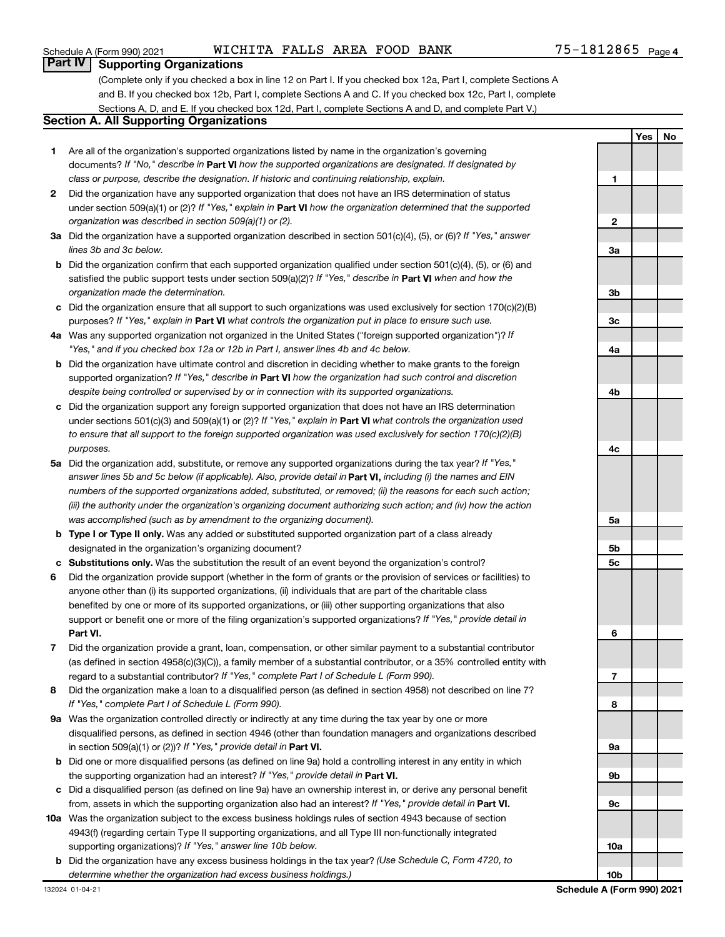# **Part IV Supporting Organizations**

(Complete only if you checked a box in line 12 on Part I. If you checked box 12a, Part I, complete Sections A and B. If you checked box 12b, Part I, complete Sections A and C. If you checked box 12c, Part I, complete Sections A, D, and E. If you checked box 12d, Part I, complete Sections A and D, and complete Part V.)

### **Section A. All Supporting Organizations**

- **1** Are all of the organization's supported organizations listed by name in the organization's governing documents? If "No," describe in Part VI how the supported organizations are designated. If designated by *class or purpose, describe the designation. If historic and continuing relationship, explain.*
- **2** Did the organization have any supported organization that does not have an IRS determination of status under section 509(a)(1) or (2)? If "Yes," explain in Part **VI** how the organization determined that the supported *organization was described in section 509(a)(1) or (2).*
- **3a** Did the organization have a supported organization described in section 501(c)(4), (5), or (6)? If "Yes," answer *lines 3b and 3c below.*
- **b** Did the organization confirm that each supported organization qualified under section 501(c)(4), (5), or (6) and satisfied the public support tests under section 509(a)(2)? If "Yes," describe in Part VI when and how the *organization made the determination.*
- **c** Did the organization ensure that all support to such organizations was used exclusively for section 170(c)(2)(B) purposes? If "Yes," explain in Part VI what controls the organization put in place to ensure such use.
- **4 a** *If* Was any supported organization not organized in the United States ("foreign supported organization")? *"Yes," and if you checked box 12a or 12b in Part I, answer lines 4b and 4c below.*
- **b** Did the organization have ultimate control and discretion in deciding whether to make grants to the foreign supported organization? If "Yes," describe in Part VI how the organization had such control and discretion *despite being controlled or supervised by or in connection with its supported organizations.*
- **c** Did the organization support any foreign supported organization that does not have an IRS determination under sections 501(c)(3) and 509(a)(1) or (2)? If "Yes," explain in Part VI what controls the organization used *to ensure that all support to the foreign supported organization was used exclusively for section 170(c)(2)(B) purposes.*
- **5a** Did the organization add, substitute, or remove any supported organizations during the tax year? If "Yes," answer lines 5b and 5c below (if applicable). Also, provide detail in **Part VI,** including (i) the names and EIN *numbers of the supported organizations added, substituted, or removed; (ii) the reasons for each such action; (iii) the authority under the organization's organizing document authorizing such action; and (iv) how the action was accomplished (such as by amendment to the organizing document).*
- **b Type I or Type II only.** Was any added or substituted supported organization part of a class already designated in the organization's organizing document?
- **c Substitutions only.**  Was the substitution the result of an event beyond the organization's control?
- **6** Did the organization provide support (whether in the form of grants or the provision of services or facilities) to **Part VI.** support or benefit one or more of the filing organization's supported organizations? If "Yes," provide detail in anyone other than (i) its supported organizations, (ii) individuals that are part of the charitable class benefited by one or more of its supported organizations, or (iii) other supporting organizations that also
- **7** Did the organization provide a grant, loan, compensation, or other similar payment to a substantial contributor regard to a substantial contributor? If "Yes," complete Part I of Schedule L (Form 990). (as defined in section 4958(c)(3)(C)), a family member of a substantial contributor, or a 35% controlled entity with
- **8** Did the organization make a loan to a disqualified person (as defined in section 4958) not described on line 7? *If "Yes," complete Part I of Schedule L (Form 990).*
- **9 a** Was the organization controlled directly or indirectly at any time during the tax year by one or more in section 509(a)(1) or (2))? If "Yes," provide detail in **Part VI.** disqualified persons, as defined in section 4946 (other than foundation managers and organizations described
- **b** Did one or more disqualified persons (as defined on line 9a) hold a controlling interest in any entity in which the supporting organization had an interest? If "Yes," provide detail in Part VI.
- **c** Did a disqualified person (as defined on line 9a) have an ownership interest in, or derive any personal benefit from, assets in which the supporting organization also had an interest? If "Yes," provide detail in Part VI.
- **10 a** Was the organization subject to the excess business holdings rules of section 4943 because of section supporting organizations)? If "Yes," answer line 10b below. 4943(f) (regarding certain Type II supporting organizations, and all Type III non-functionally integrated
	- **b** Did the organization have any excess business holdings in the tax year? (Use Schedule C, Form 4720, to *determine whether the organization had excess business holdings.)*

**9a 9b 9c 10a 10b**

**1**

**2**

**3a**

**3b**

**3c**

**4a**

**4b**

**4c**

**5a**

**5b 5c**

**6**

**7**

**8**

**Yes No**

## Schedule A (Form 990) 2021 Page WICHITA FALLS AREA FOOD BANK 75-1812865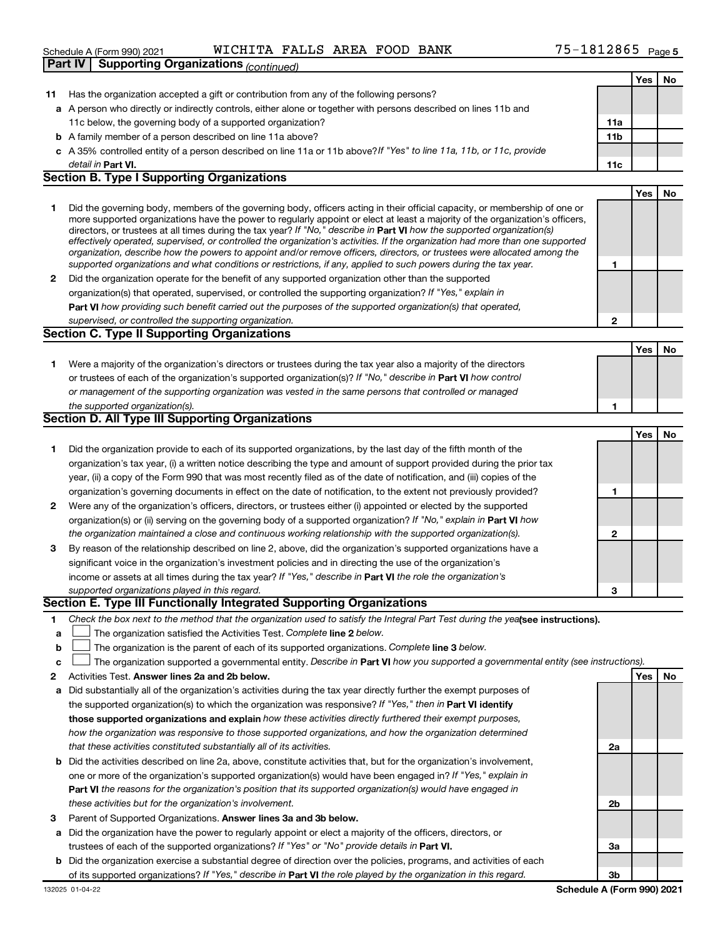### Schedule A (Form 990) 2021 Page WICHITA FALLS AREA FOOD BANK 75-1812865**Part IV Supporting**

|    | Part IV  <br>Supporting Organizations <sub>(continued)</sub>                                                                                                                                                                                                                                                                                                                                                                                                                                                                                                                                                                                                                                                                                                             |     |     |    |
|----|--------------------------------------------------------------------------------------------------------------------------------------------------------------------------------------------------------------------------------------------------------------------------------------------------------------------------------------------------------------------------------------------------------------------------------------------------------------------------------------------------------------------------------------------------------------------------------------------------------------------------------------------------------------------------------------------------------------------------------------------------------------------------|-----|-----|----|
|    |                                                                                                                                                                                                                                                                                                                                                                                                                                                                                                                                                                                                                                                                                                                                                                          |     | Yes | No |
|    | 11 Has the organization accepted a gift or contribution from any of the following persons?                                                                                                                                                                                                                                                                                                                                                                                                                                                                                                                                                                                                                                                                               |     |     |    |
|    | a A person who directly or indirectly controls, either alone or together with persons described on lines 11b and                                                                                                                                                                                                                                                                                                                                                                                                                                                                                                                                                                                                                                                         |     |     |    |
|    | 11c below, the governing body of a supported organization?                                                                                                                                                                                                                                                                                                                                                                                                                                                                                                                                                                                                                                                                                                               | 11a |     |    |
|    | <b>b</b> A family member of a person described on line 11a above?                                                                                                                                                                                                                                                                                                                                                                                                                                                                                                                                                                                                                                                                                                        | 11b |     |    |
|    | c A 35% controlled entity of a person described on line 11a or 11b above? If "Yes" to line 11a, 11b, or 11c, provide                                                                                                                                                                                                                                                                                                                                                                                                                                                                                                                                                                                                                                                     |     |     |    |
|    | detail in Part VI.                                                                                                                                                                                                                                                                                                                                                                                                                                                                                                                                                                                                                                                                                                                                                       | 11c |     |    |
|    | <b>Section B. Type I Supporting Organizations</b>                                                                                                                                                                                                                                                                                                                                                                                                                                                                                                                                                                                                                                                                                                                        |     |     |    |
|    |                                                                                                                                                                                                                                                                                                                                                                                                                                                                                                                                                                                                                                                                                                                                                                          |     | Yes | No |
| 1  | Did the governing body, members of the governing body, officers acting in their official capacity, or membership of one or<br>more supported organizations have the power to regularly appoint or elect at least a majority of the organization's officers,<br>directors, or trustees at all times during the tax year? If "No," describe in Part VI how the supported organization(s)<br>effectively operated, supervised, or controlled the organization's activities. If the organization had more than one supported<br>organization, describe how the powers to appoint and/or remove officers, directors, or trustees were allocated among the<br>supported organizations and what conditions or restrictions, if any, applied to such powers during the tax year. | 1   |     |    |
| 2  | Did the organization operate for the benefit of any supported organization other than the supported                                                                                                                                                                                                                                                                                                                                                                                                                                                                                                                                                                                                                                                                      |     |     |    |
|    | organization(s) that operated, supervised, or controlled the supporting organization? If "Yes," explain in                                                                                                                                                                                                                                                                                                                                                                                                                                                                                                                                                                                                                                                               |     |     |    |
|    | Part VI how providing such benefit carried out the purposes of the supported organization(s) that operated,                                                                                                                                                                                                                                                                                                                                                                                                                                                                                                                                                                                                                                                              |     |     |    |
|    | supervised, or controlled the supporting organization.                                                                                                                                                                                                                                                                                                                                                                                                                                                                                                                                                                                                                                                                                                                   | 2   |     |    |
|    | <b>Section C. Type II Supporting Organizations</b>                                                                                                                                                                                                                                                                                                                                                                                                                                                                                                                                                                                                                                                                                                                       |     |     |    |
|    |                                                                                                                                                                                                                                                                                                                                                                                                                                                                                                                                                                                                                                                                                                                                                                          |     | Yes | No |
| 1. | Were a majority of the organization's directors or trustees during the tax year also a majority of the directors                                                                                                                                                                                                                                                                                                                                                                                                                                                                                                                                                                                                                                                         |     |     |    |
|    | or trustees of each of the organization's supported organization(s)? If "No," describe in Part VI how control                                                                                                                                                                                                                                                                                                                                                                                                                                                                                                                                                                                                                                                            |     |     |    |
|    | or management of the supporting organization was vested in the same persons that controlled or managed                                                                                                                                                                                                                                                                                                                                                                                                                                                                                                                                                                                                                                                                   |     |     |    |
|    | the supported organization(s).                                                                                                                                                                                                                                                                                                                                                                                                                                                                                                                                                                                                                                                                                                                                           | 1   |     |    |
|    | <b>Section D. All Type III Supporting Organizations</b>                                                                                                                                                                                                                                                                                                                                                                                                                                                                                                                                                                                                                                                                                                                  |     |     |    |
|    |                                                                                                                                                                                                                                                                                                                                                                                                                                                                                                                                                                                                                                                                                                                                                                          |     | Yes | No |
| 1. | Did the organization provide to each of its supported organizations, by the last day of the fifth month of the                                                                                                                                                                                                                                                                                                                                                                                                                                                                                                                                                                                                                                                           |     |     |    |
|    | organization's tax year, (i) a written notice describing the type and amount of support provided during the prior tax                                                                                                                                                                                                                                                                                                                                                                                                                                                                                                                                                                                                                                                    |     |     |    |
|    | year, (ii) a copy of the Form 990 that was most recently filed as of the date of notification, and (iii) copies of the                                                                                                                                                                                                                                                                                                                                                                                                                                                                                                                                                                                                                                                   |     |     |    |
|    | organization's governing documents in effect on the date of notification, to the extent not previously provided?                                                                                                                                                                                                                                                                                                                                                                                                                                                                                                                                                                                                                                                         | 1   |     |    |
| 2  | Were any of the organization's officers, directors, or trustees either (i) appointed or elected by the supported                                                                                                                                                                                                                                                                                                                                                                                                                                                                                                                                                                                                                                                         |     |     |    |
|    | organization(s) or (ii) serving on the governing body of a supported organization? If "No," explain in Part VI how                                                                                                                                                                                                                                                                                                                                                                                                                                                                                                                                                                                                                                                       |     |     |    |
|    | the organization maintained a close and continuous working relationship with the supported organization(s).                                                                                                                                                                                                                                                                                                                                                                                                                                                                                                                                                                                                                                                              | 2   |     |    |
| 3  | By reason of the relationship described on line 2, above, did the organization's supported organizations have a                                                                                                                                                                                                                                                                                                                                                                                                                                                                                                                                                                                                                                                          |     |     |    |
|    | significant voice in the organization's investment policies and in directing the use of the organization's                                                                                                                                                                                                                                                                                                                                                                                                                                                                                                                                                                                                                                                               |     |     |    |
|    | income or assets at all times during the tax year? If "Yes," describe in Part VI the role the organization's                                                                                                                                                                                                                                                                                                                                                                                                                                                                                                                                                                                                                                                             |     |     |    |
|    | supported organizations played in this regard.                                                                                                                                                                                                                                                                                                                                                                                                                                                                                                                                                                                                                                                                                                                           | 3   |     |    |
|    | Section E. Type III Functionally Integrated Supporting Organizations                                                                                                                                                                                                                                                                                                                                                                                                                                                                                                                                                                                                                                                                                                     |     |     |    |
| 1. | Check the box next to the method that the organization used to satisfy the Integral Part Test during the yealsee instructions).                                                                                                                                                                                                                                                                                                                                                                                                                                                                                                                                                                                                                                          |     |     |    |
| a  | The organization satisfied the Activities Test. Complete line 2 below.                                                                                                                                                                                                                                                                                                                                                                                                                                                                                                                                                                                                                                                                                                   |     |     |    |
| b  | The organization is the parent of each of its supported organizations. Complete line 3 below.                                                                                                                                                                                                                                                                                                                                                                                                                                                                                                                                                                                                                                                                            |     |     |    |
| c  | The organization supported a governmental entity. Describe in Part VI how you supported a governmental entity (see instructions).                                                                                                                                                                                                                                                                                                                                                                                                                                                                                                                                                                                                                                        |     |     |    |
| 2  | Activities Test. Answer lines 2a and 2b below.                                                                                                                                                                                                                                                                                                                                                                                                                                                                                                                                                                                                                                                                                                                           |     | Yes | No |
| а  | Did substantially all of the organization's activities during the tax year directly further the exempt purposes of                                                                                                                                                                                                                                                                                                                                                                                                                                                                                                                                                                                                                                                       |     |     |    |
|    | the supported organization(s) to which the organization was responsive? If "Yes," then in Part VI identify                                                                                                                                                                                                                                                                                                                                                                                                                                                                                                                                                                                                                                                               |     |     |    |
|    | those supported organizations and explain how these activities directly furthered their exempt purposes,                                                                                                                                                                                                                                                                                                                                                                                                                                                                                                                                                                                                                                                                 |     |     |    |
|    | how the organization was responsive to those supported organizations, and how the organization determined                                                                                                                                                                                                                                                                                                                                                                                                                                                                                                                                                                                                                                                                |     |     |    |
|    | that these activities constituted substantially all of its activities.                                                                                                                                                                                                                                                                                                                                                                                                                                                                                                                                                                                                                                                                                                   | 2a  |     |    |
|    | <b>b</b> Did the activities described on line 2a, above, constitute activities that, but for the organization's involvement,                                                                                                                                                                                                                                                                                                                                                                                                                                                                                                                                                                                                                                             |     |     |    |
|    |                                                                                                                                                                                                                                                                                                                                                                                                                                                                                                                                                                                                                                                                                                                                                                          |     |     |    |
|    | one or more of the organization's supported organization(s) would have been engaged in? If "Yes," explain in                                                                                                                                                                                                                                                                                                                                                                                                                                                                                                                                                                                                                                                             |     |     |    |
|    | Part VI the reasons for the organization's position that its supported organization(s) would have engaged in                                                                                                                                                                                                                                                                                                                                                                                                                                                                                                                                                                                                                                                             |     |     |    |
|    | these activities but for the organization's involvement.                                                                                                                                                                                                                                                                                                                                                                                                                                                                                                                                                                                                                                                                                                                 | 2b  |     |    |
| З  | Parent of Supported Organizations. Answer lines 3a and 3b below.                                                                                                                                                                                                                                                                                                                                                                                                                                                                                                                                                                                                                                                                                                         |     |     |    |
|    | a Did the organization have the power to regularly appoint or elect a majority of the officers, directors, or                                                                                                                                                                                                                                                                                                                                                                                                                                                                                                                                                                                                                                                            |     |     |    |

- trustees of each of the supported organizations? If "Yes" or "No" provide details in Part VI.
- **b** Did the organization exercise a substantial degree of direction over the policies, programs, and activities of each of its supported organizations? If "Yes," describe in Part VI the role played by the organization in this regard.

**3b Schedule A (Form 990) 2021**

**3a**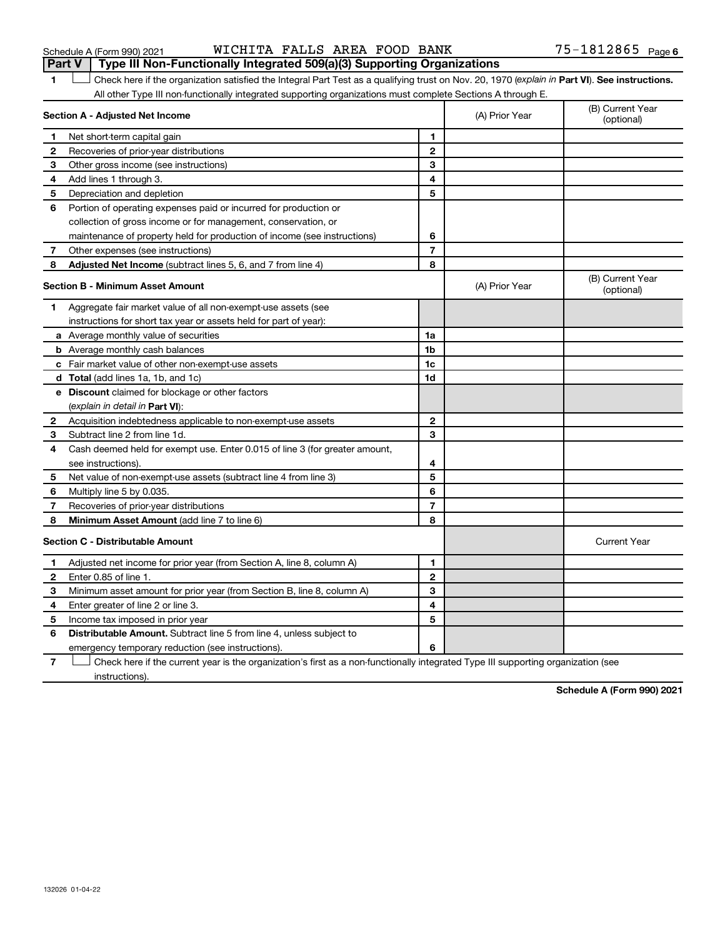| WICHITA FALLS AREA FOOD BANK |  |  |  |  | $75 - 1812865$ Page 6 |  |
|------------------------------|--|--|--|--|-----------------------|--|
|------------------------------|--|--|--|--|-----------------------|--|

| 1              | Check here if the organization satisfied the Integral Part Test as a qualifying trust on Nov. 20, 1970 (explain in Part VI). See instructions.<br>All other Type III non-functionally integrated supporting organizations must complete Sections A through E. |                |                |                                |
|----------------|---------------------------------------------------------------------------------------------------------------------------------------------------------------------------------------------------------------------------------------------------------------|----------------|----------------|--------------------------------|
|                | Section A - Adjusted Net Income                                                                                                                                                                                                                               |                | (A) Prior Year | (B) Current Year<br>(optional) |
| 1              | Net short-term capital gain                                                                                                                                                                                                                                   | 1              |                |                                |
| 2              | Recoveries of prior-year distributions                                                                                                                                                                                                                        | $\mathbf{2}$   |                |                                |
| 3              | Other gross income (see instructions)                                                                                                                                                                                                                         | 3              |                |                                |
| 4              | Add lines 1 through 3.                                                                                                                                                                                                                                        | 4              |                |                                |
| 5              | Depreciation and depletion                                                                                                                                                                                                                                    | 5              |                |                                |
| 6              | Portion of operating expenses paid or incurred for production or                                                                                                                                                                                              |                |                |                                |
|                | collection of gross income or for management, conservation, or                                                                                                                                                                                                |                |                |                                |
|                | maintenance of property held for production of income (see instructions)                                                                                                                                                                                      | 6              |                |                                |
| 7              | Other expenses (see instructions)                                                                                                                                                                                                                             | $\overline{7}$ |                |                                |
| 8              | Adjusted Net Income (subtract lines 5, 6, and 7 from line 4)                                                                                                                                                                                                  | 8              |                |                                |
|                | <b>Section B - Minimum Asset Amount</b>                                                                                                                                                                                                                       |                | (A) Prior Year | (B) Current Year<br>(optional) |
| 1              | Aggregate fair market value of all non-exempt-use assets (see                                                                                                                                                                                                 |                |                |                                |
|                | instructions for short tax year or assets held for part of year):                                                                                                                                                                                             |                |                |                                |
|                | <b>a</b> Average monthly value of securities                                                                                                                                                                                                                  | 1a             |                |                                |
|                | <b>b</b> Average monthly cash balances                                                                                                                                                                                                                        | 1 <sub>b</sub> |                |                                |
|                | c Fair market value of other non-exempt-use assets                                                                                                                                                                                                            | 1c             |                |                                |
|                | <b>d</b> Total (add lines 1a, 1b, and 1c)                                                                                                                                                                                                                     | 1d             |                |                                |
|                | e Discount claimed for blockage or other factors                                                                                                                                                                                                              |                |                |                                |
|                | (explain in detail in <b>Part VI</b> ):                                                                                                                                                                                                                       |                |                |                                |
| 2              | Acquisition indebtedness applicable to non-exempt-use assets                                                                                                                                                                                                  | $\mathbf{2}$   |                |                                |
| 3              | Subtract line 2 from line 1d.                                                                                                                                                                                                                                 | 3              |                |                                |
| 4              | Cash deemed held for exempt use. Enter 0.015 of line 3 (for greater amount,                                                                                                                                                                                   |                |                |                                |
|                | see instructions)                                                                                                                                                                                                                                             | 4              |                |                                |
| 5              | Net value of non-exempt-use assets (subtract line 4 from line 3)                                                                                                                                                                                              | 5              |                |                                |
| 6              | Multiply line 5 by 0.035.                                                                                                                                                                                                                                     | 6              |                |                                |
| 7              | Recoveries of prior-year distributions                                                                                                                                                                                                                        | $\overline{7}$ |                |                                |
| 8              | Minimum Asset Amount (add line 7 to line 6)                                                                                                                                                                                                                   | 8              |                |                                |
|                | <b>Section C - Distributable Amount</b>                                                                                                                                                                                                                       |                |                | <b>Current Year</b>            |
| 1              | Adjusted net income for prior year (from Section A, line 8, column A)                                                                                                                                                                                         | 1              |                |                                |
| $\mathbf{2}$   | Enter 0.85 of line 1.                                                                                                                                                                                                                                         | $\mathbf{2}$   |                |                                |
| 3              | Minimum asset amount for prior year (from Section B, line 8, column A)                                                                                                                                                                                        | 3              |                |                                |
| 4              | Enter greater of line 2 or line 3.                                                                                                                                                                                                                            | 4              |                |                                |
| 5              | Income tax imposed in prior year                                                                                                                                                                                                                              | 5              |                |                                |
| 6              | <b>Distributable Amount.</b> Subtract line 5 from line 4, unless subject to                                                                                                                                                                                   |                |                |                                |
|                | emergency temporary reduction (see instructions).                                                                                                                                                                                                             | 6              |                |                                |
| $\overline{7}$ | Check here if the current year is the organization's first as a non-functionally integrated Type III supporting organization (see                                                                                                                             |                |                |                                |

instructions).

**Schedule A (Form 990) 2021**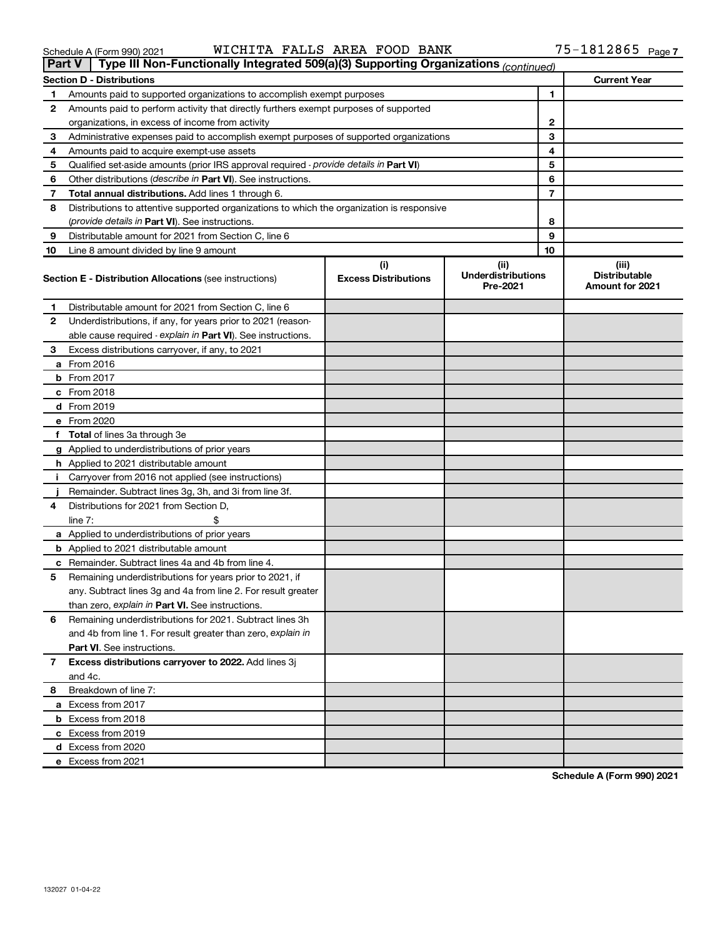**e** Excess from 2021

|       | 90) 2021 |  | WICHIIA PALLO A |  |  |  |
|-------|----------|--|-----------------|--|--|--|
| _____ |          |  |                 |  |  |  |
|       |          |  |                 |  |  |  |

|    | ∣ Part V ∣         | Type III Non-Functionally Integrated 509(a)(3) Supporting Organizations (continued)        |                                    |                                               |    |                                                         |
|----|--------------------|--------------------------------------------------------------------------------------------|------------------------------------|-----------------------------------------------|----|---------------------------------------------------------|
|    |                    | <b>Section D - Distributions</b>                                                           |                                    |                                               |    | <b>Current Year</b>                                     |
| 1  |                    | Amounts paid to supported organizations to accomplish exempt purposes                      |                                    |                                               | 1  |                                                         |
| 2  |                    | Amounts paid to perform activity that directly furthers exempt purposes of supported       |                                    |                                               |    |                                                         |
|    |                    | organizations, in excess of income from activity                                           |                                    | $\mathbf{2}$                                  |    |                                                         |
| 3  |                    | Administrative expenses paid to accomplish exempt purposes of supported organizations      |                                    | 3                                             |    |                                                         |
| 4  |                    | Amounts paid to acquire exempt-use assets                                                  |                                    |                                               | 4  |                                                         |
| 5  |                    | Qualified set-aside amounts (prior IRS approval required - provide details in Part VI)     |                                    |                                               | 5  |                                                         |
| 6  |                    | Other distributions ( <i>describe in Part VI</i> ). See instructions.                      |                                    |                                               | 6  |                                                         |
| 7  |                    | Total annual distributions. Add lines 1 through 6.                                         |                                    |                                               | 7  |                                                         |
| 8  |                    | Distributions to attentive supported organizations to which the organization is responsive |                                    |                                               |    |                                                         |
|    |                    | ( <i>provide details in Part VI</i> ). See instructions.                                   |                                    |                                               | 8  |                                                         |
| 9  |                    | Distributable amount for 2021 from Section C, line 6                                       |                                    |                                               | 9  |                                                         |
| 10 |                    | Line 8 amount divided by line 9 amount                                                     |                                    |                                               | 10 |                                                         |
|    |                    | <b>Section E - Distribution Allocations (see instructions)</b>                             | (i)<br><b>Excess Distributions</b> | (ii)<br><b>Underdistributions</b><br>Pre-2021 |    | (iii)<br><b>Distributable</b><br><b>Amount for 2021</b> |
| 1  |                    | Distributable amount for 2021 from Section C, line 6                                       |                                    |                                               |    |                                                         |
| 2  |                    | Underdistributions, if any, for years prior to 2021 (reason-                               |                                    |                                               |    |                                                         |
|    |                    | able cause required - explain in Part VI). See instructions.                               |                                    |                                               |    |                                                         |
| З  |                    | Excess distributions carryover, if any, to 2021                                            |                                    |                                               |    |                                                         |
|    | a From 2016        |                                                                                            |                                    |                                               |    |                                                         |
|    | <b>b</b> From 2017 |                                                                                            |                                    |                                               |    |                                                         |
|    | c From 2018        |                                                                                            |                                    |                                               |    |                                                         |
|    | d From 2019        |                                                                                            |                                    |                                               |    |                                                         |
|    | e From 2020        |                                                                                            |                                    |                                               |    |                                                         |
|    |                    | f Total of lines 3a through 3e                                                             |                                    |                                               |    |                                                         |
|    |                    | g Applied to underdistributions of prior years                                             |                                    |                                               |    |                                                         |
|    |                    | <b>h</b> Applied to 2021 distributable amount                                              |                                    |                                               |    |                                                         |
| Ť. |                    | Carryover from 2016 not applied (see instructions)                                         |                                    |                                               |    |                                                         |
|    |                    | Remainder. Subtract lines 3g, 3h, and 3i from line 3f.                                     |                                    |                                               |    |                                                         |
| 4  |                    | Distributions for 2021 from Section D,                                                     |                                    |                                               |    |                                                         |
|    | line $7:$          |                                                                                            |                                    |                                               |    |                                                         |
|    |                    | a Applied to underdistributions of prior years                                             |                                    |                                               |    |                                                         |
|    |                    | <b>b</b> Applied to 2021 distributable amount                                              |                                    |                                               |    |                                                         |
|    |                    | c Remainder. Subtract lines 4a and 4b from line 4.                                         |                                    |                                               |    |                                                         |
| 5  |                    | Remaining underdistributions for years prior to 2021, if                                   |                                    |                                               |    |                                                         |
|    |                    | any. Subtract lines 3g and 4a from line 2. For result greater                              |                                    |                                               |    |                                                         |
|    |                    | than zero, explain in Part VI. See instructions.                                           |                                    |                                               |    |                                                         |
| 6  |                    | Remaining underdistributions for 2021. Subtract lines 3h                                   |                                    |                                               |    |                                                         |
|    |                    | and 4b from line 1. For result greater than zero, explain in                               |                                    |                                               |    |                                                         |
|    |                    | <b>Part VI.</b> See instructions.                                                          |                                    |                                               |    |                                                         |
| 7  |                    | Excess distributions carryover to 2022. Add lines 3j                                       |                                    |                                               |    |                                                         |
|    | and 4c.            |                                                                                            |                                    |                                               |    |                                                         |
| 8  |                    | Breakdown of line 7:                                                                       |                                    |                                               |    |                                                         |
|    |                    | a Excess from 2017                                                                         |                                    |                                               |    |                                                         |
|    |                    | <b>b</b> Excess from 2018                                                                  |                                    |                                               |    |                                                         |
|    |                    | c Excess from 2019                                                                         |                                    |                                               |    |                                                         |
|    |                    | d Excess from 2020                                                                         |                                    |                                               |    |                                                         |

Schedule A (Form 990) 2021 Page WICHITA FALLS AREA FOOD BANK 75-1812865

**Schedule A (Form 990) 2021**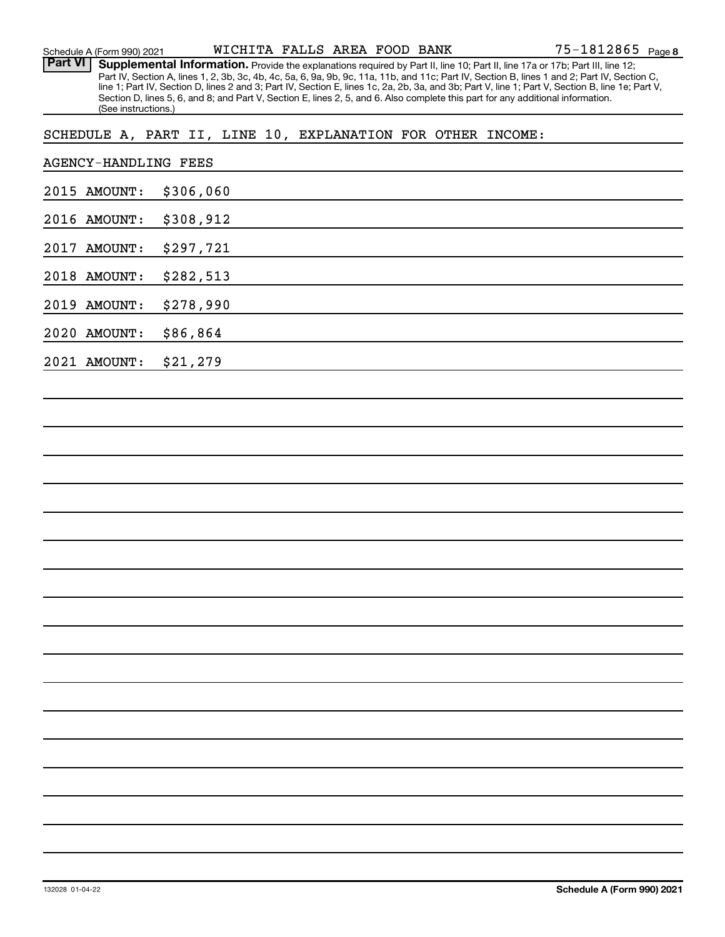| Schedule A (Form 990) 2021  |                |                     |           |  | WICHITA FALLS AREA FOOD BANK |  | $75 - 1812865$ Page 8                                                                                                                                                                                                                                                                                                                                                                                                                                                                                                                                                |  |
|-----------------------------|----------------|---------------------|-----------|--|------------------------------|--|----------------------------------------------------------------------------------------------------------------------------------------------------------------------------------------------------------------------------------------------------------------------------------------------------------------------------------------------------------------------------------------------------------------------------------------------------------------------------------------------------------------------------------------------------------------------|--|
| <b>Part VI</b>              |                | (See instructions.) |           |  |                              |  | Supplemental Information. Provide the explanations required by Part II, line 10; Part II, line 17a or 17b; Part III, line 12;<br>Part IV, Section A, lines 1, 2, 3b, 3c, 4b, 4c, 5a, 6, 9a, 9b, 9c, 11a, 11b, and 11c; Part IV, Section B, lines 1 and 2; Part IV, Section C,<br>line 1; Part IV, Section D, lines 2 and 3; Part IV, Section E, lines 1c, 2a, 2b, 3a, and 3b; Part V, line 1; Part V, Section B, line 1e; Part V,<br>Section D, lines 5, 6, and 8; and Part V, Section E, lines 2, 5, and 6. Also complete this part for any additional information. |  |
|                             |                |                     |           |  |                              |  | SCHEDULE A, PART II, LINE 10, EXPLANATION FOR OTHER INCOME:                                                                                                                                                                                                                                                                                                                                                                                                                                                                                                          |  |
| <b>AGENCY-HANDLING FEES</b> |                |                     |           |  |                              |  |                                                                                                                                                                                                                                                                                                                                                                                                                                                                                                                                                                      |  |
| 2015 AMOUNT:                |                |                     | \$306,060 |  |                              |  |                                                                                                                                                                                                                                                                                                                                                                                                                                                                                                                                                                      |  |
| 2016                        | <b>AMOUNT:</b> |                     | \$308,912 |  |                              |  |                                                                                                                                                                                                                                                                                                                                                                                                                                                                                                                                                                      |  |
| 2017                        | AMOUNT:        |                     | \$297,721 |  |                              |  |                                                                                                                                                                                                                                                                                                                                                                                                                                                                                                                                                                      |  |
| 2018                        | <b>AMOUNT:</b> |                     | \$282,513 |  |                              |  |                                                                                                                                                                                                                                                                                                                                                                                                                                                                                                                                                                      |  |
| 2019                        | <b>AMOUNT:</b> |                     | \$278,990 |  |                              |  |                                                                                                                                                                                                                                                                                                                                                                                                                                                                                                                                                                      |  |
| 2020                        | <b>AMOUNT:</b> |                     | \$86,864  |  |                              |  |                                                                                                                                                                                                                                                                                                                                                                                                                                                                                                                                                                      |  |
| 2021 AMOUNT:                |                |                     | \$21,279  |  |                              |  |                                                                                                                                                                                                                                                                                                                                                                                                                                                                                                                                                                      |  |
|                             |                |                     |           |  |                              |  |                                                                                                                                                                                                                                                                                                                                                                                                                                                                                                                                                                      |  |
|                             |                |                     |           |  |                              |  |                                                                                                                                                                                                                                                                                                                                                                                                                                                                                                                                                                      |  |
|                             |                |                     |           |  |                              |  |                                                                                                                                                                                                                                                                                                                                                                                                                                                                                                                                                                      |  |
|                             |                |                     |           |  |                              |  |                                                                                                                                                                                                                                                                                                                                                                                                                                                                                                                                                                      |  |
|                             |                |                     |           |  |                              |  |                                                                                                                                                                                                                                                                                                                                                                                                                                                                                                                                                                      |  |
|                             |                |                     |           |  |                              |  |                                                                                                                                                                                                                                                                                                                                                                                                                                                                                                                                                                      |  |
|                             |                |                     |           |  |                              |  |                                                                                                                                                                                                                                                                                                                                                                                                                                                                                                                                                                      |  |
|                             |                |                     |           |  |                              |  |                                                                                                                                                                                                                                                                                                                                                                                                                                                                                                                                                                      |  |
|                             |                |                     |           |  |                              |  |                                                                                                                                                                                                                                                                                                                                                                                                                                                                                                                                                                      |  |
|                             |                |                     |           |  |                              |  |                                                                                                                                                                                                                                                                                                                                                                                                                                                                                                                                                                      |  |
|                             |                |                     |           |  |                              |  |                                                                                                                                                                                                                                                                                                                                                                                                                                                                                                                                                                      |  |
|                             |                |                     |           |  |                              |  |                                                                                                                                                                                                                                                                                                                                                                                                                                                                                                                                                                      |  |
|                             |                |                     |           |  |                              |  |                                                                                                                                                                                                                                                                                                                                                                                                                                                                                                                                                                      |  |
|                             |                |                     |           |  |                              |  |                                                                                                                                                                                                                                                                                                                                                                                                                                                                                                                                                                      |  |
|                             |                |                     |           |  |                              |  |                                                                                                                                                                                                                                                                                                                                                                                                                                                                                                                                                                      |  |
|                             |                |                     |           |  |                              |  |                                                                                                                                                                                                                                                                                                                                                                                                                                                                                                                                                                      |  |
|                             |                |                     |           |  |                              |  |                                                                                                                                                                                                                                                                                                                                                                                                                                                                                                                                                                      |  |
|                             |                |                     |           |  |                              |  |                                                                                                                                                                                                                                                                                                                                                                                                                                                                                                                                                                      |  |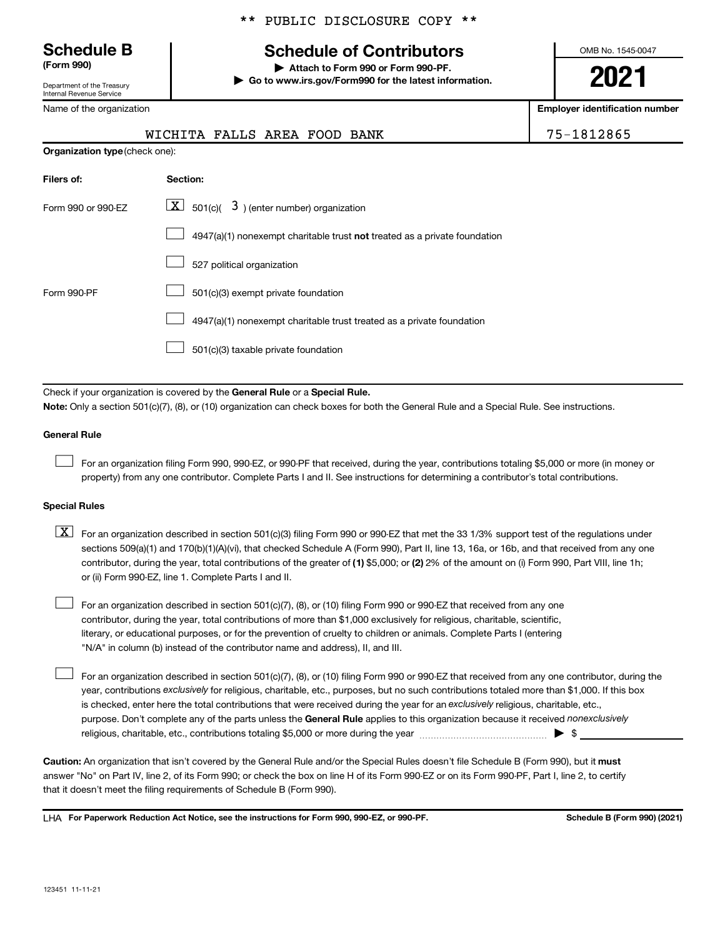Department of the Treasury Internal Revenue Service

Name of the organization

|  |  | ** PUBLIC DISCLOSURE COPY ** |  |  |
|--|--|------------------------------|--|--|
|--|--|------------------------------|--|--|

# **Schedule B Schedule of Contributors**

**(Form 990) | Attach to Form 990 or Form 990-PF. | Go to www.irs.gov/Form990 for the latest information.** OMB No. 1545-0047

**2021**

**Employer identification number**

| WICHITA FALLS AREA FOOD BANK | 75-1812865 |
|------------------------------|------------|
|------------------------------|------------|

| <b>Organization type (check one):</b> |                                                                           |  |  |
|---------------------------------------|---------------------------------------------------------------------------|--|--|
| Filers of:                            | Section:                                                                  |  |  |
| Form 990 or 990-EZ                    | $\lfloor \underline{X} \rfloor$ 501(c)( 3) (enter number) organization    |  |  |
|                                       | 4947(a)(1) nonexempt charitable trust not treated as a private foundation |  |  |
|                                       | 527 political organization                                                |  |  |
| Form 990-PF                           | 501(c)(3) exempt private foundation                                       |  |  |
|                                       | 4947(a)(1) nonexempt charitable trust treated as a private foundation     |  |  |
|                                       | 501(c)(3) taxable private foundation                                      |  |  |

Check if your organization is covered by the General Rule or a Special Rule. **Note:**  Only a section 501(c)(7), (8), or (10) organization can check boxes for both the General Rule and a Special Rule. See instructions.

### **General Rule**

 $\Box$ 

 $\Box$ 

For an organization filing Form 990, 990-EZ, or 990-PF that received, during the year, contributions totaling \$5,000 or more (in money or property) from any one contributor. Complete Parts I and II. See instructions for determining a contributor's total contributions.

### **Special Rules**

contributor, during the year, total contributions of the greater of (1) \$5,000; or (2) 2% of the amount on (i) Form 990, Part VIII, line 1h;  $\boxed{\text{X}}$  For an organization described in section 501(c)(3) filing Form 990 or 990-EZ that met the 33 1/3% support test of the regulations under sections 509(a)(1) and 170(b)(1)(A)(vi), that checked Schedule A (Form 990), Part II, line 13, 16a, or 16b, and that received from any one or (ii) Form 990-EZ, line 1. Complete Parts I and II.

For an organization described in section 501(c)(7), (8), or (10) filing Form 990 or 990-EZ that received from any one contributor, during the year, total contributions of more than \$1,000 exclusively for religious, charitable, scientific, literary, or educational purposes, or for the prevention of cruelty to children or animals. Complete Parts I (entering "N/A" in column (b) instead of the contributor name and address), II, and III.  $\Box$ 

purpose. Don't complete any of the parts unless the General Rule applies to this organization because it received nonexclusively year, contributions exclusively for religious, charitable, etc., purposes, but no such contributions totaled more than \$1,000. If this box is checked, enter here the total contributions that were received during the year for an exclusively religious, charitable, etc., For an organization described in section 501(c)(7), (8), or (10) filing Form 990 or 990-EZ that received from any one contributor, during the religious, charitable, etc., contributions totaling \$5,000 or more during the year  $\ldots$  $\ldots$  $\ldots$  $\ldots$  $\ldots$  $\ldots$ 

Caution: An organization that isn't covered by the General Rule and/or the Special Rules doesn't file Schedule B (Form 990), but it must answer "No" on Part IV, line 2, of its Form 990; or check the box on line H of its Form 990-EZ or on its Form 990-PF, Part I, line 2, to certify that it doesn't meet the filing requirements of Schedule B (Form 990).

LHA For Paperwork Reduction Act Notice, see the instructions for Form 990, 990-EZ, or 990-PF. **Schell B (Form 990)** (2021)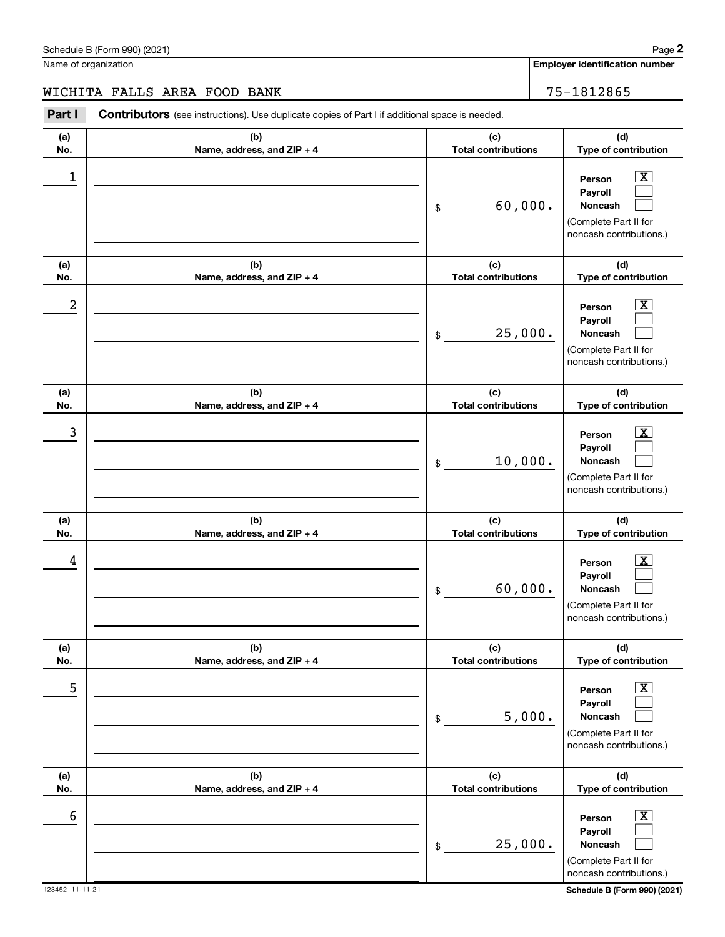Name of organization

WICHITA FALLS AREA FOOD BANK 75-1812865

| Part I           | Contributors (see instructions). Use duplicate copies of Part I if additional space is needed. |                                   |                                                                                                             |
|------------------|------------------------------------------------------------------------------------------------|-----------------------------------|-------------------------------------------------------------------------------------------------------------|
| (a)<br>No.       | (b)<br>Name, address, and ZIP + 4                                                              | (c)<br><b>Total contributions</b> | (d)<br>Type of contribution                                                                                 |
| $\mathbf 1$      |                                                                                                | 60,000.<br>\$                     | $\overline{\mathbf{X}}$<br>Person<br>Payroll<br>Noncash<br>(Complete Part II for<br>noncash contributions.) |
| (a)<br>No.       | (b)<br>Name, address, and ZIP + 4                                                              | (c)<br><b>Total contributions</b> | (d)<br>Type of contribution                                                                                 |
| $\boldsymbol{2}$ |                                                                                                | 25,000.<br>\$                     | $\overline{\mathbf{X}}$<br>Person<br>Payroll<br>Noncash<br>(Complete Part II for<br>noncash contributions.) |
| (a)<br>No.       | (b)<br>Name, address, and ZIP + 4                                                              | (c)<br><b>Total contributions</b> | (d)<br>Type of contribution                                                                                 |
| 3                |                                                                                                | 10,000.<br>\$                     | x<br>Person<br>Payroll<br>Noncash<br>(Complete Part II for<br>noncash contributions.)                       |
| (a)<br>No.       | (b)<br>Name, address, and ZIP + 4                                                              | (c)<br><b>Total contributions</b> | (d)<br>Type of contribution                                                                                 |
| 4                |                                                                                                | 60,000.<br>\$                     | x<br>Person<br>Payroll<br>Noncash<br>(Complete Part II for<br>noncash contributions.)                       |
| (a)<br>No.       | (b)<br>Name, address, and ZIP + 4                                                              | (c)<br><b>Total contributions</b> | (d)<br>Type of contribution                                                                                 |
| 5                |                                                                                                | 5,000.<br>\$                      | $\overline{\text{X}}$<br>Person<br>Payroll<br>Noncash<br>(Complete Part II for<br>noncash contributions.)   |
| (a)<br>No.       | (b)<br>Name, address, and ZIP + 4                                                              | (c)<br><b>Total contributions</b> | (d)<br>Type of contribution                                                                                 |
| 6                |                                                                                                | 25,000.<br>\$                     | $\overline{\text{X}}$<br>Person<br>Payroll<br>Noncash<br>(Complete Part II for<br>noncash contributions.)   |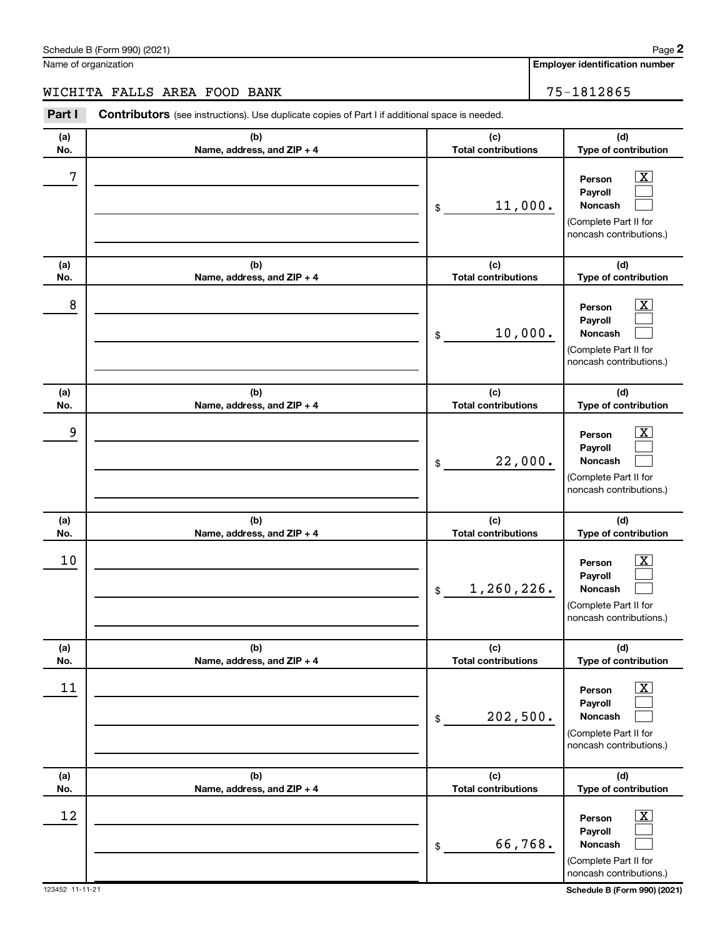Name of organization

WICHITA FALLS AREA FOOD BANK 75-1812865

**(a) No. (b) Name, address, and ZIP + 4 (c) Total contributions (d) Type of contribution Person Payroll Noncash (a) No. (b) Name, address, and ZIP + 4 (c) Total contributions (d) Type of contribution Person Payroll Noncash (a) No. (b) Name, address, and ZIP + 4 (c) Total contributions (d) Type of contribution Person Payroll Noncash (a) No. (b) Name, address, and ZIP + 4 (c) Total contributions (d) Type of contribution Person Payroll Noncash (a) No. (b) Name, address, and ZIP + 4 (c) Total contributions (d) Type of contribution Person Payroll Noncash (a) No. (b) Name, address, and ZIP + 4 (c) Total contributions (d) Type of contribution Person Payroll Noncash Part I** Contributors (see instructions). Use duplicate copies of Part I if additional space is needed. \$ (Complete Part II for noncash contributions.) \$ (Complete Part II for noncash contributions.) \$ (Complete Part II for noncash contributions.) \$ (Complete Part II for noncash contributions.) \$ (Complete Part II for noncash contributions.) \$ (Complete Part II for noncash contributions.)  $\boxed{\textbf{X}}$  $\Box$  $\Box$  $\overline{\mathbf{X}}$  $\Box$  $\Box$  $\boxed{\textbf{X}}$  $\Box$  $\Box$  $\boxed{\text{X}}$  $\Box$  $\Box$  $\boxed{\text{X}}$  $\Box$  $\Box$  $\boxed{\textbf{X}}$  $\Box$  $\Box$  $7$   $|$  Person  $\overline{\text{X}}$ 11,000.  $8$  Person  $\overline{\text{X}}$ 10,000. 9 X 22,000.  $10$  Person  $\overline{\text{X}}$ 1,260,226.  $\begin{array}{|c|c|c|c|c|}\hline \text{11} & \text{Person} & \text{X} \\\hline \end{array}$ 202,500.  $\begin{array}{|c|c|c|c|c|}\hline \text{12} & \text{Person} & \text{X} \\\hline \end{array}$ 66,768.

**2**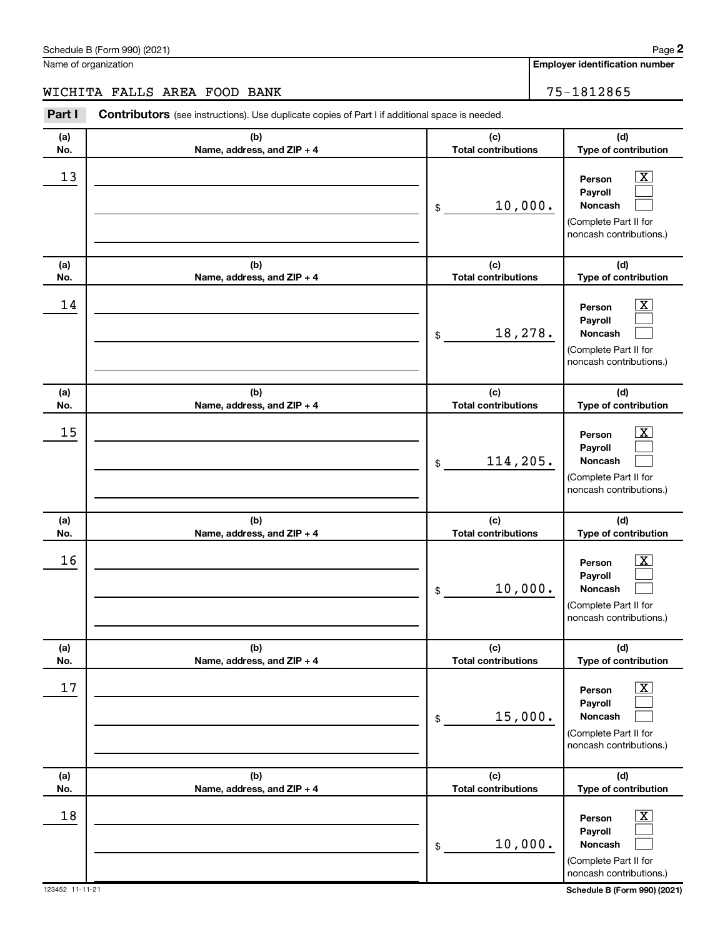Name of organization

# WICHITA FALLS AREA FOOD BANK 75-1812865

| Part I     | Contributors (see instructions). Use duplicate copies of Part I if additional space is needed. |                                   |                                                                                                             |
|------------|------------------------------------------------------------------------------------------------|-----------------------------------|-------------------------------------------------------------------------------------------------------------|
| (a)<br>No. | (b)<br>Name, address, and ZIP + 4                                                              | (c)<br><b>Total contributions</b> | (d)<br>Type of contribution                                                                                 |
| 13         |                                                                                                | 10,000.<br>\$                     | $\overline{\textbf{X}}$<br>Person<br>Payroll<br>Noncash<br>(Complete Part II for<br>noncash contributions.) |
| (a)<br>No. | (b)<br>Name, address, and ZIP + 4                                                              | (c)<br><b>Total contributions</b> | (d)<br>Type of contribution                                                                                 |
| 14         |                                                                                                | 18,278.<br>$\frac{1}{2}$          | $\overline{\textbf{X}}$<br>Person<br>Payroll<br>Noncash<br>(Complete Part II for<br>noncash contributions.) |
| (a)<br>No. | (b)<br>Name, address, and ZIP + 4                                                              | (c)<br><b>Total contributions</b> | (d)<br>Type of contribution                                                                                 |
| 15         |                                                                                                | 114,205.<br>\$                    | $\overline{\text{X}}$<br>Person<br>Payroll<br>Noncash<br>(Complete Part II for<br>noncash contributions.)   |
| (a)<br>No. | (b)<br>Name, address, and ZIP + 4                                                              | (c)<br><b>Total contributions</b> | (d)<br>Type of contribution                                                                                 |
| 16         |                                                                                                | 10,000.<br>\$                     | $\overline{\text{X}}$<br>Person<br>Payroll<br>Noncash<br>(Complete Part II for<br>noncash contributions.)   |
| (a)<br>No. | (b)<br>Name, address, and ZIP + 4                                                              | (c)<br><b>Total contributions</b> | (d)<br>Type of contribution                                                                                 |
| 17         |                                                                                                | 15,000.<br>\$                     | $\overline{\mathbf{x}}$<br>Person<br>Payroll<br>Noncash<br>(Complete Part II for<br>noncash contributions.) |
| (a)<br>No. | (b)<br>Name, address, and ZIP + 4                                                              | (c)<br><b>Total contributions</b> | (d)<br>Type of contribution                                                                                 |
| 18         |                                                                                                | 10,000.<br>\$                     | $\overline{\mathbf{x}}$<br>Person<br>Payroll<br>Noncash<br>(Complete Part II for<br>noncash contributions.) |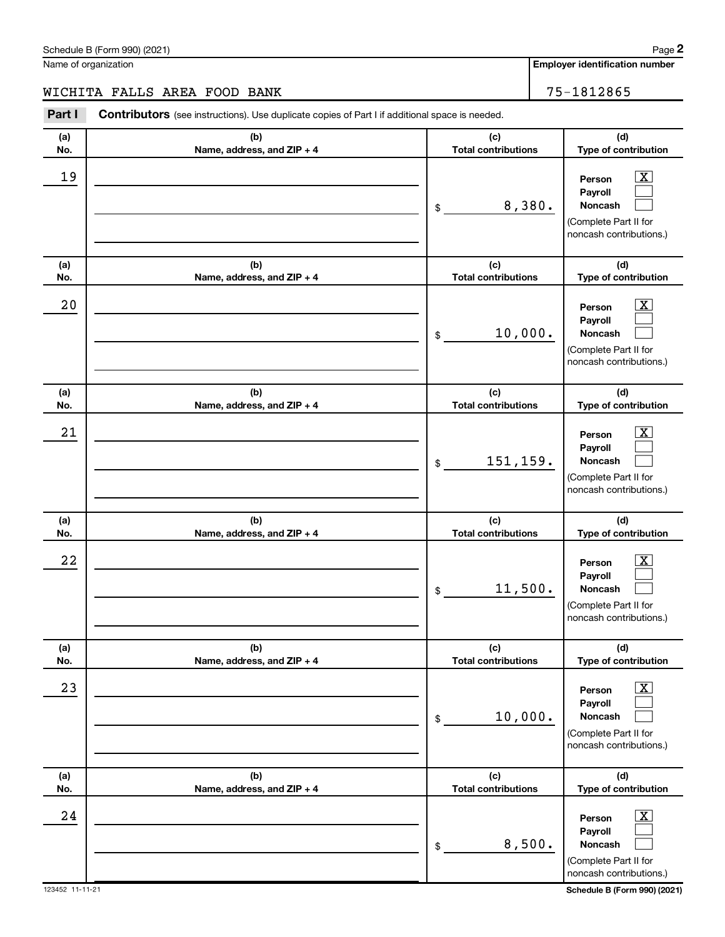Name of organization

WICHITA FALLS AREA FOOD BANK 75-1812865

**(a) No. (b) Name, address, and ZIP + 4 (c) Total contributions (d) Type of contribution Person Payroll Noncash (a) No. (b) Name, address, and ZIP + 4 (c) Total contributions (d) Type of contribution Person Payroll Noncash (a) No. (b) Name, address, and ZIP + 4 (c) Total contributions (d) Type of contribution Person Payroll Noncash (a) No. (b) Name, address, and ZIP + 4 (c) Total contributions (d) Type of contribution Person Payroll Noncash (a) No. (b) Name, address, and ZIP + 4 (c) Total contributions (d) Type of contribution Person Payroll Noncash (a) No. (b) Name, address, and ZIP + 4 (c) Total contributions (d) Type of contribution Person Payroll Noncash Part I** Contributors (see instructions). Use duplicate copies of Part I if additional space is needed. \$ (Complete Part II for noncash contributions.) \$ (Complete Part II for noncash contributions.) \$ (Complete Part II for noncash contributions.) \$ (Complete Part II for noncash contributions.) \$ (Complete Part II for noncash contributions.) \$ (Complete Part II for noncash contributions.)  $\boxed{\textbf{X}}$  $\Box$  $\Box$  $\boxed{\textbf{X}}$  $\Box$  $\Box$  $\boxed{\textbf{X}}$  $\Box$  $\Box$  $\boxed{\text{X}}$  $\Box$  $\Box$  $\boxed{\text{X}}$  $\Box$  $\Box$  $\boxed{\textbf{X}}$  $\Box$  $\Box$  $19$  Person  $\overline{\text{X}}$ 8,380.  $20$  Person  $\overline{\text{X}}$ 10,000.  $21$  Person  $\overline{\text{X}}$ 151,159.  $22$  Person  $\overline{\text{X}}$ 11,500.  $23$  Person  $\overline{\text{X}}$ 10,000.  $24$  Person  $\overline{\text{X}}$ 8,500.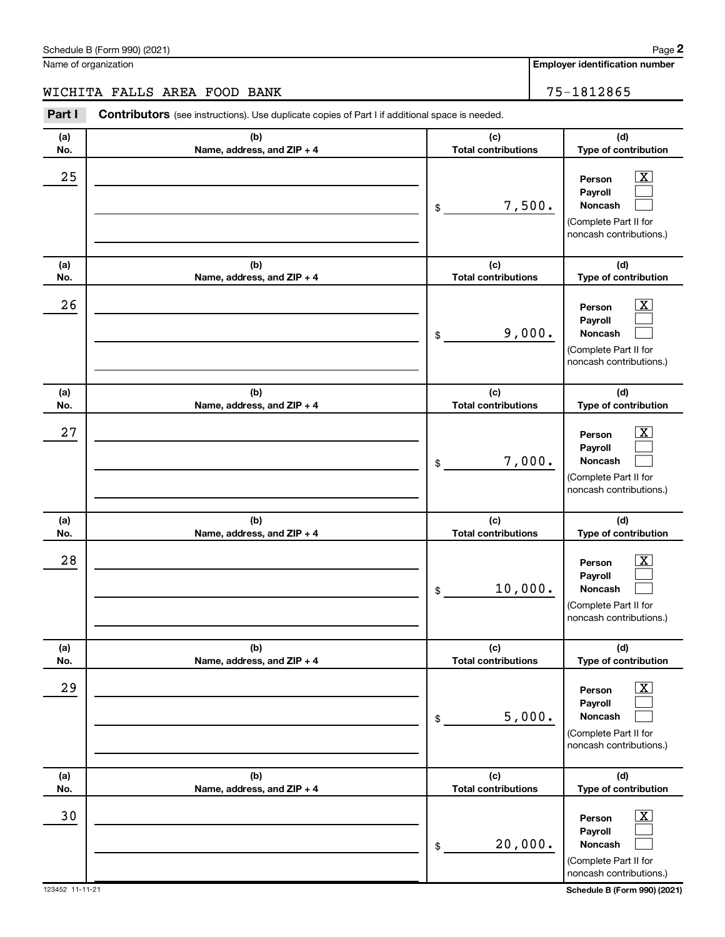| Schedule<br>990) (2021)<br>-<br>-or<br>. .<br>$\overline{\phantom{a}}$<br>וו כב | Page |
|---------------------------------------------------------------------------------|------|
|                                                                                 |      |

Name of organization

# WICHITA FALLS AREA FOOD BANK 75-1812865

| Part I     | Contributors (see instructions). Use duplicate copies of Part I if additional space is needed. |                                   |                                                                                                                    |
|------------|------------------------------------------------------------------------------------------------|-----------------------------------|--------------------------------------------------------------------------------------------------------------------|
| (a)<br>No. | (b)<br>Name, address, and ZIP + 4                                                              | (c)<br><b>Total contributions</b> | (d)<br>Type of contribution                                                                                        |
| 25         |                                                                                                | 7,500.<br>\$                      | x<br>Person<br>Payroll<br>Noncash<br>(Complete Part II for<br>noncash contributions.)                              |
| (a)<br>No. | (b)<br>Name, address, and ZIP + 4                                                              | (c)<br><b>Total contributions</b> | (d)<br>Type of contribution                                                                                        |
| 26         |                                                                                                | 9,000.<br>\$                      | x<br>Person<br>Payroll<br>Noncash<br>(Complete Part II for<br>noncash contributions.)                              |
| (a)<br>No. | (b)<br>Name, address, and ZIP + 4                                                              | (c)<br><b>Total contributions</b> | (d)<br>Type of contribution                                                                                        |
| 27         |                                                                                                | 7,000.<br>\$                      | x.<br>Person<br>Payroll<br><b>Noncash</b><br>(Complete Part II for<br>noncash contributions.)                      |
| (a)<br>No. | (b)<br>Name, address, and ZIP + 4                                                              | (c)<br><b>Total contributions</b> | (d)<br>Type of contribution                                                                                        |
| 28         |                                                                                                | 10,000.<br>\$                     | x.<br>Person<br>Payroll<br><b>Noncash</b><br>(Complete Part II for<br>noncash contributions.)                      |
| (a)<br>No. | (b)<br>Name, address, and ZIP + 4                                                              | (c)<br><b>Total contributions</b> | (d)<br>Type of contribution                                                                                        |
| 29         |                                                                                                | 5,000.<br>\$                      | $\overline{\mathbf{X}}$<br>Person<br>Payroll<br><b>Noncash</b><br>(Complete Part II for<br>noncash contributions.) |
| (a)<br>No. | (b)<br>Name, address, and ZIP + 4                                                              | (c)<br><b>Total contributions</b> | (d)<br>Type of contribution                                                                                        |
| 30         |                                                                                                | 20,000.<br>\$                     | $\overline{\text{X}}$<br>Person<br>Payroll<br><b>Noncash</b><br>(Complete Part II for<br>noncash contributions.)   |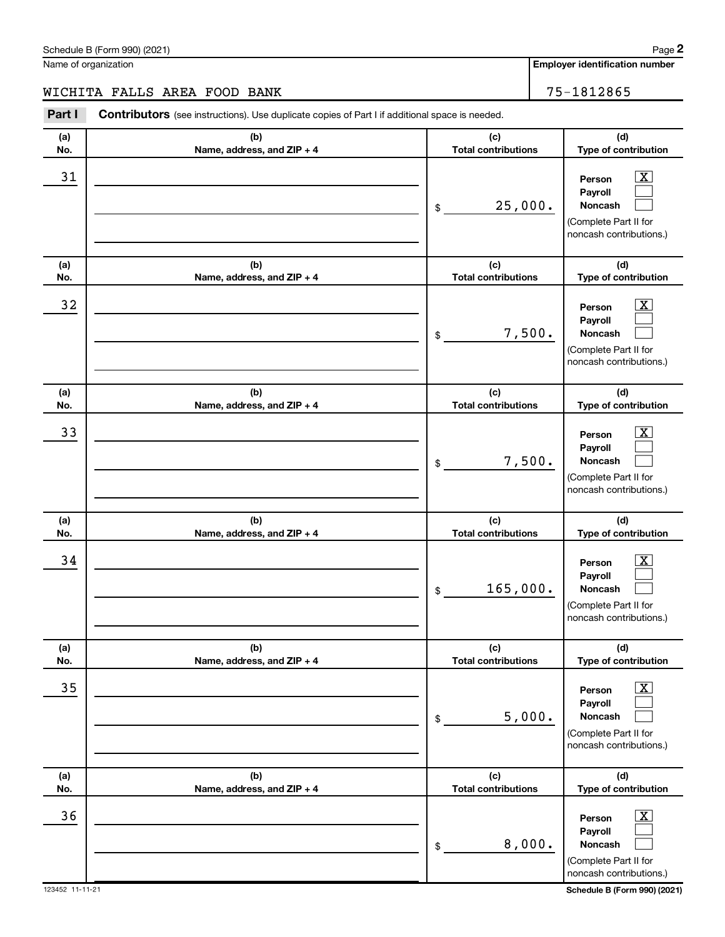Schedule B (Form 990) (2021) Name of organization

# WICHITA FALLS AREA FOOD BANK 75-1812865

| Part I     | Contributors (see instructions). Use duplicate copies of Part I if additional space is needed. |                                   |                                                                                                             |
|------------|------------------------------------------------------------------------------------------------|-----------------------------------|-------------------------------------------------------------------------------------------------------------|
| (a)<br>No. | (b)<br>Name, address, and ZIP + 4                                                              | (c)<br><b>Total contributions</b> | (d)<br>Type of contribution                                                                                 |
| 31         |                                                                                                | 25,000.<br>\$                     | $\overline{\textbf{x}}$<br>Person<br>Payroll<br>Noncash<br>(Complete Part II for<br>noncash contributions.) |
| (a)<br>No. | (b)<br>Name, address, and ZIP + 4                                                              | (c)<br><b>Total contributions</b> | (d)<br>Type of contribution                                                                                 |
| 32         |                                                                                                | 7,500.<br>\$                      | $\overline{\text{X}}$<br>Person<br>Payroll<br>Noncash<br>(Complete Part II for<br>noncash contributions.)   |
| (a)<br>No. | (b)<br>Name, address, and ZIP + 4                                                              | (c)<br><b>Total contributions</b> | (d)<br>Type of contribution                                                                                 |
| 33         |                                                                                                | 7,500.<br>\$                      | $\overline{\text{X}}$<br>Person<br>Payroll<br>Noncash<br>(Complete Part II for<br>noncash contributions.)   |
| (a)<br>No. | (b)<br>Name, address, and ZIP + 4                                                              | (c)<br><b>Total contributions</b> | (d)<br>Type of contribution                                                                                 |
| 34         |                                                                                                | 165,000.<br>\$                    | $\overline{\text{X}}$<br>Person<br>Payroll<br>Noncash<br>(Complete Part II for<br>noncash contributions.)   |
| (a)<br>No. | (b)<br>Name, address, and ZIP + 4                                                              | (c)<br><b>Total contributions</b> | (d)<br>Type of contribution                                                                                 |
| 35         |                                                                                                | 5,000.<br>\$                      | $\overline{\textbf{x}}$<br>Person<br>Payroll<br>Noncash<br>(Complete Part II for<br>noncash contributions.) |
| (a)<br>No. | (b)<br>Name, address, and ZIP + 4                                                              | (c)<br><b>Total contributions</b> | (d)<br>Type of contribution                                                                                 |
| 36         |                                                                                                | 8,000.<br>\$                      | $\overline{\text{X}}$<br>Person<br>Payroll<br>Noncash<br>(Complete Part II for<br>noncash contributions.)   |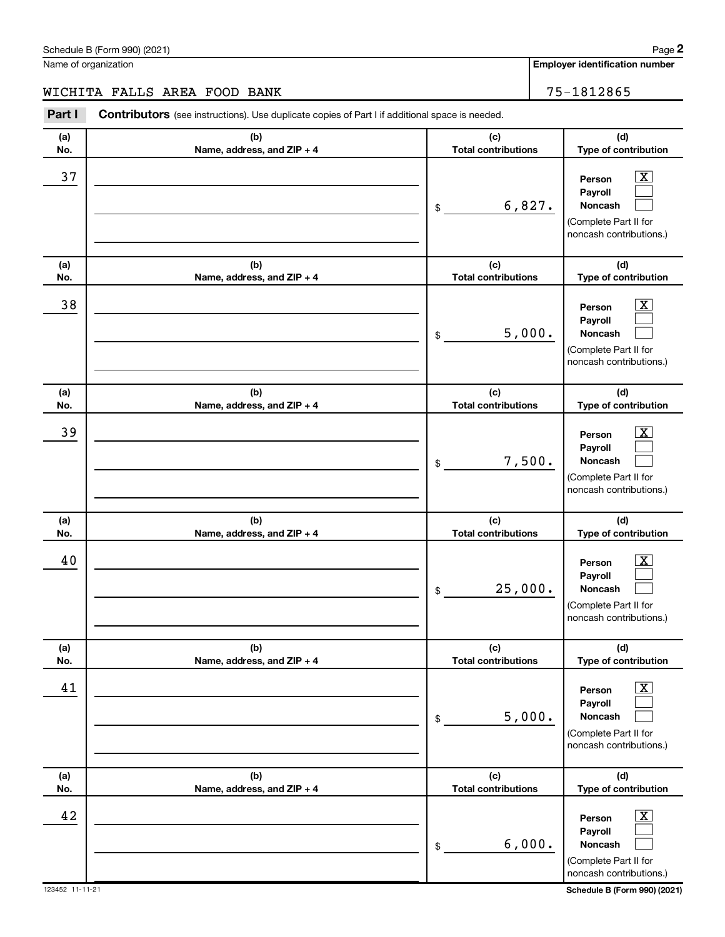| Schedule<br>990) (2021)<br>-<br>-or<br>. .<br>$\overline{\phantom{a}}$<br>וו כב | Page |
|---------------------------------------------------------------------------------|------|
|                                                                                 |      |

Name of organization

# WICHITA FALLS AREA FOOD BANK 75-1812865

| Part I     | Contributors (see instructions). Use duplicate copies of Part I if additional space is needed. |                                   |                                                                                                           |
|------------|------------------------------------------------------------------------------------------------|-----------------------------------|-----------------------------------------------------------------------------------------------------------|
| (a)<br>No. | (b)<br>Name, address, and ZIP + 4                                                              | (c)<br><b>Total contributions</b> | (d)<br>Type of contribution                                                                               |
| 37         |                                                                                                | 6,827.<br>\$                      | $\overline{\text{X}}$<br>Person<br>Payroll<br>Noncash<br>(Complete Part II for<br>noncash contributions.) |
| (a)<br>No. | (b)<br>Name, address, and ZIP + 4                                                              | (c)<br><b>Total contributions</b> | (d)<br>Type of contribution                                                                               |
| 38         |                                                                                                | 5,000.<br>\$                      | $\overline{\text{X}}$<br>Person<br>Payroll<br>Noncash<br>(Complete Part II for<br>noncash contributions.) |
| (a)<br>No. | (b)<br>Name, address, and ZIP + 4                                                              | (c)<br><b>Total contributions</b> | (d)<br>Type of contribution                                                                               |
| 39         |                                                                                                | 7,500.<br>\$                      | $\overline{\text{X}}$<br>Person<br>Payroll<br>Noncash<br>(Complete Part II for<br>noncash contributions.) |
| (a)<br>No. | (b)<br>Name, address, and ZIP + 4                                                              | (c)<br><b>Total contributions</b> | (d)<br>Type of contribution                                                                               |
| 40         |                                                                                                | 25,000.<br>\$                     | $\overline{\text{X}}$<br>Person<br>Payroll<br>Noncash<br>(Complete Part II for<br>noncash contributions.) |
| (a)<br>No. | (b)<br>Name, address, and ZIP + 4                                                              | (c)<br><b>Total contributions</b> | (d)<br>Type of contribution                                                                               |
| 41         |                                                                                                | 5,000.<br>\$                      | $\overline{\text{X}}$<br>Person<br>Payroll<br>Noncash<br>(Complete Part II for<br>noncash contributions.) |
| (a)<br>No. | (b)<br>Name, address, and ZIP + 4                                                              | (c)<br><b>Total contributions</b> | (d)<br>Type of contribution                                                                               |
| 42         |                                                                                                | 6,000.<br>\$                      | $\overline{\text{X}}$<br>Person<br>Payroll<br>Noncash<br>(Complete Part II for<br>noncash contributions.) |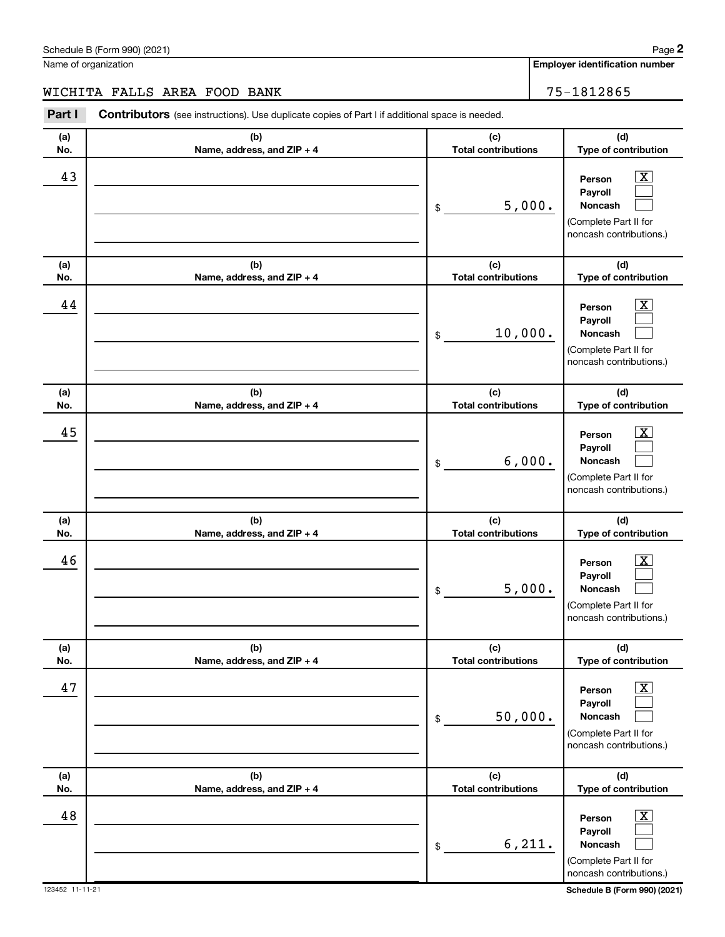| Schedule B (Form 990) (2021) | Paqe                                  |
|------------------------------|---------------------------------------|
| Name of organization         | <b>Employer identification number</b> |

WICHITA FALLS AREA FOOD BANK 75-1812865

**Part I** Contributors (see instructions). Use duplicate copies of Part I if additional space is needed.

123452 11-11-21 **Schedule B (Form 990) (2021) (a) No. (b) Name, address, and ZIP + 4 (c) Total contributions (d) Type of contribution Person Payroll Noncash (a) No. (b) Name, address, and ZIP + 4 (c) Total contributions (d) Type of contribution Person Payroll Noncash (a) No. (b) Name, address, and ZIP + 4 (c) Total contributions (d) Type of contribution Person Payroll Noncash (a) No. (b) Name, address, and ZIP + 4 (c) Total contributions (d) Type of contribution Person Payroll Noncash (a) No. (b) Name, address, and ZIP + 4 (c) Total contributions (d) Type of contribution Person Payroll Noncash (a) No. (b) Name, address, and ZIP + 4 (c) Total contributions (d) Type of contribution Person Payroll Noncash** \$ (Complete Part II for noncash contributions.) \$ (Complete Part II for noncash contributions.) \$ (Complete Part II for noncash contributions.) \$ (Complete Part II for noncash contributions.) \$ (Complete Part II for noncash contributions.) \$ (Complete Part II for noncash contributions.)  $\boxed{\textbf{X}}$  $\Box$  $\Box$  $\overline{\mathbf{X}}$  $\Box$  $\Box$  $\boxed{\textbf{X}}$  $\Box$  $\Box$  $\boxed{\text{X}}$  $\Box$  $\Box$  $\boxed{\text{X}}$  $\Box$  $\Box$  $\boxed{\textbf{X}}$  $\Box$  $\Box$  $43$  Person  $\overline{\text{X}}$ 5,000.  $44$  Person  $\overline{\text{X}}$ 10,000.  $45$  Person  $\overline{\text{X}}$ 6,000.  $46$  Person  $\overline{\text{X}}$ 5,000.  $47$  Person  $\overline{\text{X}}$ 50,000.  $48$  Person  $\overline{\text{X}}$ 6,211.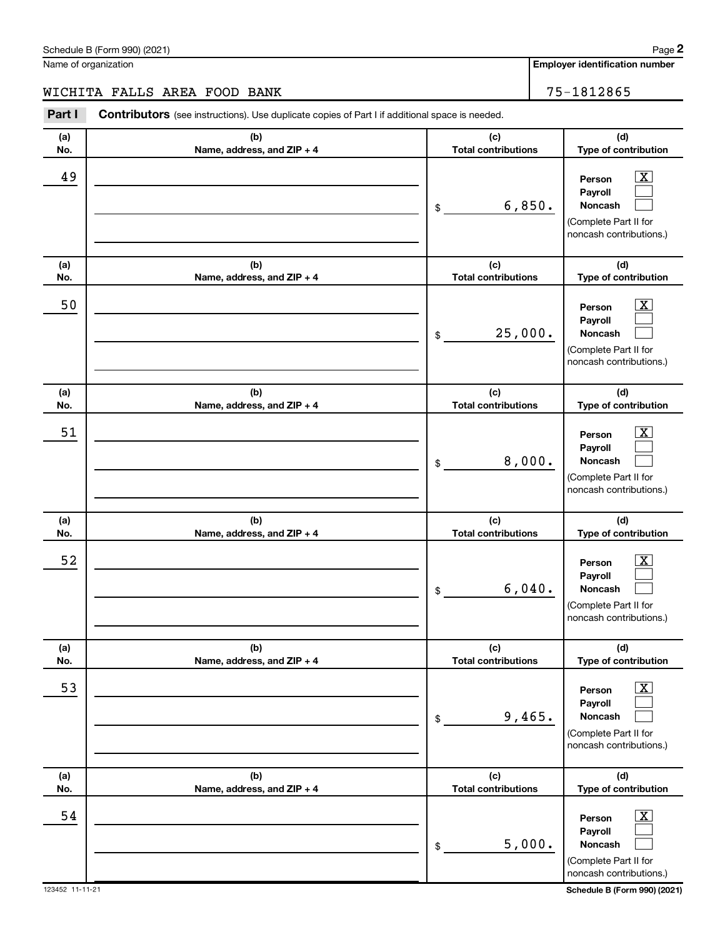Name of organization

# WICHITA FALLS AREA FOOD BANK 75-1812865

| Part I     | Contributors (see instructions). Use duplicate copies of Part I if additional space is needed. |                                   |                                                                                                                  |
|------------|------------------------------------------------------------------------------------------------|-----------------------------------|------------------------------------------------------------------------------------------------------------------|
| (a)<br>No. | (b)<br>Name, address, and ZIP + 4                                                              | (c)<br><b>Total contributions</b> | (d)<br>Type of contribution                                                                                      |
| 49         |                                                                                                | 6,850.<br>\$                      | $\overline{\mathbf{X}}$<br>Person<br>Payroll<br>Noncash<br>(Complete Part II for<br>noncash contributions.)      |
| (a)<br>No. | (b)<br>Name, address, and ZIP + 4                                                              | (c)<br><b>Total contributions</b> | (d)<br>Type of contribution                                                                                      |
| 50         |                                                                                                | 25,000.<br>\$                     | $\overline{\text{X}}$<br>Person<br>Payroll<br><b>Noncash</b><br>(Complete Part II for<br>noncash contributions.) |
| (a)<br>No. | (b)<br>Name, address, and ZIP + 4                                                              | (c)<br><b>Total contributions</b> | (d)<br>Type of contribution                                                                                      |
| 51         |                                                                                                | 8,000.<br>\$                      | $\overline{\text{X}}$<br>Person<br>Payroll<br>Noncash<br>(Complete Part II for<br>noncash contributions.)        |
| (a)<br>No. | (b)<br>Name, address, and ZIP + 4                                                              | (c)<br><b>Total contributions</b> | (d)<br>Type of contribution                                                                                      |
| 52         |                                                                                                | 6,040.<br>\$                      | $\overline{\text{X}}$<br>Person<br>Payroll<br>Noncash<br>(Complete Part II for<br>noncash contributions.)        |
| (a)<br>No. | (b)<br>Name, address, and ZIP + 4                                                              | (c)<br><b>Total contributions</b> | (d)<br>Type of contribution                                                                                      |
| 53         |                                                                                                | 9,465.<br>\$                      | $\overline{\text{X}}$<br>Person<br>Payroll<br><b>Noncash</b><br>(Complete Part II for<br>noncash contributions.) |
| (a)<br>No. | (b)<br>Name, address, and ZIP + 4                                                              | (c)<br><b>Total contributions</b> | (d)<br>Type of contribution                                                                                      |
| 54         |                                                                                                | 5,000.<br>\$                      | $\overline{\text{X}}$<br>Person<br>Payroll<br><b>Noncash</b><br>(Complete Part II for<br>noncash contributions.) |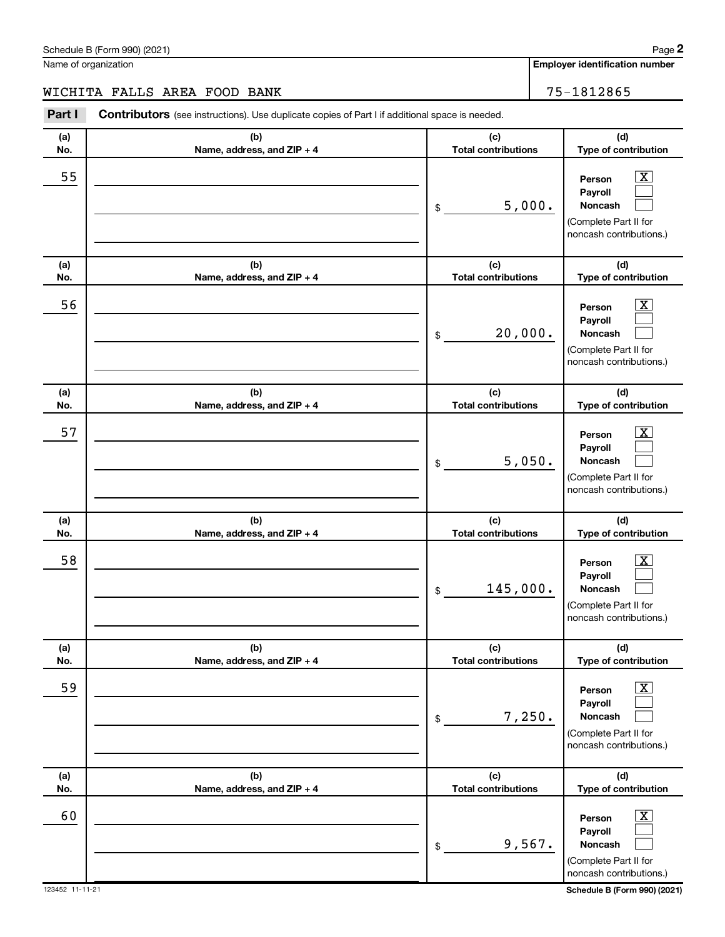Schedule B (Form 990) (2021) Name of organization

| Part I     | Contributors (see instructions). Use duplicate copies of Part I if additional space is needed. |                                   |                                                                                                                    |
|------------|------------------------------------------------------------------------------------------------|-----------------------------------|--------------------------------------------------------------------------------------------------------------------|
| (a)<br>No. | (b)<br>Name, address, and ZIP + 4                                                              | (c)<br><b>Total contributions</b> | (d)<br>Type of contribution                                                                                        |
| 55         |                                                                                                | 5,000.<br>\$                      | $\overline{\mathbf{X}}$<br>Person<br>Payroll<br><b>Noncash</b><br>(Complete Part II for<br>noncash contributions.) |
| (a)<br>No. | (b)<br>Name, address, and ZIP + 4                                                              | (c)<br><b>Total contributions</b> | (d)<br>Type of contribution                                                                                        |
| 56         |                                                                                                | 20,000.<br>\$                     | $\overline{\mathbf{X}}$<br>Person<br>Payroll<br>Noncash<br>(Complete Part II for<br>noncash contributions.)        |
| (a)<br>No. | (b)<br>Name, address, and ZIP + 4                                                              | (c)<br><b>Total contributions</b> | (d)<br>Type of contribution                                                                                        |
| 57         |                                                                                                | 5,050.<br>\$                      | $\overline{\mathbf{X}}$<br>Person<br>Payroll<br>Noncash<br>(Complete Part II for<br>noncash contributions.)        |
| (a)<br>No. | (b)<br>Name, address, and ZIP + 4                                                              | (c)<br><b>Total contributions</b> | (d)<br>Type of contribution                                                                                        |
| 58         |                                                                                                | 145,000.<br>\$                    | $\overline{\text{X}}$<br>Person<br>Payroll<br>Noncash<br>(Complete Part II for<br>noncash contributions.)          |
| (a)<br>No. | (b)<br>Name, address, and ZIP + 4                                                              | (c)<br><b>Total contributions</b> | (d)<br>Type of contribution                                                                                        |
| 59         |                                                                                                | 7,250.<br>\$                      | $\overline{\textbf{X}}$<br>Person<br>Payroll<br><b>Noncash</b><br>(Complete Part II for<br>noncash contributions.) |
| (a)<br>No. | (b)<br>Name, address, and ZIP + 4                                                              | (c)<br><b>Total contributions</b> | (d)<br>Type of contribution                                                                                        |
| 60         |                                                                                                | 9,567.<br>\$                      | $\overline{\mathbf{X}}$<br>Person<br>Payroll<br><b>Noncash</b><br>(Complete Part II for<br>noncash contributions.) |

**Employer identification number**

WICHITA FALLS AREA FOOD BANK 75-1812865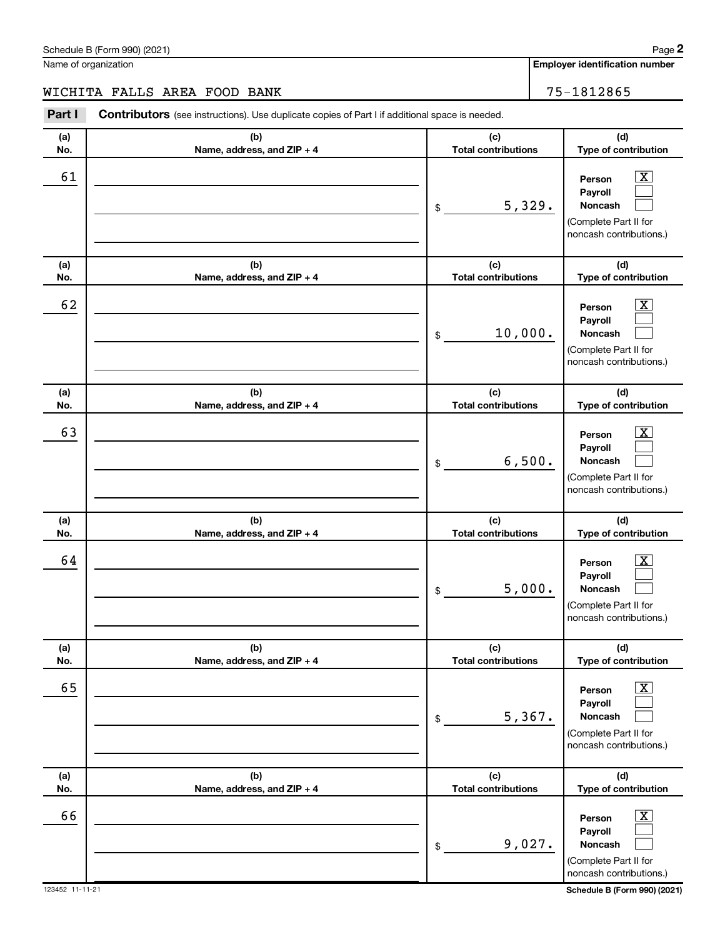| Schedule<br>(2021) (2021<br>-<br>∙orm<br>. .<br>-<br>. | aae |
|--------------------------------------------------------|-----|
|                                                        |     |

Name of organization

**(a) No. (b) Name, address, and ZIP + 4 (a) No. (b) Name, address, and ZIP + 4 (a) No. (b) Name, address, and ZIP + 4**  $\frac{1}{2}$ \$ \$ WICHITA FALLS AREA FOOD BANK 75-1812865  $\begin{array}{|c|c|c|c|c|c|}\hline \text{61} & \text{Person} & \text{X} \end{array}$ 

| (d)<br>(a)<br>(b)<br>(c)<br><b>Total contributions</b><br>No.<br>Name, address, and ZIP + 4<br>62<br>$\overline{\mathbf{X}}$<br>Person<br>Payroll<br>10,000.<br><b>Noncash</b><br>\$<br>(Complete Part II for<br>(c)<br>(d)<br>(b)<br>(a)<br><b>Total contributions</b><br>No.<br>Name, address, and ZIP + 4<br>63<br>$\overline{\mathbf{X}}$<br>Person<br>Payroll<br>6,500.<br><b>Noncash</b><br>\$<br>(Complete Part II for<br>(b)<br>(c)<br>(d)<br>(a)<br><b>Total contributions</b><br>No.<br>Name, address, and ZIP + 4<br>64<br>$\overline{\text{X}}$<br>Person<br>Payroll<br>5,000.<br><b>Noncash</b><br>\$<br>(Complete Part II for<br>(c)<br>(d)<br>(a)<br>(b)<br><b>Total contributions</b><br>Type of contribution<br>No.<br>Name, address, and ZIP + 4<br>65<br>$\overline{\mathbf{X}}$<br>Person<br>Payroll<br>5,367.<br><b>Noncash</b><br>\$<br>(Complete Part II for<br>(b)<br>(d)<br>(a)<br>(c)<br><b>Total contributions</b><br>No.<br>Name, address, and ZIP + 4<br>$\boxed{\text{X}}$<br>66<br>Person<br>Payroll<br>9,027.<br>Noncash<br>$\$$ |  |                                                         |
|------------------------------------------------------------------------------------------------------------------------------------------------------------------------------------------------------------------------------------------------------------------------------------------------------------------------------------------------------------------------------------------------------------------------------------------------------------------------------------------------------------------------------------------------------------------------------------------------------------------------------------------------------------------------------------------------------------------------------------------------------------------------------------------------------------------------------------------------------------------------------------------------------------------------------------------------------------------------------------------------------------------------------------------------------------------|--|---------------------------------------------------------|
|                                                                                                                                                                                                                                                                                                                                                                                                                                                                                                                                                                                                                                                                                                                                                                                                                                                                                                                                                                                                                                                                  |  | Type of contribution                                    |
|                                                                                                                                                                                                                                                                                                                                                                                                                                                                                                                                                                                                                                                                                                                                                                                                                                                                                                                                                                                                                                                                  |  | noncash contributions.)                                 |
|                                                                                                                                                                                                                                                                                                                                                                                                                                                                                                                                                                                                                                                                                                                                                                                                                                                                                                                                                                                                                                                                  |  | Type of contribution                                    |
|                                                                                                                                                                                                                                                                                                                                                                                                                                                                                                                                                                                                                                                                                                                                                                                                                                                                                                                                                                                                                                                                  |  | noncash contributions.)                                 |
|                                                                                                                                                                                                                                                                                                                                                                                                                                                                                                                                                                                                                                                                                                                                                                                                                                                                                                                                                                                                                                                                  |  | Type of contribution                                    |
|                                                                                                                                                                                                                                                                                                                                                                                                                                                                                                                                                                                                                                                                                                                                                                                                                                                                                                                                                                                                                                                                  |  | noncash contributions.)                                 |
|                                                                                                                                                                                                                                                                                                                                                                                                                                                                                                                                                                                                                                                                                                                                                                                                                                                                                                                                                                                                                                                                  |  |                                                         |
|                                                                                                                                                                                                                                                                                                                                                                                                                                                                                                                                                                                                                                                                                                                                                                                                                                                                                                                                                                                                                                                                  |  | noncash contributions.)                                 |
|                                                                                                                                                                                                                                                                                                                                                                                                                                                                                                                                                                                                                                                                                                                                                                                                                                                                                                                                                                                                                                                                  |  | Type of contribution                                    |
| (Complete Part II for<br>123452 11-11-21                                                                                                                                                                                                                                                                                                                                                                                                                                                                                                                                                                                                                                                                                                                                                                                                                                                                                                                                                                                                                         |  | noncash contributions.)<br>Schedule B (Form 990) (2021) |

**(c) Total contributions Part I** Contributors (see instructions). Use duplicate copies of Part I if additional space is needed.

**Employer identification number**

5,329.

**Person Payroll Noncash**

(Complete Part II for noncash contributions.)

**(d) Type of contribution**

> $\boxed{\text{X}}$  $\Box$  $\Box$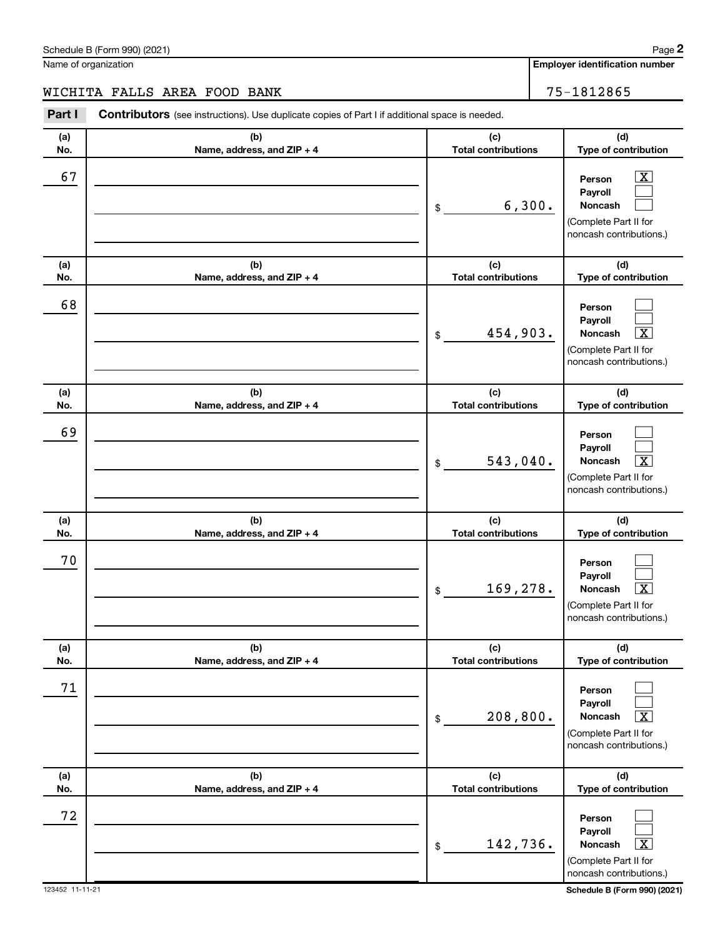Name of organization

WICHITA FALLS AREA FOOD BANK 75-1812865

**(a) No. (b) Name, address, and ZIP + 4 (c) Total contributions (d) Type of contribution Person Payroll Noncash (a) No. (b) Name, address, and ZIP + 4 (c) Total contributions (d) Type of contribution Person Payroll Noncash (a) No. (b) Name, address, and ZIP + 4 (c) Total contributions (d) Type of contribution Person Payroll Noncash (a) No. (b) Name, address, and ZIP + 4 (c) Total contributions (d) Type of contribution Person Payroll Noncash (a) No. (b) Name, address, and ZIP + 4 (c) Total contributions (d) Type of contribution Person Payroll Noncash (a) No. (b) Name, address, and ZIP + 4 (c) Total contributions (d) Type of contribution Person Payroll Noncash Part I** Contributors (see instructions). Use duplicate copies of Part I if additional space is needed. \$ (Complete Part II for noncash contributions.) \$ (Complete Part II for noncash contributions.) \$ (Complete Part II for noncash contributions.) \$ (Complete Part II for noncash contributions.) \$ (Complete Part II for noncash contributions.) \$ (Complete Part II for noncash contributions.)  $\boxed{\textbf{X}}$  $\Box$  $\Box$  $\Box$  $\Box$  $|X|$  $\Box$  $\Box$  $\boxed{\textbf{X}}$  $\Box$  $\Box$  $\overline{X}$  $\Box$  $\Box$  $\boxed{\text{X}}$  $\Box$  $\Box$  $\boxed{\textbf{X}}$ 67 X 6,300. 68 454,903. X 69  $543,040.$ 70 169,278. X 71  $208,800.$ 72 142,736. X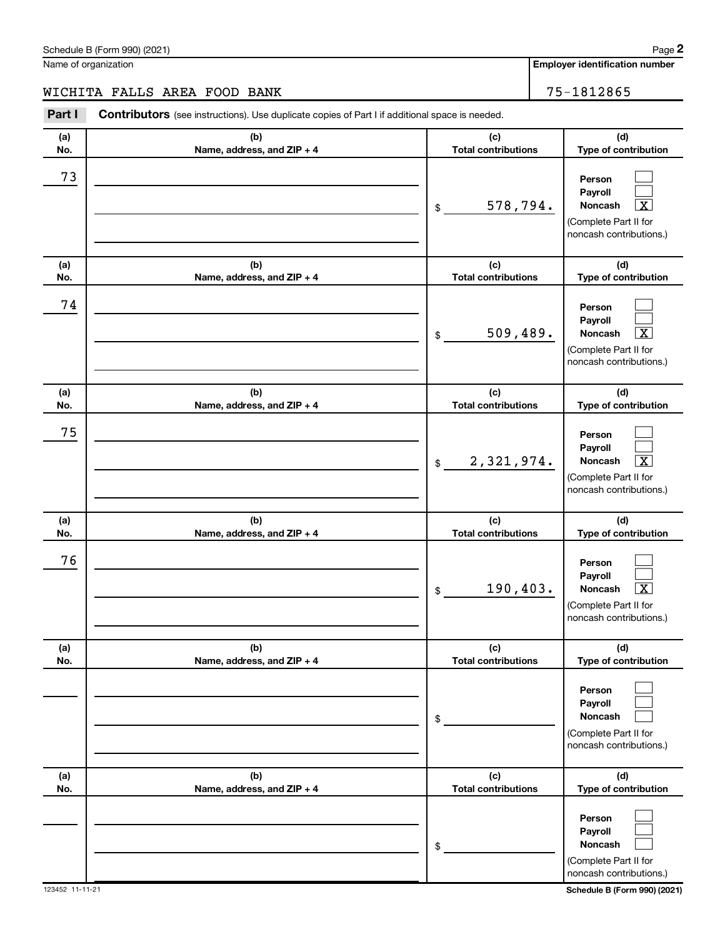Name of organization

WICHITA FALLS AREA FOOD BANK 75-1812865

**(a) No. (b) Name, address, and ZIP + 4 (c) Total contributions (d) Type of contribution Person Payroll Noncash (a) No. (b) Name, address, and ZIP + 4 (c) Total contributions (d) Type of contribution Person Payroll Noncash (a) No. (b) Name, address, and ZIP + 4 (c) Total contributions (d) Type of contribution Person Payroll Noncash (a) No. (b) Name, address, and ZIP + 4 (c) Total contributions (d) Type of contribution Person Payroll Noncash (a) No. (b) Name, address, and ZIP + 4 (c) Total contributions (d) Type of contribution Person Payroll Noncash (a) No. (b) Name, address, and ZIP + 4 (c) Total contributions (d) Type of contribution Person Payroll Noncash Part I** Contributors (see instructions). Use duplicate copies of Part I if additional space is needed. \$ (Complete Part II for noncash contributions.) \$ (Complete Part II for noncash contributions.) \$ (Complete Part II for noncash contributions.) \$ (Complete Part II for noncash contributions.) \$ (Complete Part II for noncash contributions.) \$ (Complete Part II for noncash contributions.)  $\Box$  $\Box$  $\lceil \texttt{X} \rceil$  $\Box$  $\Box$  $|X|$  $\Box$  $\Box$  $\boxed{\textbf{X}}$  $\Box$  $\Box$  $\overline{X}$  $\Box$  $\Box$  $\Box$  $\Box$  $\Box$  $\Box$ 73 578,794. X 74 509,489. X 75 2,321,974. X 76  $190,403$ .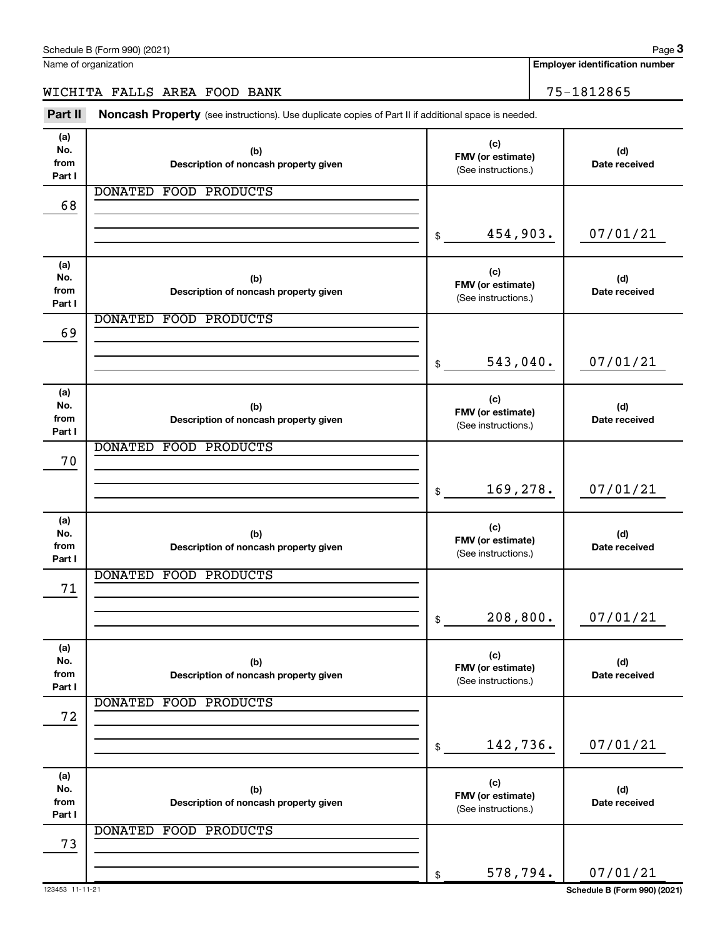| 68              |                                        |                                          |                              |
|-----------------|----------------------------------------|------------------------------------------|------------------------------|
|                 |                                        |                                          |                              |
|                 |                                        | 454,903.<br>\$                           | 07/01/21                     |
| (a)             |                                        |                                          |                              |
| No.             | (b)                                    | (c)<br>FMV (or estimate)                 | (d)                          |
| from            | Description of noncash property given  | (See instructions.)                      | Date received                |
| Part I          | <b>DONATED</b><br><b>FOOD PRODUCTS</b> |                                          |                              |
| 69              |                                        |                                          |                              |
|                 |                                        |                                          |                              |
|                 |                                        | 543,040.<br>\$                           | 07/01/21                     |
|                 |                                        |                                          |                              |
| (a)<br>No.      | (b)                                    | (c)                                      | (d)                          |
| from            | Description of noncash property given  | FMV (or estimate)                        | Date received                |
| Part I          |                                        | (See instructions.)                      |                              |
|                 | <b>DONATED</b><br><b>FOOD PRODUCTS</b> |                                          |                              |
| 70              |                                        |                                          |                              |
|                 |                                        | 169,278.<br>\$                           | 07/01/21                     |
|                 |                                        |                                          |                              |
| (a)             |                                        | (c)                                      |                              |
| No.             | (b)                                    | FMV (or estimate)                        | (d)                          |
| from<br>Part I  | Description of noncash property given  | (See instructions.)                      | Date received                |
|                 | <b>DONATED</b><br><b>FOOD PRODUCTS</b> |                                          |                              |
| 71              |                                        |                                          |                              |
|                 |                                        |                                          |                              |
|                 |                                        | 208, 800.<br>\$                          | 07/01/21                     |
| (a)             |                                        |                                          |                              |
| No.             | (b)                                    | (c)                                      | (d)                          |
| from            | Description of noncash property given  | FMV (or estimate)<br>(See instructions.) | Date received                |
| Part I          | <b>DONATED</b><br>FOOD PRODUCTS        |                                          |                              |
| 72              |                                        |                                          |                              |
|                 |                                        |                                          |                              |
|                 |                                        | 142,736.<br>\$                           | 07/01/21                     |
|                 |                                        |                                          |                              |
| (a)<br>No.      | (b)                                    | (c)                                      | (d)                          |
| from            | Description of noncash property given  | FMV (or estimate)                        | Date received                |
| Part I          |                                        | (See instructions.)                      |                              |
|                 | <b>DONATED</b><br><b>FOOD PRODUCTS</b> |                                          |                              |
| 73              |                                        |                                          |                              |
|                 |                                        | 578,794.<br>\$                           | 07/01/21                     |
| 123453 11-11-21 |                                        |                                          | Schedule B (Form 990) (2021) |

### WICHITA FALLS AREA FOOD BANK 75-1812865

DONATED FOOD PRODUCTS

Part II Noncash Property (see instructions). Use duplicate copies of Part II if additional space is needed.

**Description of noncash property given**

**FMV (or estimate) (b)**

Schedule B (Form 990) (2021)

**(a) No. from Part I**

Name of organization

**Employer identification number**

**(d) Date received**

**(c)**

(See instructions.)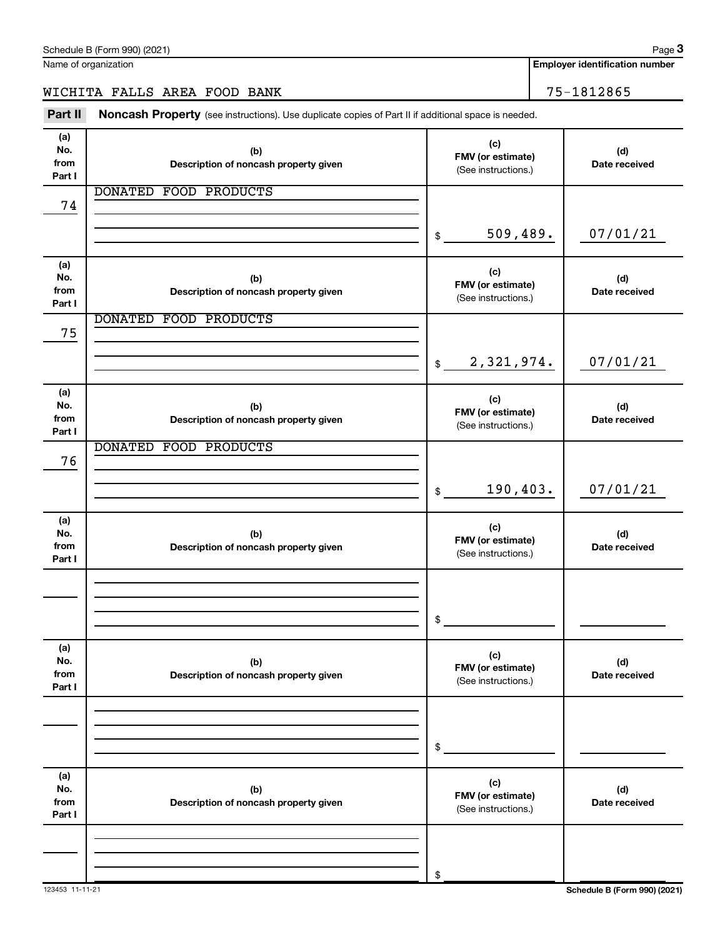Name of organization

# WICHITA FALLS AREA FOOD BANK 75-1812865

(see instructions). Use duplicate copies of Part II if additional space is needed. **Part II Noncash Property**

| Part II                      | <b>Noncash Property</b> (see instructions). Use duplicate copies of Part II if additional space is needed. |                                                 |                      |
|------------------------------|------------------------------------------------------------------------------------------------------------|-------------------------------------------------|----------------------|
| (a)<br>No.<br>from<br>Part I | (b)<br>Description of noncash property given                                                               | (c)<br>FMV (or estimate)<br>(See instructions.) | (d)<br>Date received |
| 74                           | DONATED FOOD PRODUCTS                                                                                      |                                                 |                      |
|                              |                                                                                                            | 509,489.<br>\$                                  | 07/01/21             |
| (a)<br>No.<br>from<br>Part I | (b)<br>Description of noncash property given                                                               | (c)<br>FMV (or estimate)<br>(See instructions.) | (d)<br>Date received |
| 75                           | DONATED FOOD PRODUCTS                                                                                      |                                                 |                      |
|                              |                                                                                                            | 2,321,974.<br>$$\mathbb{S}$$                    | 07/01/21             |
| (a)<br>No.<br>from<br>Part I | (b)<br>Description of noncash property given                                                               | (c)<br>FMV (or estimate)<br>(See instructions.) | (d)<br>Date received |
| 76                           | DONATED FOOD PRODUCTS                                                                                      |                                                 |                      |
|                              |                                                                                                            | 190, 403.<br>\$                                 | 07/01/21             |
| (a)<br>No.<br>from<br>Part I | (b)<br>Description of noncash property given                                                               | (c)<br>FMV (or estimate)<br>(See instructions.) | (d)<br>Date received |
|                              |                                                                                                            |                                                 |                      |
|                              |                                                                                                            | \$                                              |                      |
| (a)<br>No.<br>from<br>Part I | (b)<br>Description of noncash property given                                                               | (c)<br>FMV (or estimate)<br>(See instructions.) | (d)<br>Date received |
|                              |                                                                                                            |                                                 |                      |
|                              |                                                                                                            | \$                                              |                      |
| (a)<br>No.<br>from<br>Part I | (b)<br>Description of noncash property given                                                               | (c)<br>FMV (or estimate)<br>(See instructions.) | (d)<br>Date received |
|                              |                                                                                                            |                                                 |                      |
|                              |                                                                                                            | \$                                              |                      |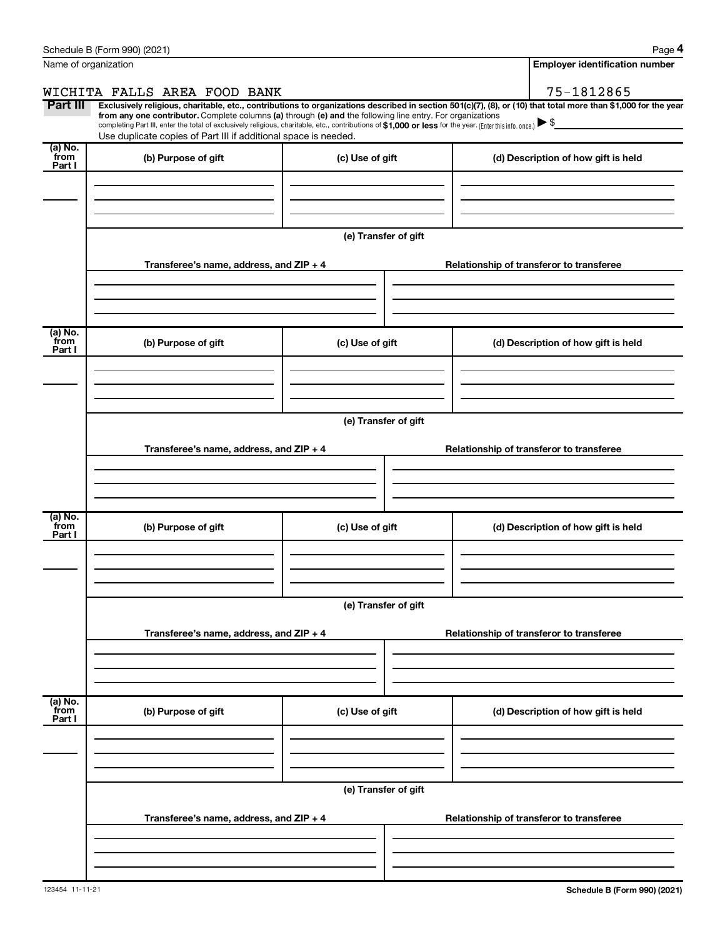|                             | Schedule B (Form 990) (2021)                                                                                                                                                                                                                                                                                                                                                                                                                                                                                |                      |  |  | Page 4                                   |  |  |  |  |  |
|-----------------------------|-------------------------------------------------------------------------------------------------------------------------------------------------------------------------------------------------------------------------------------------------------------------------------------------------------------------------------------------------------------------------------------------------------------------------------------------------------------------------------------------------------------|----------------------|--|--|------------------------------------------|--|--|--|--|--|
|                             | Name of organization                                                                                                                                                                                                                                                                                                                                                                                                                                                                                        |                      |  |  | <b>Employer identification number</b>    |  |  |  |  |  |
|                             | WICHITA FALLS AREA FOOD BANK                                                                                                                                                                                                                                                                                                                                                                                                                                                                                |                      |  |  | 75-1812865                               |  |  |  |  |  |
| Part III                    | Exclusively religious, charitable, etc., contributions to organizations described in section 501(c)(7), (8), or (10) that total more than \$1,000 for the year<br>from any one contributor. Complete columns (a) through (e) and the following line entry. For organizations<br>completing Part III, enter the total of exclusively religious, charitable, etc., contributions of \$1,000 or less for the year. (Enter this info. once.)<br>Use duplicate copies of Part III if additional space is needed. |                      |  |  |                                          |  |  |  |  |  |
| (a) No.<br>from<br>Part I   | (b) Purpose of gift                                                                                                                                                                                                                                                                                                                                                                                                                                                                                         | (c) Use of gift      |  |  | (d) Description of how gift is held      |  |  |  |  |  |
|                             |                                                                                                                                                                                                                                                                                                                                                                                                                                                                                                             |                      |  |  |                                          |  |  |  |  |  |
|                             |                                                                                                                                                                                                                                                                                                                                                                                                                                                                                                             | (e) Transfer of gift |  |  |                                          |  |  |  |  |  |
|                             | Transferee's name, address, and $ZIP + 4$                                                                                                                                                                                                                                                                                                                                                                                                                                                                   |                      |  |  | Relationship of transferor to transferee |  |  |  |  |  |
| $(a)$ No.                   |                                                                                                                                                                                                                                                                                                                                                                                                                                                                                                             |                      |  |  |                                          |  |  |  |  |  |
| from<br>Part I              | (b) Purpose of gift                                                                                                                                                                                                                                                                                                                                                                                                                                                                                         | (c) Use of gift      |  |  | (d) Description of how gift is held      |  |  |  |  |  |
|                             |                                                                                                                                                                                                                                                                                                                                                                                                                                                                                                             |                      |  |  |                                          |  |  |  |  |  |
|                             |                                                                                                                                                                                                                                                                                                                                                                                                                                                                                                             | (e) Transfer of gift |  |  |                                          |  |  |  |  |  |
|                             | Transferee's name, address, and $ZIP + 4$                                                                                                                                                                                                                                                                                                                                                                                                                                                                   |                      |  |  | Relationship of transferor to transferee |  |  |  |  |  |
|                             |                                                                                                                                                                                                                                                                                                                                                                                                                                                                                                             |                      |  |  |                                          |  |  |  |  |  |
| $(a)$ No.<br>from<br>Part I | (b) Purpose of gift                                                                                                                                                                                                                                                                                                                                                                                                                                                                                         | (c) Use of gift      |  |  | (d) Description of how gift is held      |  |  |  |  |  |
|                             |                                                                                                                                                                                                                                                                                                                                                                                                                                                                                                             |                      |  |  |                                          |  |  |  |  |  |
|                             |                                                                                                                                                                                                                                                                                                                                                                                                                                                                                                             | (e) Transfer of gift |  |  |                                          |  |  |  |  |  |
|                             | Transferee's name, address, and ZIP + 4                                                                                                                                                                                                                                                                                                                                                                                                                                                                     |                      |  |  | Relationship of transferor to transferee |  |  |  |  |  |
|                             |                                                                                                                                                                                                                                                                                                                                                                                                                                                                                                             |                      |  |  |                                          |  |  |  |  |  |
| (a) No.<br>from<br>Part I   | (b) Purpose of gift                                                                                                                                                                                                                                                                                                                                                                                                                                                                                         | (c) Use of gift      |  |  | (d) Description of how gift is held      |  |  |  |  |  |
|                             |                                                                                                                                                                                                                                                                                                                                                                                                                                                                                                             |                      |  |  |                                          |  |  |  |  |  |
|                             | (e) Transfer of gift                                                                                                                                                                                                                                                                                                                                                                                                                                                                                        |                      |  |  |                                          |  |  |  |  |  |
|                             | Transferee's name, address, and ZIP + 4                                                                                                                                                                                                                                                                                                                                                                                                                                                                     |                      |  |  | Relationship of transferor to transferee |  |  |  |  |  |
|                             |                                                                                                                                                                                                                                                                                                                                                                                                                                                                                                             |                      |  |  |                                          |  |  |  |  |  |
|                             |                                                                                                                                                                                                                                                                                                                                                                                                                                                                                                             |                      |  |  |                                          |  |  |  |  |  |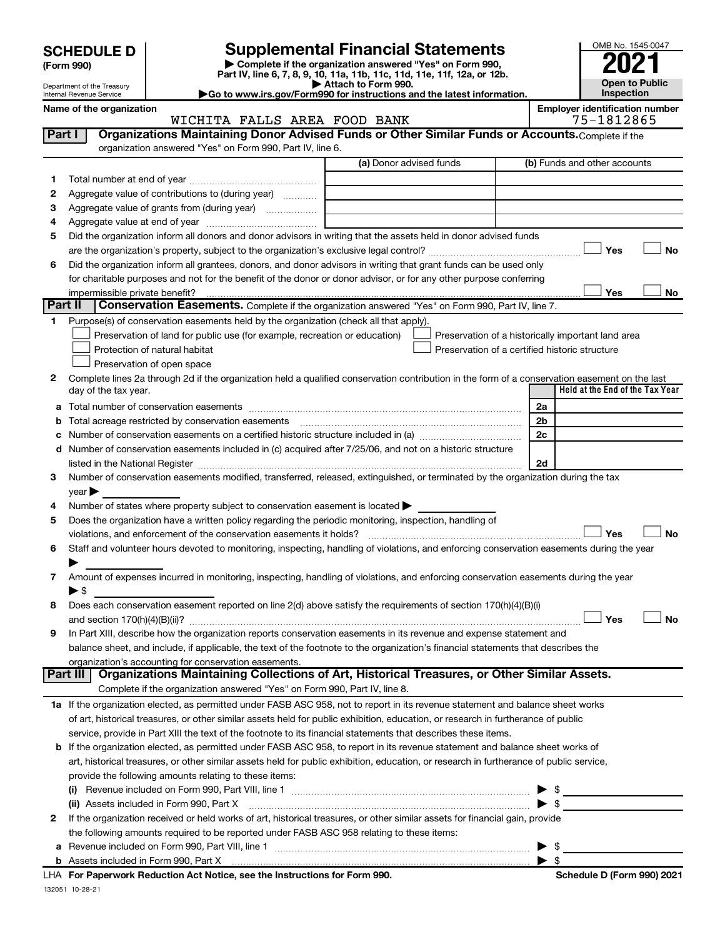| (Form 990) |  |
|------------|--|
|------------|--|

**| Complete if the organization answered "Yes" on Form 990, Part IV, line 6, 7, 8, 9, 10, 11a, 11b, 11c, 11d, 11e, 11f, 12a, or 12b. SCHEDULE D Supplemental Financial Statements**<br> **Form 990 Example 5 2021**<br>
Part IV. line 6, 7, 8, 9, 10, 11a, 11b, 11c, 11d, 11e, 11f, 12a, or 12b.

**| Attach to Form 990. |Go to www.irs.gov/Form990 for instructions and the latest information.** OMB No. 1545-0047 **Open to Public Inspection**

Department of the Treasury Internal Revenue Service

### Name of the organization<br>**WICHITA FALLS AREA FOOD BANK Employer identification number**<br>75-1812865 WICHITA FALLS AREA FOOD BANK

| Part I  | Organizations Maintaining Donor Advised Funds or Other Similar Funds or Accounts. Complete if the<br>organization answered "Yes" on Form 990, Part IV, line 6. |                         |                                                    |
|---------|----------------------------------------------------------------------------------------------------------------------------------------------------------------|-------------------------|----------------------------------------------------|
|         |                                                                                                                                                                | (a) Donor advised funds | (b) Funds and other accounts                       |
| 1.      |                                                                                                                                                                |                         |                                                    |
| 2       | Aggregate value of contributions to (during year)                                                                                                              |                         |                                                    |
| З       | Aggregate value of grants from (during year)                                                                                                                   |                         |                                                    |
| 4       |                                                                                                                                                                |                         |                                                    |
| 5       | Did the organization inform all donors and donor advisors in writing that the assets held in donor advised funds                                               |                         |                                                    |
|         |                                                                                                                                                                |                         | Yes<br>No                                          |
| 6       | Did the organization inform all grantees, donors, and donor advisors in writing that grant funds can be used only                                              |                         |                                                    |
|         | for charitable purposes and not for the benefit of the donor or donor advisor, or for any other purpose conferring                                             |                         |                                                    |
|         |                                                                                                                                                                |                         | Yes<br>No                                          |
| Part II | Conservation Easements. Complete if the organization answered "Yes" on Form 990, Part IV, line 7.                                                              |                         |                                                    |
| 1.      | Purpose(s) of conservation easements held by the organization (check all that apply).                                                                          |                         |                                                    |
|         | Preservation of land for public use (for example, recreation or education)                                                                                     |                         | Preservation of a historically important land area |
|         | Protection of natural habitat                                                                                                                                  |                         | Preservation of a certified historic structure     |
|         | Preservation of open space                                                                                                                                     |                         |                                                    |
| 2       | Complete lines 2a through 2d if the organization held a qualified conservation contribution in the form of a conservation easement on the last                 |                         |                                                    |
|         | day of the tax year.                                                                                                                                           |                         | Held at the End of the Tax Year                    |
| а       |                                                                                                                                                                |                         | 2a                                                 |
| b       |                                                                                                                                                                |                         | 2 <sub>b</sub>                                     |
| с       |                                                                                                                                                                |                         | 2c                                                 |
| d       | Number of conservation easements included in (c) acquired after 7/25/06, and not on a historic structure                                                       |                         |                                                    |
|         | listed in the National Register [111] Martin March 1999 (120) 12: 12: 13: 14: 14: 15: 15: 15: 15: 15: 15: 15: 1                                                |                         | 2d                                                 |
| 3       | Number of conservation easements modified, transferred, released, extinguished, or terminated by the organization during the tax                               |                         |                                                    |
|         | year                                                                                                                                                           |                         |                                                    |
| 4       | Number of states where property subject to conservation easement is located >                                                                                  |                         |                                                    |
| 5       | Does the organization have a written policy regarding the periodic monitoring, inspection, handling of                                                         |                         |                                                    |
|         | violations, and enforcement of the conservation easements it holds?                                                                                            |                         | Yes<br>No                                          |
| 6       | Staff and volunteer hours devoted to monitoring, inspecting, handling of violations, and enforcing conservation easements during the year                      |                         |                                                    |
|         |                                                                                                                                                                |                         |                                                    |
| 7       | Amount of expenses incurred in monitoring, inspecting, handling of violations, and enforcing conservation easements during the year<br>$\blacktriangleright$ s |                         |                                                    |
| 8       | Does each conservation easement reported on line 2(d) above satisfy the requirements of section 170(h)(4)(B)(i)                                                |                         |                                                    |
|         |                                                                                                                                                                |                         | Yes<br>No                                          |
| 9       | In Part XIII, describe how the organization reports conservation easements in its revenue and expense statement and                                            |                         |                                                    |
|         | balance sheet, and include, if applicable, the text of the footnote to the organization's financial statements that describes the                              |                         |                                                    |
|         | organization's accounting for conservation easements.                                                                                                          |                         |                                                    |
|         | Organizations Maintaining Collections of Art, Historical Treasures, or Other Similar Assets.<br>Part III                                                       |                         |                                                    |
|         | Complete if the organization answered "Yes" on Form 990, Part IV, line 8.                                                                                      |                         |                                                    |
|         | 1a If the organization elected, as permitted under FASB ASC 958, not to report in its revenue statement and balance sheet works                                |                         |                                                    |
|         | of art, historical treasures, or other similar assets held for public exhibition, education, or research in furtherance of public                              |                         |                                                    |
|         | service, provide in Part XIII the text of the footnote to its financial statements that describes these items.                                                 |                         |                                                    |
| b       | If the organization elected, as permitted under FASB ASC 958, to report in its revenue statement and balance sheet works of                                    |                         |                                                    |
|         | art, historical treasures, or other similar assets held for public exhibition, education, or research in furtherance of public service,                        |                         |                                                    |
|         | provide the following amounts relating to these items:                                                                                                         |                         |                                                    |
|         |                                                                                                                                                                |                         | $\frac{1}{2}$                                      |
|         | (ii) Assets included in Form 990, Part X                                                                                                                       |                         | $\blacktriangleright$ \$                           |
| 2       | If the organization received or held works of art, historical treasures, or other similar assets for financial gain, provide                                   |                         |                                                    |
|         | the following amounts required to be reported under FASB ASC 958 relating to these items:                                                                      |                         |                                                    |
|         |                                                                                                                                                                |                         | -\$                                                |
|         |                                                                                                                                                                |                         | $\blacktriangleright$ s                            |
|         | LHA For Paperwork Reduction Act Notice, see the Instructions for Form 990.                                                                                     |                         | Schedule D (Form 990) 2021                         |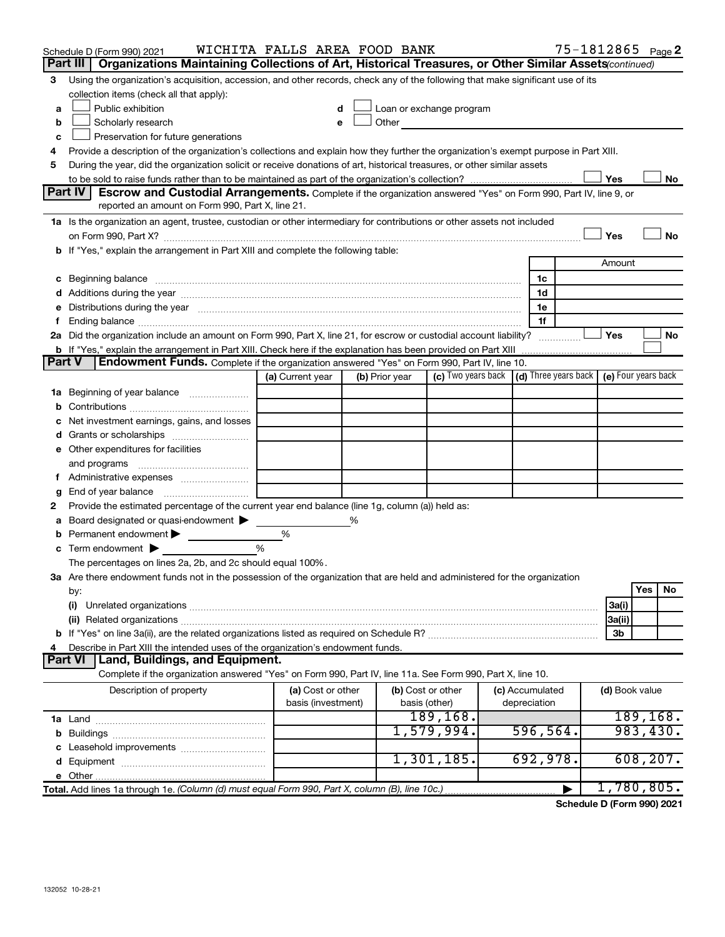|               | Schedule D (Form 990) 2021                                                                                                                                                                                                     | WICHITA FALLS AREA FOOD BANK |   |                |                                                                                                                                                                                                                                |                 |   |                | 75-1812865 Page 2 |
|---------------|--------------------------------------------------------------------------------------------------------------------------------------------------------------------------------------------------------------------------------|------------------------------|---|----------------|--------------------------------------------------------------------------------------------------------------------------------------------------------------------------------------------------------------------------------|-----------------|---|----------------|-------------------|
|               | Part III   Organizations Maintaining Collections of Art, Historical Treasures, or Other Similar Assets(continued)                                                                                                              |                              |   |                |                                                                                                                                                                                                                                |                 |   |                |                   |
| 3             | Using the organization's acquisition, accession, and other records, check any of the following that make significant use of its<br>collection items (check all that apply):                                                    |                              |   |                |                                                                                                                                                                                                                                |                 |   |                |                   |
| a             | Public exhibition                                                                                                                                                                                                              | d                            |   |                | Loan or exchange program                                                                                                                                                                                                       |                 |   |                |                   |
| b             | Scholarly research                                                                                                                                                                                                             | e                            |   |                | Other and the control of the control of the control of the control of the control of the control of the control of the control of the control of the control of the control of the control of the control of the control of th |                 |   |                |                   |
| c             | Preservation for future generations                                                                                                                                                                                            |                              |   |                |                                                                                                                                                                                                                                |                 |   |                |                   |
| 4             | Provide a description of the organization's collections and explain how they further the organization's exempt purpose in Part XIII.                                                                                           |                              |   |                |                                                                                                                                                                                                                                |                 |   |                |                   |
| 5             | During the year, did the organization solicit or receive donations of art, historical treasures, or other similar assets                                                                                                       |                              |   |                |                                                                                                                                                                                                                                |                 |   |                |                   |
|               |                                                                                                                                                                                                                                |                              |   |                |                                                                                                                                                                                                                                |                 |   | Yes            | No                |
|               | Part IV<br><b>Escrow and Custodial Arrangements.</b> Complete if the organization answered "Yes" on Form 990, Part IV, line 9, or                                                                                              |                              |   |                |                                                                                                                                                                                                                                |                 |   |                |                   |
|               | reported an amount on Form 990, Part X, line 21.                                                                                                                                                                               |                              |   |                |                                                                                                                                                                                                                                |                 |   |                |                   |
|               | 1a Is the organization an agent, trustee, custodian or other intermediary for contributions or other assets not included                                                                                                       |                              |   |                |                                                                                                                                                                                                                                |                 |   |                |                   |
|               |                                                                                                                                                                                                                                |                              |   |                |                                                                                                                                                                                                                                |                 |   | Yes            | <b>No</b>         |
|               | b If "Yes," explain the arrangement in Part XIII and complete the following table:                                                                                                                                             |                              |   |                |                                                                                                                                                                                                                                |                 |   |                |                   |
|               |                                                                                                                                                                                                                                |                              |   |                |                                                                                                                                                                                                                                |                 |   | Amount         |                   |
|               | c Beginning balance measurements and the state of the state of the state of the state of the state of the state of the state of the state of the state of the state of the state of the state of the state of the state of the |                              |   |                |                                                                                                                                                                                                                                | 1c              |   |                |                   |
|               |                                                                                                                                                                                                                                |                              |   |                |                                                                                                                                                                                                                                | 1d              |   |                |                   |
|               | e Distributions during the year manufactured and continuum control of the control of the control of the state of the control of the control of the control of the control of the control of the control of the control of the  |                              |   |                |                                                                                                                                                                                                                                | 1e              |   |                |                   |
| Ť.            |                                                                                                                                                                                                                                |                              |   |                |                                                                                                                                                                                                                                | 1f              |   |                |                   |
|               | 2a Did the organization include an amount on Form 990, Part X, line 21, for escrow or custodial account liability?                                                                                                             |                              |   |                |                                                                                                                                                                                                                                |                 |   | Yes            | No                |
| <b>Part V</b> | <b>b</b> If "Yes," explain the arrangement in Part XIII. Check here if the explanation has been provided on Part XIII<br><b>Endowment Funds.</b> Complete if the organization answered "Yes" on Form 990, Part IV, line 10.    |                              |   |                |                                                                                                                                                                                                                                |                 |   |                |                   |
|               |                                                                                                                                                                                                                                | (a) Current year             |   | (b) Prior year | (c) Two years back   (d) Three years back   (e) Four years back                                                                                                                                                                |                 |   |                |                   |
|               |                                                                                                                                                                                                                                |                              |   |                |                                                                                                                                                                                                                                |                 |   |                |                   |
|               | 1a Beginning of year balance                                                                                                                                                                                                   |                              |   |                |                                                                                                                                                                                                                                |                 |   |                |                   |
|               | c Net investment earnings, gains, and losses                                                                                                                                                                                   |                              |   |                |                                                                                                                                                                                                                                |                 |   |                |                   |
|               |                                                                                                                                                                                                                                |                              |   |                |                                                                                                                                                                                                                                |                 |   |                |                   |
|               | e Other expenditures for facilities                                                                                                                                                                                            |                              |   |                |                                                                                                                                                                                                                                |                 |   |                |                   |
|               | and programs                                                                                                                                                                                                                   |                              |   |                |                                                                                                                                                                                                                                |                 |   |                |                   |
|               | f Administrative expenses                                                                                                                                                                                                      |                              |   |                |                                                                                                                                                                                                                                |                 |   |                |                   |
| g             |                                                                                                                                                                                                                                |                              |   |                |                                                                                                                                                                                                                                |                 |   |                |                   |
| 2             | Provide the estimated percentage of the current year end balance (line 1g, column (a)) held as:                                                                                                                                |                              |   |                |                                                                                                                                                                                                                                |                 |   |                |                   |
|               | a Board designated or quasi-endowment >                                                                                                                                                                                        |                              | % |                |                                                                                                                                                                                                                                |                 |   |                |                   |
|               | <b>b</b> Permanent endowment $\blacktriangleright$                                                                                                                                                                             | $\%$                         |   |                |                                                                                                                                                                                                                                |                 |   |                |                   |
|               | $\mathbf c$ Term endowment $\blacktriangleright$                                                                                                                                                                               | %                            |   |                |                                                                                                                                                                                                                                |                 |   |                |                   |
|               | The percentages on lines 2a, 2b, and 2c should equal 100%.                                                                                                                                                                     |                              |   |                |                                                                                                                                                                                                                                |                 |   |                |                   |
|               | 3a Are there endowment funds not in the possession of the organization that are held and administered for the organization                                                                                                     |                              |   |                |                                                                                                                                                                                                                                |                 |   |                |                   |
|               | by:                                                                                                                                                                                                                            |                              |   |                |                                                                                                                                                                                                                                |                 |   |                | Yes<br>No         |
|               | (i)                                                                                                                                                                                                                            |                              |   |                |                                                                                                                                                                                                                                |                 |   | 3a(i)          |                   |
|               |                                                                                                                                                                                                                                |                              |   |                |                                                                                                                                                                                                                                |                 |   | 3a(ii)         |                   |
|               |                                                                                                                                                                                                                                |                              |   |                |                                                                                                                                                                                                                                |                 |   | 3b             |                   |
| 4             | Describe in Part XIII the intended uses of the organization's endowment funds.                                                                                                                                                 |                              |   |                |                                                                                                                                                                                                                                |                 |   |                |                   |
|               | Land, Buildings, and Equipment.<br><b>Part VI</b>                                                                                                                                                                              |                              |   |                |                                                                                                                                                                                                                                |                 |   |                |                   |
|               | Complete if the organization answered "Yes" on Form 990, Part IV, line 11a. See Form 990, Part X, line 10.                                                                                                                     |                              |   |                |                                                                                                                                                                                                                                |                 |   |                |                   |
|               | Description of property                                                                                                                                                                                                        | (a) Cost or other            |   |                | (b) Cost or other                                                                                                                                                                                                              | (c) Accumulated |   | (d) Book value |                   |
|               |                                                                                                                                                                                                                                | basis (investment)           |   |                | basis (other)                                                                                                                                                                                                                  | depreciation    |   |                |                   |
|               |                                                                                                                                                                                                                                |                              |   |                | 189, 168.                                                                                                                                                                                                                      |                 |   |                | 189, 168.         |
|               |                                                                                                                                                                                                                                |                              |   |                | 1,579,994.                                                                                                                                                                                                                     | 596,564.        |   |                | 983,430.          |
|               |                                                                                                                                                                                                                                |                              |   |                |                                                                                                                                                                                                                                |                 |   |                |                   |
|               |                                                                                                                                                                                                                                |                              |   |                | 1,301,185.                                                                                                                                                                                                                     | 692,978.        |   |                | 608, 207.         |
|               |                                                                                                                                                                                                                                |                              |   |                |                                                                                                                                                                                                                                |                 |   |                |                   |
|               | Total. Add lines 1a through 1e. (Column (d) must equal Form 990, Part X, column (B), line 10c.)                                                                                                                                |                              |   |                |                                                                                                                                                                                                                                |                 | ▶ |                | 1,780,805.        |

**Schedule D (Form 990) 2021**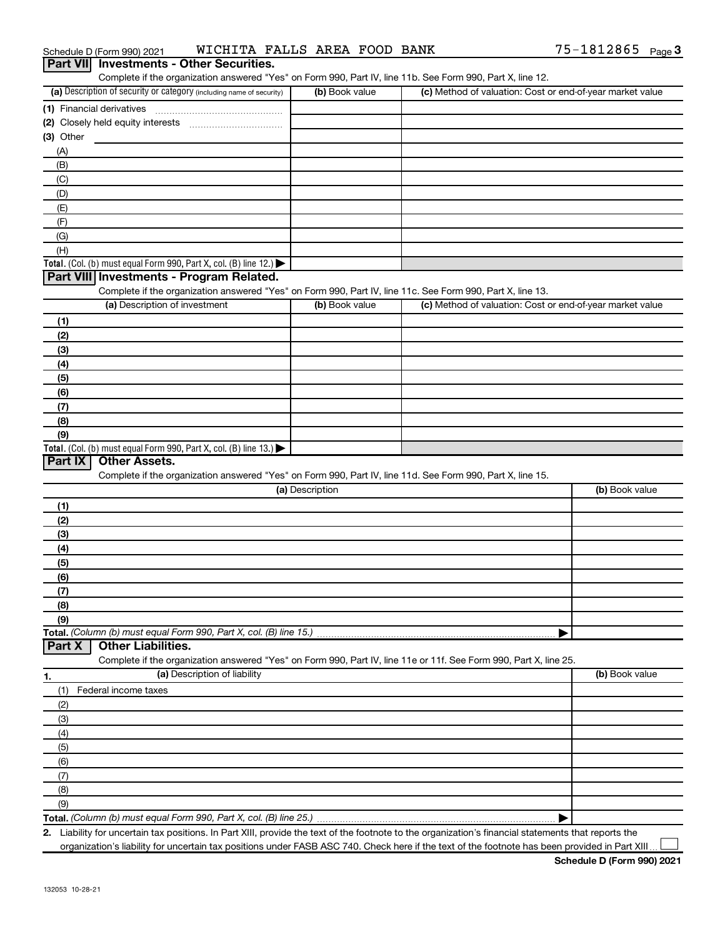| Complete if the organization answered "Yes" on Form 990, Part IV, line 11b. See Form 990, Part X, line 12.<br>(a) Description of security or category (including name of security)<br>(c) Method of valuation: Cost or end-of-year market value<br>(b) Book value<br>(1) Financial derivatives<br>(A)<br>(B)<br>(C)<br>(D)<br>(E)<br>(F)<br>(G)<br>(H)<br>Total. (Col. (b) must equal Form 990, Part X, col. (B) line 12.) $\blacktriangleright$<br>Part VIII Investments - Program Related.<br>Complete if the organization answered "Yes" on Form 990, Part IV, line 11c. See Form 990, Part X, line 13.<br>(a) Description of investment<br>(b) Book value<br>(c) Method of valuation: Cost or end-of-year market value<br>(1)<br>(2)<br>(3)<br>(4)<br>(5)<br>(6)<br>(7)<br>(8)<br>(9)<br>Total. (Col. (b) must equal Form 990, Part X, col. (B) line 13.)<br>Part IX<br><b>Other Assets.</b><br>Complete if the organization answered "Yes" on Form 990, Part IV, line 11d. See Form 990, Part X, line 15.<br>(a) Description<br>(b) Book value<br>(1)<br>(2)<br>(3)<br>(4)<br>(5)<br>(6)<br>(7)<br>(8)<br>(9)<br>Total. (Column (b) must equal Form 990, Part X, col. (B) line 15.)<br><b>Other Liabilities.</b><br>Part X<br>Complete if the organization answered "Yes" on Form 990, Part IV, line 11e or 11f. See Form 990, Part X, line 25.<br>(a) Description of liability<br>(b) Book value<br>(1)<br>Federal income taxes<br>(2)<br>(3)<br>(4)<br>(5)<br>(6)<br>(7)<br>(8)<br>(9)<br>2. Liability for uncertain tax positions. In Part XIII, provide the text of the footnote to the organization's financial statements that reports the | Part VII Investments - Other Securities. |  |  |
|-------------------------------------------------------------------------------------------------------------------------------------------------------------------------------------------------------------------------------------------------------------------------------------------------------------------------------------------------------------------------------------------------------------------------------------------------------------------------------------------------------------------------------------------------------------------------------------------------------------------------------------------------------------------------------------------------------------------------------------------------------------------------------------------------------------------------------------------------------------------------------------------------------------------------------------------------------------------------------------------------------------------------------------------------------------------------------------------------------------------------------------------------------------------------------------------------------------------------------------------------------------------------------------------------------------------------------------------------------------------------------------------------------------------------------------------------------------------------------------------------------------------------------------------------------------------------------------------------------------------------------------------------------|------------------------------------------|--|--|
|                                                                                                                                                                                                                                                                                                                                                                                                                                                                                                                                                                                                                                                                                                                                                                                                                                                                                                                                                                                                                                                                                                                                                                                                                                                                                                                                                                                                                                                                                                                                                                                                                                                       |                                          |  |  |
|                                                                                                                                                                                                                                                                                                                                                                                                                                                                                                                                                                                                                                                                                                                                                                                                                                                                                                                                                                                                                                                                                                                                                                                                                                                                                                                                                                                                                                                                                                                                                                                                                                                       |                                          |  |  |
|                                                                                                                                                                                                                                                                                                                                                                                                                                                                                                                                                                                                                                                                                                                                                                                                                                                                                                                                                                                                                                                                                                                                                                                                                                                                                                                                                                                                                                                                                                                                                                                                                                                       |                                          |  |  |
|                                                                                                                                                                                                                                                                                                                                                                                                                                                                                                                                                                                                                                                                                                                                                                                                                                                                                                                                                                                                                                                                                                                                                                                                                                                                                                                                                                                                                                                                                                                                                                                                                                                       | $(3)$ Other                              |  |  |
|                                                                                                                                                                                                                                                                                                                                                                                                                                                                                                                                                                                                                                                                                                                                                                                                                                                                                                                                                                                                                                                                                                                                                                                                                                                                                                                                                                                                                                                                                                                                                                                                                                                       |                                          |  |  |
|                                                                                                                                                                                                                                                                                                                                                                                                                                                                                                                                                                                                                                                                                                                                                                                                                                                                                                                                                                                                                                                                                                                                                                                                                                                                                                                                                                                                                                                                                                                                                                                                                                                       |                                          |  |  |
|                                                                                                                                                                                                                                                                                                                                                                                                                                                                                                                                                                                                                                                                                                                                                                                                                                                                                                                                                                                                                                                                                                                                                                                                                                                                                                                                                                                                                                                                                                                                                                                                                                                       |                                          |  |  |
|                                                                                                                                                                                                                                                                                                                                                                                                                                                                                                                                                                                                                                                                                                                                                                                                                                                                                                                                                                                                                                                                                                                                                                                                                                                                                                                                                                                                                                                                                                                                                                                                                                                       |                                          |  |  |
|                                                                                                                                                                                                                                                                                                                                                                                                                                                                                                                                                                                                                                                                                                                                                                                                                                                                                                                                                                                                                                                                                                                                                                                                                                                                                                                                                                                                                                                                                                                                                                                                                                                       |                                          |  |  |
|                                                                                                                                                                                                                                                                                                                                                                                                                                                                                                                                                                                                                                                                                                                                                                                                                                                                                                                                                                                                                                                                                                                                                                                                                                                                                                                                                                                                                                                                                                                                                                                                                                                       |                                          |  |  |
|                                                                                                                                                                                                                                                                                                                                                                                                                                                                                                                                                                                                                                                                                                                                                                                                                                                                                                                                                                                                                                                                                                                                                                                                                                                                                                                                                                                                                                                                                                                                                                                                                                                       |                                          |  |  |
|                                                                                                                                                                                                                                                                                                                                                                                                                                                                                                                                                                                                                                                                                                                                                                                                                                                                                                                                                                                                                                                                                                                                                                                                                                                                                                                                                                                                                                                                                                                                                                                                                                                       |                                          |  |  |
|                                                                                                                                                                                                                                                                                                                                                                                                                                                                                                                                                                                                                                                                                                                                                                                                                                                                                                                                                                                                                                                                                                                                                                                                                                                                                                                                                                                                                                                                                                                                                                                                                                                       |                                          |  |  |
|                                                                                                                                                                                                                                                                                                                                                                                                                                                                                                                                                                                                                                                                                                                                                                                                                                                                                                                                                                                                                                                                                                                                                                                                                                                                                                                                                                                                                                                                                                                                                                                                                                                       |                                          |  |  |
|                                                                                                                                                                                                                                                                                                                                                                                                                                                                                                                                                                                                                                                                                                                                                                                                                                                                                                                                                                                                                                                                                                                                                                                                                                                                                                                                                                                                                                                                                                                                                                                                                                                       |                                          |  |  |
|                                                                                                                                                                                                                                                                                                                                                                                                                                                                                                                                                                                                                                                                                                                                                                                                                                                                                                                                                                                                                                                                                                                                                                                                                                                                                                                                                                                                                                                                                                                                                                                                                                                       |                                          |  |  |
|                                                                                                                                                                                                                                                                                                                                                                                                                                                                                                                                                                                                                                                                                                                                                                                                                                                                                                                                                                                                                                                                                                                                                                                                                                                                                                                                                                                                                                                                                                                                                                                                                                                       |                                          |  |  |
|                                                                                                                                                                                                                                                                                                                                                                                                                                                                                                                                                                                                                                                                                                                                                                                                                                                                                                                                                                                                                                                                                                                                                                                                                                                                                                                                                                                                                                                                                                                                                                                                                                                       |                                          |  |  |
|                                                                                                                                                                                                                                                                                                                                                                                                                                                                                                                                                                                                                                                                                                                                                                                                                                                                                                                                                                                                                                                                                                                                                                                                                                                                                                                                                                                                                                                                                                                                                                                                                                                       |                                          |  |  |
|                                                                                                                                                                                                                                                                                                                                                                                                                                                                                                                                                                                                                                                                                                                                                                                                                                                                                                                                                                                                                                                                                                                                                                                                                                                                                                                                                                                                                                                                                                                                                                                                                                                       |                                          |  |  |
|                                                                                                                                                                                                                                                                                                                                                                                                                                                                                                                                                                                                                                                                                                                                                                                                                                                                                                                                                                                                                                                                                                                                                                                                                                                                                                                                                                                                                                                                                                                                                                                                                                                       |                                          |  |  |
|                                                                                                                                                                                                                                                                                                                                                                                                                                                                                                                                                                                                                                                                                                                                                                                                                                                                                                                                                                                                                                                                                                                                                                                                                                                                                                                                                                                                                                                                                                                                                                                                                                                       |                                          |  |  |
|                                                                                                                                                                                                                                                                                                                                                                                                                                                                                                                                                                                                                                                                                                                                                                                                                                                                                                                                                                                                                                                                                                                                                                                                                                                                                                                                                                                                                                                                                                                                                                                                                                                       |                                          |  |  |
|                                                                                                                                                                                                                                                                                                                                                                                                                                                                                                                                                                                                                                                                                                                                                                                                                                                                                                                                                                                                                                                                                                                                                                                                                                                                                                                                                                                                                                                                                                                                                                                                                                                       |                                          |  |  |
|                                                                                                                                                                                                                                                                                                                                                                                                                                                                                                                                                                                                                                                                                                                                                                                                                                                                                                                                                                                                                                                                                                                                                                                                                                                                                                                                                                                                                                                                                                                                                                                                                                                       |                                          |  |  |
|                                                                                                                                                                                                                                                                                                                                                                                                                                                                                                                                                                                                                                                                                                                                                                                                                                                                                                                                                                                                                                                                                                                                                                                                                                                                                                                                                                                                                                                                                                                                                                                                                                                       |                                          |  |  |
|                                                                                                                                                                                                                                                                                                                                                                                                                                                                                                                                                                                                                                                                                                                                                                                                                                                                                                                                                                                                                                                                                                                                                                                                                                                                                                                                                                                                                                                                                                                                                                                                                                                       |                                          |  |  |
|                                                                                                                                                                                                                                                                                                                                                                                                                                                                                                                                                                                                                                                                                                                                                                                                                                                                                                                                                                                                                                                                                                                                                                                                                                                                                                                                                                                                                                                                                                                                                                                                                                                       |                                          |  |  |
|                                                                                                                                                                                                                                                                                                                                                                                                                                                                                                                                                                                                                                                                                                                                                                                                                                                                                                                                                                                                                                                                                                                                                                                                                                                                                                                                                                                                                                                                                                                                                                                                                                                       |                                          |  |  |
|                                                                                                                                                                                                                                                                                                                                                                                                                                                                                                                                                                                                                                                                                                                                                                                                                                                                                                                                                                                                                                                                                                                                                                                                                                                                                                                                                                                                                                                                                                                                                                                                                                                       |                                          |  |  |
|                                                                                                                                                                                                                                                                                                                                                                                                                                                                                                                                                                                                                                                                                                                                                                                                                                                                                                                                                                                                                                                                                                                                                                                                                                                                                                                                                                                                                                                                                                                                                                                                                                                       |                                          |  |  |
|                                                                                                                                                                                                                                                                                                                                                                                                                                                                                                                                                                                                                                                                                                                                                                                                                                                                                                                                                                                                                                                                                                                                                                                                                                                                                                                                                                                                                                                                                                                                                                                                                                                       |                                          |  |  |
|                                                                                                                                                                                                                                                                                                                                                                                                                                                                                                                                                                                                                                                                                                                                                                                                                                                                                                                                                                                                                                                                                                                                                                                                                                                                                                                                                                                                                                                                                                                                                                                                                                                       |                                          |  |  |
|                                                                                                                                                                                                                                                                                                                                                                                                                                                                                                                                                                                                                                                                                                                                                                                                                                                                                                                                                                                                                                                                                                                                                                                                                                                                                                                                                                                                                                                                                                                                                                                                                                                       |                                          |  |  |
|                                                                                                                                                                                                                                                                                                                                                                                                                                                                                                                                                                                                                                                                                                                                                                                                                                                                                                                                                                                                                                                                                                                                                                                                                                                                                                                                                                                                                                                                                                                                                                                                                                                       |                                          |  |  |
|                                                                                                                                                                                                                                                                                                                                                                                                                                                                                                                                                                                                                                                                                                                                                                                                                                                                                                                                                                                                                                                                                                                                                                                                                                                                                                                                                                                                                                                                                                                                                                                                                                                       |                                          |  |  |
|                                                                                                                                                                                                                                                                                                                                                                                                                                                                                                                                                                                                                                                                                                                                                                                                                                                                                                                                                                                                                                                                                                                                                                                                                                                                                                                                                                                                                                                                                                                                                                                                                                                       |                                          |  |  |
|                                                                                                                                                                                                                                                                                                                                                                                                                                                                                                                                                                                                                                                                                                                                                                                                                                                                                                                                                                                                                                                                                                                                                                                                                                                                                                                                                                                                                                                                                                                                                                                                                                                       |                                          |  |  |
|                                                                                                                                                                                                                                                                                                                                                                                                                                                                                                                                                                                                                                                                                                                                                                                                                                                                                                                                                                                                                                                                                                                                                                                                                                                                                                                                                                                                                                                                                                                                                                                                                                                       |                                          |  |  |
|                                                                                                                                                                                                                                                                                                                                                                                                                                                                                                                                                                                                                                                                                                                                                                                                                                                                                                                                                                                                                                                                                                                                                                                                                                                                                                                                                                                                                                                                                                                                                                                                                                                       |                                          |  |  |
|                                                                                                                                                                                                                                                                                                                                                                                                                                                                                                                                                                                                                                                                                                                                                                                                                                                                                                                                                                                                                                                                                                                                                                                                                                                                                                                                                                                                                                                                                                                                                                                                                                                       | 1.                                       |  |  |
|                                                                                                                                                                                                                                                                                                                                                                                                                                                                                                                                                                                                                                                                                                                                                                                                                                                                                                                                                                                                                                                                                                                                                                                                                                                                                                                                                                                                                                                                                                                                                                                                                                                       |                                          |  |  |
|                                                                                                                                                                                                                                                                                                                                                                                                                                                                                                                                                                                                                                                                                                                                                                                                                                                                                                                                                                                                                                                                                                                                                                                                                                                                                                                                                                                                                                                                                                                                                                                                                                                       |                                          |  |  |
|                                                                                                                                                                                                                                                                                                                                                                                                                                                                                                                                                                                                                                                                                                                                                                                                                                                                                                                                                                                                                                                                                                                                                                                                                                                                                                                                                                                                                                                                                                                                                                                                                                                       |                                          |  |  |
|                                                                                                                                                                                                                                                                                                                                                                                                                                                                                                                                                                                                                                                                                                                                                                                                                                                                                                                                                                                                                                                                                                                                                                                                                                                                                                                                                                                                                                                                                                                                                                                                                                                       |                                          |  |  |
|                                                                                                                                                                                                                                                                                                                                                                                                                                                                                                                                                                                                                                                                                                                                                                                                                                                                                                                                                                                                                                                                                                                                                                                                                                                                                                                                                                                                                                                                                                                                                                                                                                                       |                                          |  |  |
|                                                                                                                                                                                                                                                                                                                                                                                                                                                                                                                                                                                                                                                                                                                                                                                                                                                                                                                                                                                                                                                                                                                                                                                                                                                                                                                                                                                                                                                                                                                                                                                                                                                       |                                          |  |  |
|                                                                                                                                                                                                                                                                                                                                                                                                                                                                                                                                                                                                                                                                                                                                                                                                                                                                                                                                                                                                                                                                                                                                                                                                                                                                                                                                                                                                                                                                                                                                                                                                                                                       |                                          |  |  |
|                                                                                                                                                                                                                                                                                                                                                                                                                                                                                                                                                                                                                                                                                                                                                                                                                                                                                                                                                                                                                                                                                                                                                                                                                                                                                                                                                                                                                                                                                                                                                                                                                                                       |                                          |  |  |
|                                                                                                                                                                                                                                                                                                                                                                                                                                                                                                                                                                                                                                                                                                                                                                                                                                                                                                                                                                                                                                                                                                                                                                                                                                                                                                                                                                                                                                                                                                                                                                                                                                                       |                                          |  |  |
|                                                                                                                                                                                                                                                                                                                                                                                                                                                                                                                                                                                                                                                                                                                                                                                                                                                                                                                                                                                                                                                                                                                                                                                                                                                                                                                                                                                                                                                                                                                                                                                                                                                       |                                          |  |  |

Schedule D (Form 990) 2021  $\;$  <code>WICHITA FALLS</code> AREA FOOD BANK  $\;$  75-1812865  $\;$  Page

organization's liability for uncertain tax positions under FASB ASC 740. Check here if the text of the footnote has been provided in Part XIII...

75-1812865 Page 3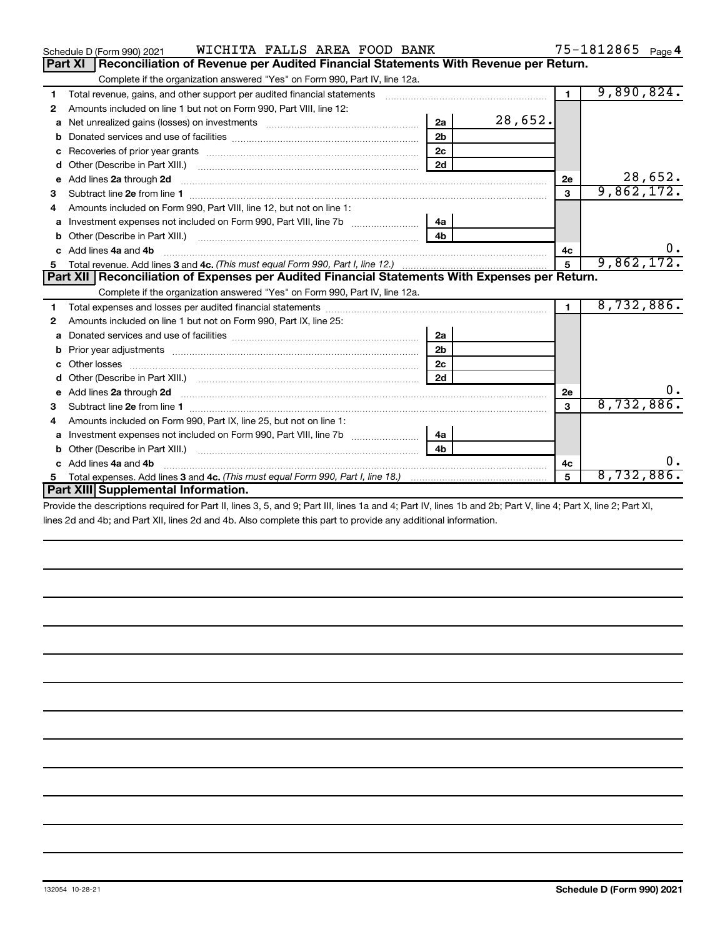|   | <b>a</b> Investment expenses not included on Form 990, Part VIII, line 7b                                                                                      | 4a |            |    |    |
|---|----------------------------------------------------------------------------------------------------------------------------------------------------------------|----|------------|----|----|
|   |                                                                                                                                                                | 4b |            |    |    |
|   | c Add lines 4a and 4b                                                                                                                                          |    |            | 4c | 0. |
| 5 | Total expenses. Add lines 3 and 4c. (This must equal Form 990, Part I, line 18.) <i>manumanon</i> manumanon.                                                   | 5  | 8,732,886. |    |    |
|   | <b>Part XIII Supplemental Information.</b>                                                                                                                     |    |            |    |    |
|   | Provide the descriptions required for Part II, lines 3, 5, and 9; Part III, lines 1a and 4; Part IV, lines 1b and 2b; Part V, line 4; Part X, line 2; Part XI, |    |            |    |    |
|   | lines 2d and 4b; and Part XII, lines 2d and 4b. Also complete this part to provide any additional information.                                                 |    |            |    |    |
|   |                                                                                                                                                                |    |            |    |    |
|   |                                                                                                                                                                |    |            |    |    |
|   |                                                                                                                                                                |    |            |    |    |
|   |                                                                                                                                                                |    |            |    |    |
|   |                                                                                                                                                                |    |            |    |    |
|   |                                                                                                                                                                |    |            |    |    |
|   |                                                                                                                                                                |    |            |    |    |
|   |                                                                                                                                                                |    |            |    |    |

|    | a Net unrealized gains (losses) on investments [111] [12] Net unrealized gains (losses) on investments [11] $\cdot$                                                                                                                 | 2a             | 28,652. |                |            |
|----|-------------------------------------------------------------------------------------------------------------------------------------------------------------------------------------------------------------------------------------|----------------|---------|----------------|------------|
| b  |                                                                                                                                                                                                                                     | 2 <sub>b</sub> |         |                |            |
| с  |                                                                                                                                                                                                                                     | 2 <sub>c</sub> |         |                |            |
| d  |                                                                                                                                                                                                                                     | 2d             |         |                |            |
| е  | Add lines 2a through 2d <b>contract and contract and contract and contract and contract and contract and contract a</b>                                                                                                             |                |         | 2е             | 28,652.    |
| 3  |                                                                                                                                                                                                                                     |                |         | 3              | 9,862,172. |
| 4  | Amounts included on Form 990, Part VIII, line 12, but not on line 1:                                                                                                                                                                |                |         |                |            |
| a  |                                                                                                                                                                                                                                     | 4a l           |         |                |            |
|    |                                                                                                                                                                                                                                     | 4 <sub>b</sub> |         |                |            |
| c. | Add lines 4a and 4b                                                                                                                                                                                                                 |                |         | 4c             | 0.         |
| 5  |                                                                                                                                                                                                                                     |                |         | $5\phantom{1}$ | 9,862,172. |
|    | Part XII   Reconciliation of Expenses per Audited Financial Statements With Expenses per Return.                                                                                                                                    |                |         |                |            |
|    | Complete if the organization answered "Yes" on Form 990, Part IV, line 12a.                                                                                                                                                         |                |         |                |            |
|    |                                                                                                                                                                                                                                     |                |         | 1.             | 8,732,886. |
| 2  | Amounts included on line 1 but not on Form 990, Part IX, line 25:                                                                                                                                                                   |                |         |                |            |
| a  | Donated services and use of facilities [111] contains an interview of the services and use of facilities [11] contains an interview of the services and use of facilities [11] and the services and use of the services and us      | 2a             |         |                |            |
|    | Prior year adjustments [11,111] Prior year adjustments [11,111] All material contracts and the contracts and t                                                                                                                      | 2 <sub>b</sub> |         |                |            |
|    |                                                                                                                                                                                                                                     | 2c             |         |                |            |
| d  |                                                                                                                                                                                                                                     | 2d             |         |                |            |
| е  | Add lines 2a through 2d <b>contained a contained a contained a contained a</b> contained a contained a contained a contained a contained a contained a contained a contained a contained a contained a contained a contained a cont |                |         | <b>2e</b>      | О.         |
| 3  |                                                                                                                                                                                                                                     |                |         | 3              | 8,732,886. |
|    | Amounts included on Form 990, Part IX, line 25, but not on line 1:                                                                                                                                                                  |                |         |                |            |
| a  |                                                                                                                                                                                                                                     | 4a l           |         |                |            |
| b  |                                                                                                                                                                                                                                     | 4b             |         |                |            |
|    | c Add lines 4a and 4b                                                                                                                                                                                                               |                | 4с      | 0.             |            |
| 5. |                                                                                                                                                                                                                                     |                |         | 5              | 8,732,886. |

**1**

Complete if the organization answered "Yes" on Form 990, Part IV, line 12a. **Part XI Reconciliation of Revenue per Audited Financial Statements With Revenue per Return.**

Total revenue, gains, and other support per audited financial statements ~~~~~~~~~~~~~~~~~~~

**2** Amounts included on line 1 but not on Form 990, Part VIII, line 12:

9,890,824.

**1**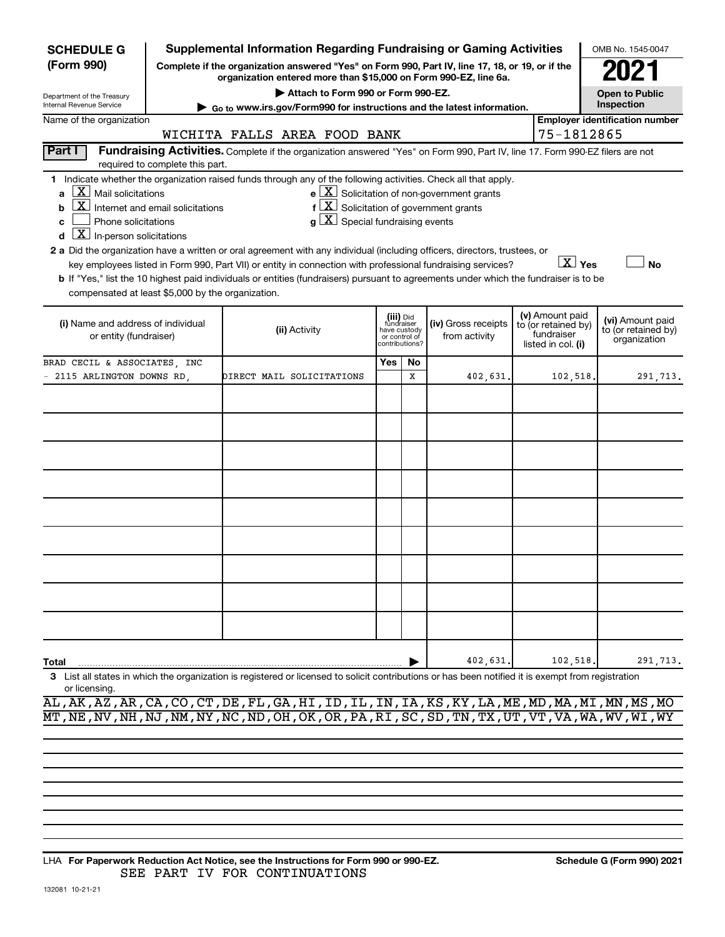| <b>SCHEDULE G</b>                                                                 |                                                                                                                                                                                                           | <b>Supplemental Information Regarding Fundraising or Gaming Activities</b>                                                                         |                         |                |                                                              |  |                                   | OMB No. 1545-0047                     |  |  |  |  |  |  |  |
|-----------------------------------------------------------------------------------|-----------------------------------------------------------------------------------------------------------------------------------------------------------------------------------------------------------|----------------------------------------------------------------------------------------------------------------------------------------------------|-------------------------|----------------|--------------------------------------------------------------|--|-----------------------------------|---------------------------------------|--|--|--|--|--|--|--|
| (Form 990)                                                                        | Complete if the organization answered "Yes" on Form 990, Part IV, line 17, 18, or 19, or if the<br>organization entered more than \$15,000 on Form 990-EZ, line 6a.<br>Attach to Form 990 or Form 990-EZ. |                                                                                                                                                    |                         |                |                                                              |  |                                   |                                       |  |  |  |  |  |  |  |
| Department of the Treasury                                                        |                                                                                                                                                                                                           |                                                                                                                                                    |                         |                |                                                              |  |                                   | <b>Open to Public</b>                 |  |  |  |  |  |  |  |
| Internal Revenue Service                                                          |                                                                                                                                                                                                           | ► Go to www.irs.gov/Form990 for instructions and the latest information.                                                                           |                         |                |                                                              |  |                                   | Inspection                            |  |  |  |  |  |  |  |
| Name of the organization                                                          |                                                                                                                                                                                                           |                                                                                                                                                    |                         |                |                                                              |  |                                   | <b>Employer identification number</b> |  |  |  |  |  |  |  |
|                                                                                   |                                                                                                                                                                                                           | WICHITA FALLS AREA FOOD BANK                                                                                                                       |                         |                |                                                              |  | 75-1812865                        |                                       |  |  |  |  |  |  |  |
| Part I                                                                            | required to complete this part.                                                                                                                                                                           | Fundraising Activities. Complete if the organization answered "Yes" on Form 990, Part IV, line 17. Form 990-EZ filers are not                      |                         |                |                                                              |  |                                   |                                       |  |  |  |  |  |  |  |
|                                                                                   |                                                                                                                                                                                                           | 1 Indicate whether the organization raised funds through any of the following activities. Check all that apply.                                    |                         |                |                                                              |  |                                   |                                       |  |  |  |  |  |  |  |
| $\lfloor X \rfloor$ Mail solicitations<br>a                                       |                                                                                                                                                                                                           |                                                                                                                                                    |                         |                | $e$ $\boxed{\text{X}}$ Solicitation of non-government grants |  |                                   |                                       |  |  |  |  |  |  |  |
| b                                                                                 | $\boxed{\text{X}}$ Internet and email solicitations                                                                                                                                                       | f                                                                                                                                                  |                         |                | $ \mathbf{X} $ Solicitation of government grants             |  |                                   |                                       |  |  |  |  |  |  |  |
| $ \mathbf{X} $ Special fundraising events<br>Phone solicitations<br>C<br>$q \mid$ |                                                                                                                                                                                                           |                                                                                                                                                    |                         |                |                                                              |  |                                   |                                       |  |  |  |  |  |  |  |
| $\boxed{\mathbf{X}}$ In-person solicitations<br>d                                 |                                                                                                                                                                                                           |                                                                                                                                                    |                         |                |                                                              |  |                                   |                                       |  |  |  |  |  |  |  |
|                                                                                   |                                                                                                                                                                                                           | 2 a Did the organization have a written or oral agreement with any individual (including officers, directors, trustees, or                         |                         |                |                                                              |  |                                   |                                       |  |  |  |  |  |  |  |
|                                                                                   |                                                                                                                                                                                                           | key employees listed in Form 990, Part VII) or entity in connection with professional fundraising services?                                        |                         |                |                                                              |  | $\boxed{\text{X}}$ Yes            | No                                    |  |  |  |  |  |  |  |
|                                                                                   |                                                                                                                                                                                                           | b If "Yes," list the 10 highest paid individuals or entities (fundraisers) pursuant to agreements under which the fundraiser is to be              |                         |                |                                                              |  |                                   |                                       |  |  |  |  |  |  |  |
| compensated at least \$5,000 by the organization.                                 |                                                                                                                                                                                                           |                                                                                                                                                    |                         |                |                                                              |  |                                   |                                       |  |  |  |  |  |  |  |
|                                                                                   |                                                                                                                                                                                                           |                                                                                                                                                    | (iii) Did<br>fundraiser |                |                                                              |  | (v) Amount paid                   | (vi) Amount paid                      |  |  |  |  |  |  |  |
| (i) Name and address of individual                                                |                                                                                                                                                                                                           | (ii) Activity                                                                                                                                      | have custody            |                | (iv) Gross receipts                                          |  | to (or retained by)<br>fundraiser | to (or retained by)                   |  |  |  |  |  |  |  |
| or entity (fundraiser)                                                            |                                                                                                                                                                                                           |                                                                                                                                                    | or control of           | contributions? | from activity                                                |  | listed in col. (i)                | organization                          |  |  |  |  |  |  |  |
| BRAD CECIL & ASSOCIATES, INC                                                      |                                                                                                                                                                                                           |                                                                                                                                                    | Yes                     | No             |                                                              |  |                                   |                                       |  |  |  |  |  |  |  |
| 2115 ARLINGTON DOWNS RD,                                                          |                                                                                                                                                                                                           | DIRECT MAIL SOLICITATIONS                                                                                                                          |                         | x              | 402,631.                                                     |  | 102,518                           | 291,713.                              |  |  |  |  |  |  |  |
|                                                                                   |                                                                                                                                                                                                           |                                                                                                                                                    |                         |                |                                                              |  |                                   |                                       |  |  |  |  |  |  |  |
|                                                                                   |                                                                                                                                                                                                           |                                                                                                                                                    |                         |                |                                                              |  |                                   |                                       |  |  |  |  |  |  |  |
|                                                                                   |                                                                                                                                                                                                           |                                                                                                                                                    |                         |                |                                                              |  |                                   |                                       |  |  |  |  |  |  |  |
|                                                                                   |                                                                                                                                                                                                           |                                                                                                                                                    |                         |                |                                                              |  |                                   |                                       |  |  |  |  |  |  |  |
|                                                                                   |                                                                                                                                                                                                           |                                                                                                                                                    |                         |                |                                                              |  |                                   |                                       |  |  |  |  |  |  |  |
|                                                                                   |                                                                                                                                                                                                           |                                                                                                                                                    |                         |                |                                                              |  |                                   |                                       |  |  |  |  |  |  |  |
|                                                                                   |                                                                                                                                                                                                           |                                                                                                                                                    |                         |                |                                                              |  |                                   |                                       |  |  |  |  |  |  |  |
|                                                                                   |                                                                                                                                                                                                           |                                                                                                                                                    |                         |                |                                                              |  |                                   |                                       |  |  |  |  |  |  |  |
|                                                                                   |                                                                                                                                                                                                           |                                                                                                                                                    |                         |                |                                                              |  |                                   |                                       |  |  |  |  |  |  |  |
|                                                                                   |                                                                                                                                                                                                           |                                                                                                                                                    |                         |                |                                                              |  |                                   |                                       |  |  |  |  |  |  |  |
|                                                                                   |                                                                                                                                                                                                           |                                                                                                                                                    |                         |                |                                                              |  |                                   |                                       |  |  |  |  |  |  |  |
|                                                                                   |                                                                                                                                                                                                           |                                                                                                                                                    |                         |                |                                                              |  |                                   |                                       |  |  |  |  |  |  |  |
|                                                                                   |                                                                                                                                                                                                           |                                                                                                                                                    |                         |                |                                                              |  |                                   |                                       |  |  |  |  |  |  |  |
|                                                                                   |                                                                                                                                                                                                           |                                                                                                                                                    |                         |                |                                                              |  |                                   |                                       |  |  |  |  |  |  |  |
|                                                                                   |                                                                                                                                                                                                           |                                                                                                                                                    |                         |                |                                                              |  |                                   |                                       |  |  |  |  |  |  |  |
|                                                                                   |                                                                                                                                                                                                           |                                                                                                                                                    |                         |                |                                                              |  |                                   |                                       |  |  |  |  |  |  |  |
|                                                                                   |                                                                                                                                                                                                           |                                                                                                                                                    |                         |                |                                                              |  |                                   |                                       |  |  |  |  |  |  |  |
|                                                                                   |                                                                                                                                                                                                           |                                                                                                                                                    |                         |                |                                                              |  |                                   |                                       |  |  |  |  |  |  |  |
| Total                                                                             |                                                                                                                                                                                                           |                                                                                                                                                    |                         |                | 402,631                                                      |  | 102,518                           | 291,713.                              |  |  |  |  |  |  |  |
| or licensing.                                                                     |                                                                                                                                                                                                           | 3 List all states in which the organization is registered or licensed to solicit contributions or has been notified it is exempt from registration |                         |                |                                                              |  |                                   |                                       |  |  |  |  |  |  |  |

|  | AL, AK, AZ, AR, CA, CO, CT, DE, FL, GA, HI, ID, IL, IN, IA, KS, KY, LA, ME, MD, MA, MI, MN, MS, MO                         |  |  |  |  |  |  |  |  |  |  |  |
|--|----------------------------------------------------------------------------------------------------------------------------|--|--|--|--|--|--|--|--|--|--|--|
|  | MT , NE , NV , NH , NJ , NM , NY , NC , ND , OH , OK , OR , PA , RI , SC , SD , TN , TX , UT , VT , VA , WA , WV , WI , WY |  |  |  |  |  |  |  |  |  |  |  |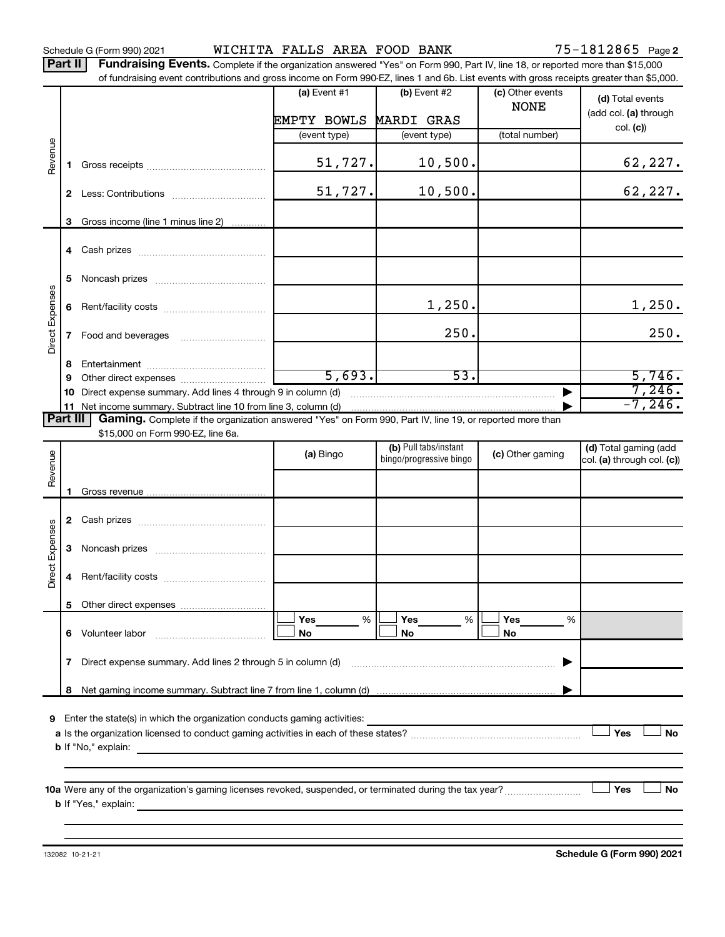Schedule G (Form 990) 2021 Page WICHITA FALLS AREA FOOD BANK 75-1812865

Part II | Fundraising Events. Complete if the organization answered "Yes" on Form 990, Part IV, line 18, or reported more than \$15,000 of fundraising event contributions and gross income on Form 990-EZ, lines 1 and 6b. List events with gross receipts greater than \$5,000.

|                                                                                                                                                                                                                                                  |    | or fundraising event contributions and gross income on Form 990-EZ, lines T and 6D. List events with gross receipts greater than \$5,000. |                |                         |                                 |                                                     |  |
|--------------------------------------------------------------------------------------------------------------------------------------------------------------------------------------------------------------------------------------------------|----|-------------------------------------------------------------------------------------------------------------------------------------------|----------------|-------------------------|---------------------------------|-----------------------------------------------------|--|
|                                                                                                                                                                                                                                                  |    |                                                                                                                                           | (a) Event $#1$ | $(b)$ Event #2          | (c) Other events<br><b>NONE</b> | (d) Total events                                    |  |
|                                                                                                                                                                                                                                                  |    |                                                                                                                                           | EMPTY BOWLS    | <b>MARDI GRAS</b>       |                                 | (add col. (a) through                               |  |
|                                                                                                                                                                                                                                                  |    |                                                                                                                                           | (event type)   | (event type)            | (total number)                  | col. (c)                                            |  |
| Revenue                                                                                                                                                                                                                                          | 1. |                                                                                                                                           | 51,727.        | 10,500.                 |                                 | 62,227.                                             |  |
|                                                                                                                                                                                                                                                  |    |                                                                                                                                           | 51,727.        | 10,500.                 |                                 | 62,227.                                             |  |
|                                                                                                                                                                                                                                                  | 3  | Gross income (line 1 minus line 2)                                                                                                        |                |                         |                                 |                                                     |  |
|                                                                                                                                                                                                                                                  |    |                                                                                                                                           |                |                         |                                 |                                                     |  |
|                                                                                                                                                                                                                                                  | 5  |                                                                                                                                           |                |                         |                                 |                                                     |  |
|                                                                                                                                                                                                                                                  | 6  |                                                                                                                                           |                | 1,250.                  |                                 | 1,250.                                              |  |
| Direct Expenses                                                                                                                                                                                                                                  |    |                                                                                                                                           |                | 250.                    |                                 | 250.                                                |  |
|                                                                                                                                                                                                                                                  | 8  |                                                                                                                                           |                |                         |                                 |                                                     |  |
|                                                                                                                                                                                                                                                  | 9  |                                                                                                                                           | 5,693.         | 53.                     |                                 | 5,746.                                              |  |
|                                                                                                                                                                                                                                                  | 10 | Direct expense summary. Add lines 4 through 9 in column (d)                                                                               |                |                         |                                 | 7,246.                                              |  |
|                                                                                                                                                                                                                                                  |    |                                                                                                                                           |                |                         |                                 | $-7, 246$ .                                         |  |
| Part III                                                                                                                                                                                                                                         |    | Gaming. Complete if the organization answered "Yes" on Form 990, Part IV, line 19, or reported more than                                  |                |                         |                                 |                                                     |  |
|                                                                                                                                                                                                                                                  |    | \$15,000 on Form 990-EZ, line 6a.                                                                                                         |                | (b) Pull tabs/instant   |                                 |                                                     |  |
| Revenue                                                                                                                                                                                                                                          |    |                                                                                                                                           | (a) Bingo      | bingo/progressive bingo | (c) Other gaming                | (d) Total gaming (add<br>col. (a) through col. (c)) |  |
|                                                                                                                                                                                                                                                  |    |                                                                                                                                           |                |                         |                                 |                                                     |  |
|                                                                                                                                                                                                                                                  | 1. |                                                                                                                                           |                |                         |                                 |                                                     |  |
|                                                                                                                                                                                                                                                  |    |                                                                                                                                           |                |                         |                                 |                                                     |  |
| <b>Direct Expenses</b>                                                                                                                                                                                                                           | 3  |                                                                                                                                           |                |                         |                                 |                                                     |  |
|                                                                                                                                                                                                                                                  | 4  |                                                                                                                                           |                |                         |                                 |                                                     |  |
|                                                                                                                                                                                                                                                  |    |                                                                                                                                           |                |                         |                                 |                                                     |  |
|                                                                                                                                                                                                                                                  |    |                                                                                                                                           | Yes<br>%       | Yes<br>%                | Yes<br>%                        |                                                     |  |
|                                                                                                                                                                                                                                                  | 6  | Volunteer labor                                                                                                                           | No             | No                      | No                              |                                                     |  |
| Direct expense summary. Add lines 2 through 5 in column (d)<br>7                                                                                                                                                                                 |    |                                                                                                                                           |                |                         |                                 |                                                     |  |
|                                                                                                                                                                                                                                                  | 8  |                                                                                                                                           |                |                         |                                 |                                                     |  |
|                                                                                                                                                                                                                                                  |    |                                                                                                                                           |                |                         |                                 |                                                     |  |
| Enter the state(s) in which the organization conducts gaming activities:<br>9<br>Yes<br>No                                                                                                                                                       |    |                                                                                                                                           |                |                         |                                 |                                                     |  |
|                                                                                                                                                                                                                                                  |    | <b>b</b> If "No," explain:                                                                                                                |                |                         |                                 |                                                     |  |
| Yes<br><b>b</b> If "Yes," explain: <u>All and the set of the set of the set of the set of the set of the set of the set of the set of the set of the set of the set of the set of the set of the set of the set of the set of the set of the</u> |    |                                                                                                                                           |                |                         |                                 | No                                                  |  |
|                                                                                                                                                                                                                                                  |    |                                                                                                                                           |                |                         |                                 |                                                     |  |

132082 10-21-21

**Schedule G (Form 990) 2021**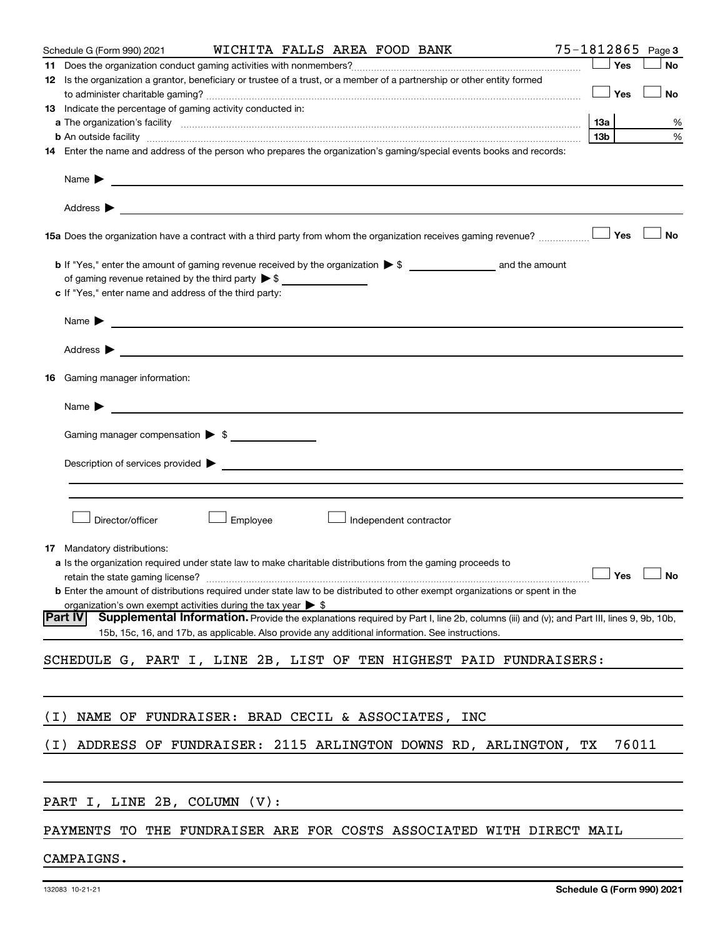|       | WICHITA FALLS AREA FOOD BANK<br>Schedule G (Form 990) 2021                                                                                                                                                                                                   |                        |       | 75-1812865 Page 3    |
|-------|--------------------------------------------------------------------------------------------------------------------------------------------------------------------------------------------------------------------------------------------------------------|------------------------|-------|----------------------|
|       |                                                                                                                                                                                                                                                              | $\Box$ Yes             |       | No                   |
|       | 12 Is the organization a grantor, beneficiary or trustee of a trust, or a member of a partnership or other entity formed                                                                                                                                     |                        |       |                      |
|       |                                                                                                                                                                                                                                                              |                        | Yes   | No                   |
|       | 13 Indicate the percentage of gaming activity conducted in:                                                                                                                                                                                                  |                        |       |                      |
|       | <b>b</b> An outside facility <i>www.communicality www.communicality.communicality www.communicality www.communicality www.communicality www.communicality www.communicality.com</i>                                                                          | 13a<br>13 <sub>b</sub> |       | %<br>$\%$            |
|       | 14 Enter the name and address of the person who prepares the organization's gaming/special events books and records:                                                                                                                                         |                        |       |                      |
|       | Name > 2008 - 2008 - 2009 - 2009 - 2009 - 2009 - 2010 - 2010 - 2010 - 2010 - 2010 - 2010 - 2010 - 2010 - 2010                                                                                                                                                |                        |       |                      |
|       |                                                                                                                                                                                                                                                              |                        |       |                      |
|       | 15a Does the organization have a contract with a third party from whom the organization receives gaming revenue?                                                                                                                                             |                        | Yes   | No                   |
|       | of gaming revenue retained by the third party $\triangleright$ \$                                                                                                                                                                                            |                        |       |                      |
|       | c If "Yes," enter name and address of the third party:                                                                                                                                                                                                       |                        |       |                      |
|       | Name <b>Decision of the Community of the Community of the Community of the Community of the Community of the Community of the Community of the Community of the Community of the Community of the Community of the Community of </b>                         |                        |       |                      |
|       |                                                                                                                                                                                                                                                              |                        |       |                      |
|       | <b>16</b> Gaming manager information:                                                                                                                                                                                                                        |                        |       |                      |
|       | Name $\blacktriangleright$<br><u> 1980 - Jan Samuel Barbara, margaret eta politikaria (h. 1980).</u>                                                                                                                                                         |                        |       |                      |
|       | Gaming manager compensation > \$                                                                                                                                                                                                                             |                        |       |                      |
|       | Description of services provided states and the contract of the contract of the contract of the contract of the contract of the contract of the contract of the contract of the contract of the contract of the contract of th                               |                        |       |                      |
|       |                                                                                                                                                                                                                                                              |                        |       |                      |
|       | Director/officer<br>Employee<br>Independent contractor                                                                                                                                                                                                       |                        |       |                      |
|       | <b>17</b> Mandatory distributions:                                                                                                                                                                                                                           |                        |       |                      |
|       | a Is the organization required under state law to make charitable distributions from the gaming proceeds to                                                                                                                                                  |                        |       |                      |
|       | <b>b</b> Enter the amount of distributions required under state law to be distributed to other exempt organizations or spent in the                                                                                                                          |                        |       | $\Box$ Yes $\Box$ No |
|       | organization's own exempt activities during the tax year $\triangleright$ \$                                                                                                                                                                                 |                        |       |                      |
|       | <b>Part IV</b><br>Supplemental Information. Provide the explanations required by Part I, line 2b, columns (iii) and (v); and Part III, lines 9, 9b, 10b,<br>15b, 15c, 16, and 17b, as applicable. Also provide any additional information. See instructions. |                        |       |                      |
|       | SCHEDULE G, PART I, LINE 2B, LIST OF TEN HIGHEST PAID FUNDRAISERS:                                                                                                                                                                                           |                        |       |                      |
|       |                                                                                                                                                                                                                                                              |                        |       |                      |
| ( I ) | NAME OF FUNDRAISER: BRAD CECIL & ASSOCIATES, INC                                                                                                                                                                                                             |                        |       |                      |
| (I)   | ADDRESS OF FUNDRAISER: 2115 ARLINGTON DOWNS RD, ARLINGTON, TX                                                                                                                                                                                                |                        | 76011 |                      |
|       |                                                                                                                                                                                                                                                              |                        |       |                      |
|       | PART I, LINE 2B, COLUMN (V):                                                                                                                                                                                                                                 |                        |       |                      |
|       | PAYMENTS TO THE FUNDRAISER ARE FOR COSTS ASSOCIATED WITH DIRECT MAIL                                                                                                                                                                                         |                        |       |                      |

CAMPAIGNS.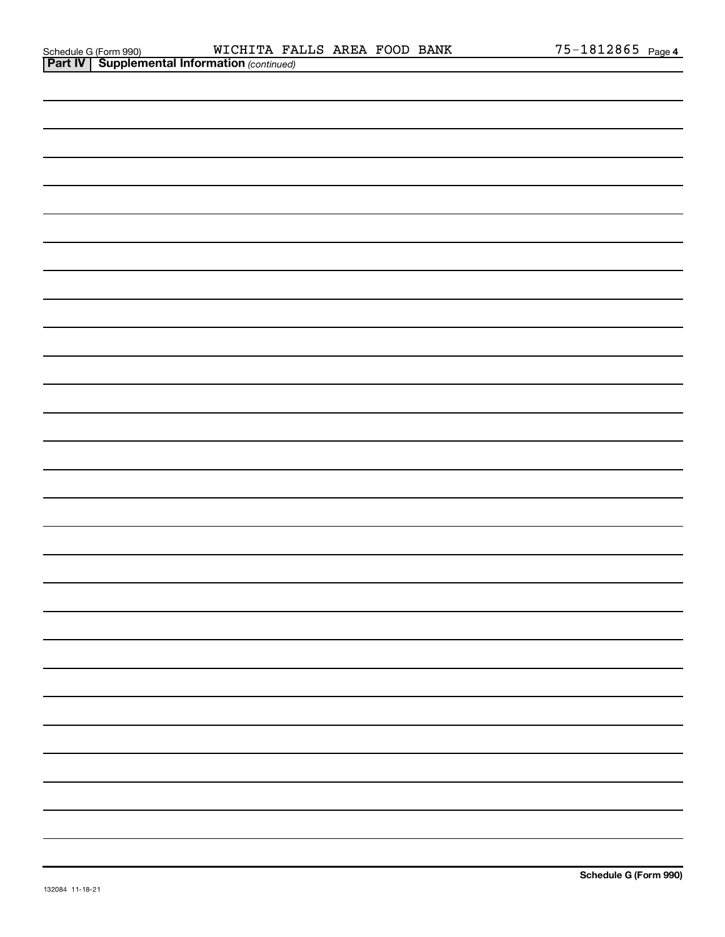| <b>Part IV   Supplemental Information (continued)</b> |
|-------------------------------------------------------|
|                                                       |
|                                                       |
|                                                       |
|                                                       |
|                                                       |
|                                                       |
|                                                       |
|                                                       |
|                                                       |
|                                                       |
|                                                       |
|                                                       |
|                                                       |
|                                                       |
|                                                       |
|                                                       |
|                                                       |
|                                                       |
|                                                       |
|                                                       |
|                                                       |
|                                                       |
|                                                       |
|                                                       |
|                                                       |
|                                                       |
|                                                       |
|                                                       |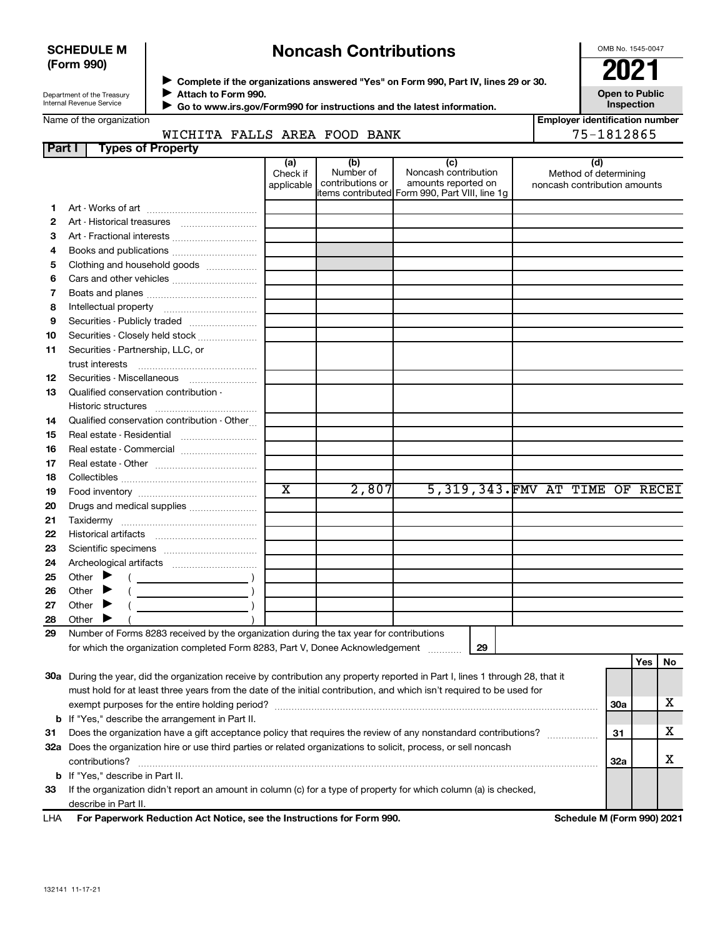### **SCHEDULE M (Form 990)**

# **Noncash Contributions**

OMB No. 1545-0047

**Employer identification number**

**Open to Public Inspection**

| Department of the Treasury |  |  |  |
|----------------------------|--|--|--|
|                            |  |  |  |
| Internal Revenue Service   |  |  |  |

◆ Complete if the organizations answered "Yes" on Form 990, Part IV, lines 29 or 30.<br>▶ Complete if the organizations answered "Yes" on Form 990, Part IV, lines 29 or 30. **Attach to Form 990.**  $\blacktriangleright$ 

 **Go to www.irs.gov/Form990 for instructions and the latest information.** J

Name of the organization

### WICHITA FALLS AREA FOOD BANK THE RESERVED SET ON 1812865

| Part I | <b>Types of Property</b>                                                                                                                                                  |                        |                               |                                               |                                                       |            |     |    |
|--------|---------------------------------------------------------------------------------------------------------------------------------------------------------------------------|------------------------|-------------------------------|-----------------------------------------------|-------------------------------------------------------|------------|-----|----|
|        |                                                                                                                                                                           | (a)                    | (b)                           | (c)                                           |                                                       | (d)        |     |    |
|        |                                                                                                                                                                           | Check if<br>applicable | Number of<br>contributions or | Noncash contribution<br>amounts reported on   | Method of determining<br>noncash contribution amounts |            |     |    |
|        |                                                                                                                                                                           |                        |                               | tems contributed Form 990, Part VIII, line 1q |                                                       |            |     |    |
| 1      |                                                                                                                                                                           |                        |                               |                                               |                                                       |            |     |    |
| 2      |                                                                                                                                                                           |                        |                               |                                               |                                                       |            |     |    |
| З      | Art - Fractional interests                                                                                                                                                |                        |                               |                                               |                                                       |            |     |    |
| 4      | Books and publications                                                                                                                                                    |                        |                               |                                               |                                                       |            |     |    |
| 5      | Clothing and household goods                                                                                                                                              |                        |                               |                                               |                                                       |            |     |    |
| 6      |                                                                                                                                                                           |                        |                               |                                               |                                                       |            |     |    |
| 7      |                                                                                                                                                                           |                        |                               |                                               |                                                       |            |     |    |
| 8      |                                                                                                                                                                           |                        |                               |                                               |                                                       |            |     |    |
| 9      |                                                                                                                                                                           |                        |                               |                                               |                                                       |            |     |    |
| 10     | Securities - Closely held stock                                                                                                                                           |                        |                               |                                               |                                                       |            |     |    |
| 11     | Securities - Partnership, LLC, or                                                                                                                                         |                        |                               |                                               |                                                       |            |     |    |
|        | trust interests                                                                                                                                                           |                        |                               |                                               |                                                       |            |     |    |
| 12     | Securities Miscellaneous                                                                                                                                                  |                        |                               |                                               |                                                       |            |     |    |
| 13     | Qualified conservation contribution -                                                                                                                                     |                        |                               |                                               |                                                       |            |     |    |
|        |                                                                                                                                                                           |                        |                               |                                               |                                                       |            |     |    |
| 14     | Qualified conservation contribution - Other                                                                                                                               |                        |                               |                                               |                                                       |            |     |    |
| 15     |                                                                                                                                                                           |                        |                               |                                               |                                                       |            |     |    |
| 16     | Real estate - Commercial                                                                                                                                                  |                        |                               |                                               |                                                       |            |     |    |
| 17     |                                                                                                                                                                           |                        |                               |                                               |                                                       |            |     |    |
| 18     |                                                                                                                                                                           |                        |                               |                                               |                                                       |            |     |    |
| 19     |                                                                                                                                                                           | $\overline{\text{x}}$  | 2,807                         | 5,319,343. FMV AT TIME OF RECEI               |                                                       |            |     |    |
| 20     |                                                                                                                                                                           |                        |                               |                                               |                                                       |            |     |    |
| 21     |                                                                                                                                                                           |                        |                               |                                               |                                                       |            |     |    |
| 22     |                                                                                                                                                                           |                        |                               |                                               |                                                       |            |     |    |
| 23     |                                                                                                                                                                           |                        |                               |                                               |                                                       |            |     |    |
| 24     |                                                                                                                                                                           |                        |                               |                                               |                                                       |            |     |    |
| 25     | Other<br>▶                                                                                                                                                                |                        |                               |                                               |                                                       |            |     |    |
| 26     | Other<br>$\left(\begin{array}{ccc}\n\end{array}\right)$<br>▶                                                                                                              |                        |                               |                                               |                                                       |            |     |    |
| 27     | Other $\blacktriangleright$                                                                                                                                               |                        |                               |                                               |                                                       |            |     |    |
| 28     | Other                                                                                                                                                                     |                        |                               |                                               |                                                       |            |     |    |
| 29     | Number of Forms 8283 received by the organization during the tax year for contributions                                                                                   |                        |                               |                                               |                                                       |            |     |    |
|        | for which the organization completed Form 8283, Part V, Donee Acknowledgement                                                                                             |                        |                               | 29                                            |                                                       |            |     |    |
|        |                                                                                                                                                                           |                        |                               |                                               |                                                       |            | Yes | No |
|        | 30a During the year, did the organization receive by contribution any property reported in Part I, lines 1 through 28, that it                                            |                        |                               |                                               |                                                       |            |     |    |
|        | must hold for at least three years from the date of the initial contribution, and which isn't required to be used for                                                     |                        |                               |                                               |                                                       |            |     | x  |
|        |                                                                                                                                                                           |                        |                               |                                               |                                                       | <b>30a</b> |     |    |
|        | <b>b</b> If "Yes," describe the arrangement in Part II.<br>Does the organization have a gift acceptance policy that requires the review of any nonstandard contributions? |                        |                               |                                               |                                                       | 31         |     | х  |
| 31     |                                                                                                                                                                           |                        |                               |                                               |                                                       |            |     |    |

**31** Does the organization have a gift acceptance policy that requires the review of any nonstandard contributions?  $\ldots$  $\ldots$  $\ldots$ **32 a** Does the organization hire or use third parties or related organizations to solicit, process, or sell noncash **33 b** If "Yes," describe in Part II. contributions? ~~~~~~~~~~~~~~~~~~~~~~~~~~~~~~~~~~~~~~~~~~~~~~~~~~~~~~ If the organization didn't report an amount in column (c) for a type of property for which column (a) is checked,

describe in Part II.

**For Paperwork Reduction Act Notice, see the Instructions for Form 990. Schedule M (Form 990) 2021** LHA

**32a**

X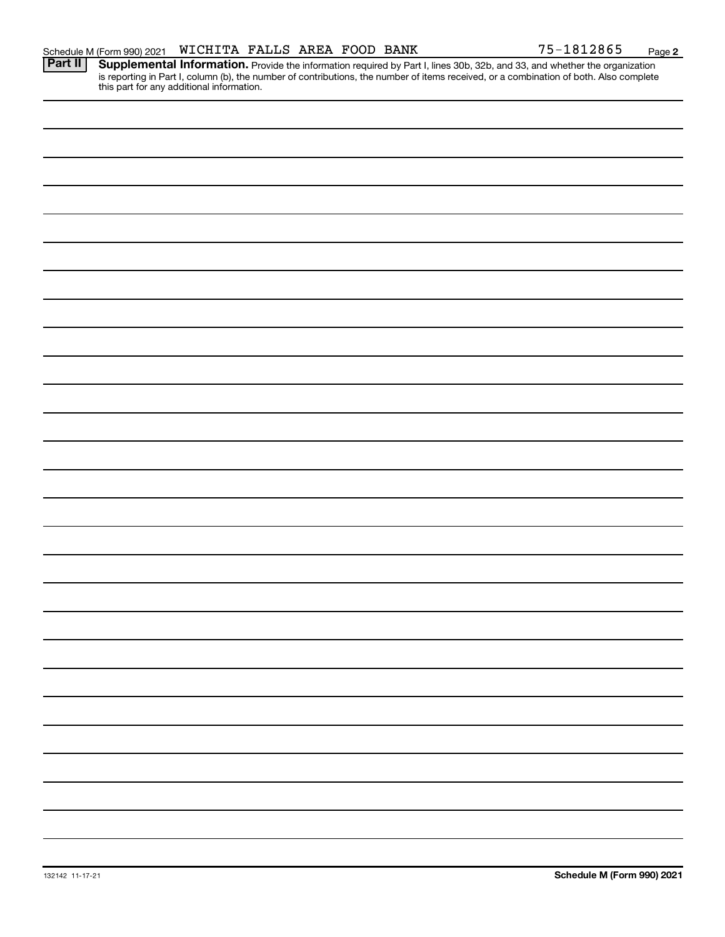**2**

Provide the information required by Part I, lines 30b, 32b, and 33, and whether the organization is reporting in Part I, column (b), the number of contributions, the number of items received, or a combination of both. Also complete this part for any additional information. **Part II Supplemental Information.**